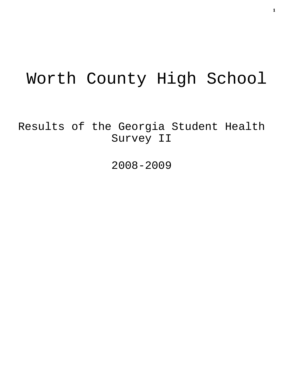# Worth County High School

Results of the Georgia Student Health Survey II

2008-2009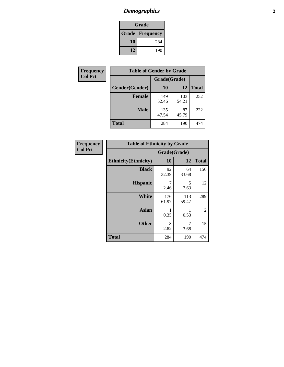## *Demographics* **2**

| Grade                    |     |  |  |  |
|--------------------------|-----|--|--|--|
| <b>Grade   Frequency</b> |     |  |  |  |
| 10                       | 284 |  |  |  |
| 12                       | 190 |  |  |  |

| <b>Frequency</b> | <b>Table of Gender by Grade</b> |              |              |              |  |  |
|------------------|---------------------------------|--------------|--------------|--------------|--|--|
| <b>Col Pct</b>   |                                 | Grade(Grade) |              |              |  |  |
|                  | Gender(Gender)                  | 10           | 12           | <b>Total</b> |  |  |
|                  | <b>Female</b>                   | 149<br>52.46 | 103<br>54.21 | 252          |  |  |
|                  | <b>Male</b>                     | 135<br>47.54 | 87<br>45.79  | 222          |  |  |
|                  | <b>Total</b>                    | 284          | 190          | 474          |  |  |

| <b>Frequency</b><br>Col Pct |
|-----------------------------|
|                             |

| <b>Table of Ethnicity by Grade</b> |              |              |              |  |  |  |
|------------------------------------|--------------|--------------|--------------|--|--|--|
|                                    | Grade(Grade) |              |              |  |  |  |
| <b>Ethnicity</b> (Ethnicity)       | 10           | 12           | <b>Total</b> |  |  |  |
| <b>Black</b>                       | 92<br>32.39  | 64<br>33.68  | 156          |  |  |  |
| <b>Hispanic</b>                    | 7<br>2.46    | 5<br>2.63    | 12           |  |  |  |
| White                              | 176<br>61.97 | 113<br>59.47 | 289          |  |  |  |
| <b>Asian</b>                       | 0.35         | 0.53         | 2            |  |  |  |
| <b>Other</b>                       | 8<br>2.82    | 7<br>3.68    | 15           |  |  |  |
| <b>Total</b>                       | 284          | 190          | 474          |  |  |  |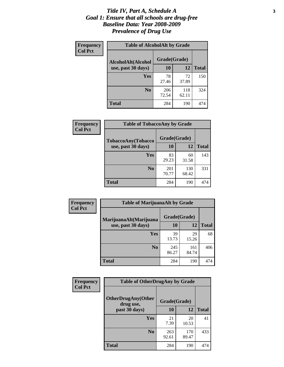#### *Title IV, Part A, Schedule A* **3** *Goal 1: Ensure that all schools are drug-free Baseline Data: Year 2008-2009 Prevalence of Drug Use*

| Frequency<br><b>Col Pct</b> | <b>Table of AlcoholAlt by Grade</b> |              |              |              |  |
|-----------------------------|-------------------------------------|--------------|--------------|--------------|--|
|                             | AlcoholAlt(Alcohol                  | Grade(Grade) |              |              |  |
|                             | use, past 30 days)                  | <b>10</b>    | 12           | <b>Total</b> |  |
|                             | <b>Yes</b>                          | 78<br>27.46  | 72<br>37.89  | 150          |  |
|                             | N <sub>0</sub>                      | 206<br>72.54 | 118<br>62.11 | 324          |  |
|                             | Total                               | 284          | 190          | 474          |  |

| Frequency<br><b>Col Pct</b> | <b>Table of TobaccoAny by Grade</b> |              |              |              |  |  |
|-----------------------------|-------------------------------------|--------------|--------------|--------------|--|--|
|                             | TobaccoAny(Tobacco                  | Grade(Grade) |              |              |  |  |
|                             | use, past 30 days)                  | 10           | 12           | <b>Total</b> |  |  |
|                             | <b>Yes</b>                          | 83<br>29.23  | 60<br>31.58  | 143          |  |  |
|                             | N <sub>0</sub>                      | 201<br>70.77 | 130<br>68.42 | 331          |  |  |
|                             | <b>Total</b>                        | 284          | 190          | 474          |  |  |

| Frequency<br><b>Col Pct</b> | <b>Table of MarijuanaAlt by Grade</b> |              |              |              |  |
|-----------------------------|---------------------------------------|--------------|--------------|--------------|--|
|                             | MarijuanaAlt(Marijuana                | Grade(Grade) |              |              |  |
|                             | use, past 30 days)                    | 10           | 12           | <b>Total</b> |  |
|                             | <b>Yes</b>                            | 39<br>13.73  | 29<br>15.26  | 68           |  |
|                             | N <sub>0</sub>                        | 245<br>86.27 | 161<br>84.74 | 406          |  |
|                             | <b>Total</b>                          | 284          | 190          | 474          |  |

| Frequency<br><b>Col Pct</b> | <b>Table of OtherDrugAny by Grade</b>  |              |              |              |  |
|-----------------------------|----------------------------------------|--------------|--------------|--------------|--|
|                             | <b>OtherDrugAny(Other</b><br>drug use, | Grade(Grade) |              |              |  |
|                             | past 30 days)                          | 10           | 12           | <b>Total</b> |  |
|                             | Yes                                    | 21<br>7.39   | 20<br>10.53  | 41           |  |
|                             | N <sub>0</sub>                         | 263<br>92.61 | 170<br>89.47 | 433          |  |
|                             | <b>Total</b>                           | 284          | 190          | 474          |  |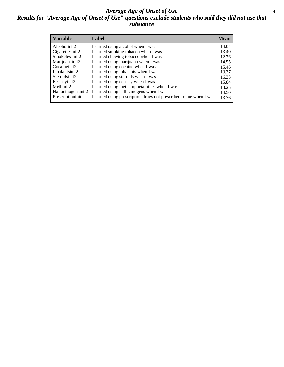#### *Average Age of Onset of Use* **4** *Results for "Average Age of Onset of Use" questions exclude students who said they did not use that substance*

| <b>Variable</b>       | Label                                                              | <b>Mean</b> |
|-----------------------|--------------------------------------------------------------------|-------------|
| Alcoholinit2          | I started using alcohol when I was                                 | 14.04       |
| Cigarettesinit2       | I started smoking tobacco when I was                               | 13.40       |
| Smokelessinit2        | I started chewing tobacco when I was                               | 12.76       |
| Marijuanainit2        | I started using marijuana when I was                               | 14.55       |
| Cocaineinit2          | I started using cocaine when I was                                 | 15.46       |
| Inhalantsinit2        | I started using inhalants when I was                               | 13.37       |
| Steroidsinit2         | I started using steroids when I was                                | 16.33       |
| Ecstasyinit2          | I started using ecstasy when I was                                 | 15.84       |
| Methinit <sub>2</sub> | I started using methamphetamines when I was                        | 13.25       |
| Hallucinogensinit2    | I started using hallucinogens when I was                           | 14.50       |
| Prescriptioninit2     | I started using prescription drugs not prescribed to me when I was | 13.76       |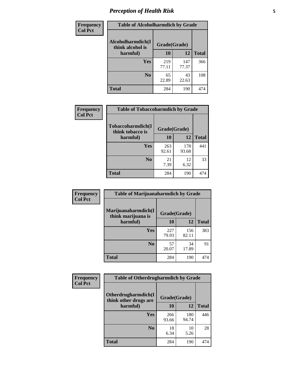### *Perception of Health Risk* **5**

| Frequency      | <b>Table of Alcoholharmdich by Grade</b> |              |              |              |  |
|----------------|------------------------------------------|--------------|--------------|--------------|--|
| <b>Col Pct</b> | Alcoholharmdich(I<br>think alcohol is    | Grade(Grade) |              |              |  |
|                | harmful)                                 | 10           | 12           | <b>Total</b> |  |
|                | Yes                                      | 219<br>77.11 | 147<br>77.37 | 366          |  |
|                | N <sub>0</sub>                           | 65<br>22.89  | 43<br>22.63  | 108          |  |
|                | <b>Total</b>                             | 284          | 190          | 474          |  |

| Frequency      | <b>Table of Tobaccoharmdich by Grade</b> |              |              |              |  |
|----------------|------------------------------------------|--------------|--------------|--------------|--|
| <b>Col Pct</b> | Tobaccoharmdich(I<br>think tobacco is    | Grade(Grade) |              |              |  |
|                | harmful)                                 | 10           | 12           | <b>Total</b> |  |
|                | Yes                                      | 263<br>92.61 | 178<br>93.68 | 441          |  |
|                | N <sub>0</sub>                           | 21<br>7.39   | 12<br>6.32   | 33           |  |
|                | <b>Total</b>                             | 284          | 190          | 474          |  |

| Frequency<br><b>Col Pct</b> | <b>Table of Marijuanaharmdich by Grade</b>                |              |              |              |  |
|-----------------------------|-----------------------------------------------------------|--------------|--------------|--------------|--|
|                             | Marijuanaharmdich(I<br>Grade(Grade)<br>think marijuana is |              |              |              |  |
|                             | harmful)                                                  | 10           | 12           | <b>Total</b> |  |
|                             | <b>Yes</b>                                                | 227<br>79.93 | 156<br>82.11 | 383          |  |
|                             | N <sub>0</sub>                                            | 57<br>20.07  | 34<br>17.89  | 91           |  |
|                             | <b>Total</b>                                              | 284          | 190          | 474          |  |

| Frequency      | <b>Table of Otherdrugharmdich by Grade</b>                   |              |              |              |  |  |  |  |
|----------------|--------------------------------------------------------------|--------------|--------------|--------------|--|--|--|--|
| <b>Col Pct</b> | Otherdrugharmdich(I<br>Grade(Grade)<br>think other drugs are |              |              |              |  |  |  |  |
|                | harmful)                                                     | <b>10</b>    | 12           | <b>Total</b> |  |  |  |  |
|                | <b>Yes</b>                                                   | 266<br>93.66 | 180<br>94.74 | 446          |  |  |  |  |
|                | N <sub>0</sub>                                               | 18<br>6.34   | 10<br>5.26   | 28           |  |  |  |  |
|                | <b>Total</b>                                                 | 284          | 190          | 474          |  |  |  |  |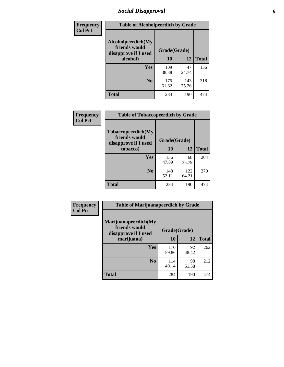### *Social Disapproval* **6**

| <b>Frequency</b> | <b>Table of Alcoholpeerdich by Grade</b>                    |              |              |              |
|------------------|-------------------------------------------------------------|--------------|--------------|--------------|
| <b>Col Pct</b>   | Alcoholpeerdich(My<br>friends would<br>disapprove if I used | Grade(Grade) |              |              |
|                  | alcohol)                                                    |              | 12           | <b>Total</b> |
|                  | <b>Yes</b>                                                  | 109<br>38.38 | 47<br>24.74  | 156          |
|                  | N <sub>0</sub>                                              | 175<br>61.62 | 143<br>75.26 | 318          |
|                  | <b>Total</b>                                                | 284          | 190          | 474          |

| <b>Frequency</b> |
|------------------|
| <b>Col Pct</b>   |

| <b>Table of Tobaccopeerdich by Grade</b>                            |              |              |              |  |  |  |  |
|---------------------------------------------------------------------|--------------|--------------|--------------|--|--|--|--|
| <b>Tobaccopeerdich</b> (My<br>friends would<br>disapprove if I used | Grade(Grade) |              |              |  |  |  |  |
| tobacco)                                                            | 10           | 12           | <b>Total</b> |  |  |  |  |
| Yes                                                                 | 136<br>47.89 | 68<br>35.79  | 204          |  |  |  |  |
| N <sub>0</sub>                                                      | 148<br>52.11 | 122<br>64.21 | 270          |  |  |  |  |
| <b>Total</b>                                                        | 284          | 190          | 474          |  |  |  |  |

| Frequency      | <b>Table of Marijuanapeerdich by Grade</b>                    |              |             |              |  |  |  |  |
|----------------|---------------------------------------------------------------|--------------|-------------|--------------|--|--|--|--|
| <b>Col Pct</b> | Marijuanapeerdich(My<br>friends would<br>disapprove if I used | Grade(Grade) |             |              |  |  |  |  |
|                | marijuana)                                                    | 10           | 12          | <b>Total</b> |  |  |  |  |
|                | <b>Yes</b>                                                    | 170<br>59.86 | 92<br>48.42 | 262          |  |  |  |  |
|                | N <sub>0</sub>                                                | 114<br>40.14 | 98<br>51.58 | 212          |  |  |  |  |
|                | <b>Total</b>                                                  | 284          | 190         | 474          |  |  |  |  |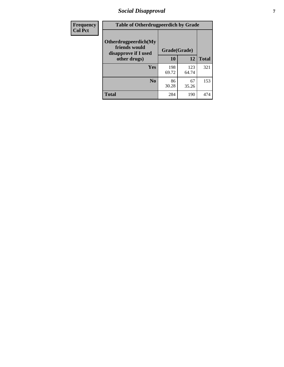### *Social Disapproval* **7**

| Frequency      | <b>Table of Otherdrugpeerdich by Grade</b>                    |              |              |              |  |  |  |  |
|----------------|---------------------------------------------------------------|--------------|--------------|--------------|--|--|--|--|
| <b>Col Pct</b> | Otherdrugpeerdich(My<br>friends would<br>disapprove if I used | Grade(Grade) |              |              |  |  |  |  |
|                | other drugs)                                                  | 10           | 12           | <b>Total</b> |  |  |  |  |
|                | Yes                                                           | 198<br>69.72 | 123<br>64.74 | 321          |  |  |  |  |
|                | N <sub>0</sub>                                                | 86<br>30.28  | 67<br>35.26  | 153          |  |  |  |  |
|                | <b>Total</b>                                                  | 284          | 190          | 474          |  |  |  |  |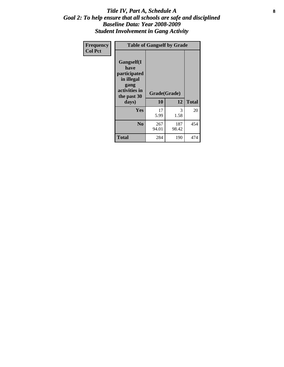### Title IV, Part A, Schedule A **8** *Goal 2: To help ensure that all schools are safe and disciplined Baseline Data: Year 2008-2009 Student Involvement in Gang Activity*

| Frequency      | <b>Table of Gangself by Grade</b>                                                                 |                    |              |              |
|----------------|---------------------------------------------------------------------------------------------------|--------------------|--------------|--------------|
| <b>Col Pct</b> | Gangself(I<br>have<br>participated<br>in illegal<br>gang<br>activities in<br>the past 30<br>days) | Grade(Grade)<br>10 | 12           | <b>Total</b> |
|                | Yes                                                                                               | 17<br>5.99         | 3<br>1.58    | 20           |
|                | N <sub>0</sub>                                                                                    | 267<br>94.01       | 187<br>98.42 | 454          |
|                | <b>Total</b>                                                                                      | 284                | 190          | 474          |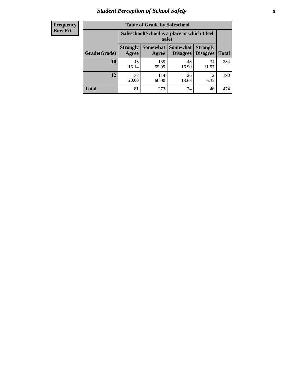### *Student Perception of School Safety* **9**

| <b>Frequency</b><br>Row Pct |
|-----------------------------|
|                             |

| <b>Table of Grade by Safeschool</b> |                          |                                                        |                             |                                    |              |  |  |  |
|-------------------------------------|--------------------------|--------------------------------------------------------|-----------------------------|------------------------------------|--------------|--|--|--|
|                                     |                          | Safeschool (School is a place at which I feel<br>safe) |                             |                                    |              |  |  |  |
| Grade(Grade)                        | <b>Strongly</b><br>Agree | <b>Somewhat</b><br>Agree                               | <b>Somewhat</b><br>Disagree | <b>Strongly</b><br><b>Disagree</b> | <b>Total</b> |  |  |  |
| <b>10</b>                           | 43<br>15.14              | 159<br>55.99                                           | 48<br>16.90                 | 34<br>11.97                        | 284          |  |  |  |
| 12                                  | 38<br>20.00              | 114<br>60.00                                           | 26<br>13.68                 | 12<br>6.32                         | 190          |  |  |  |
| <b>Total</b>                        | 81                       | 273                                                    | 74                          | 46                                 | 474          |  |  |  |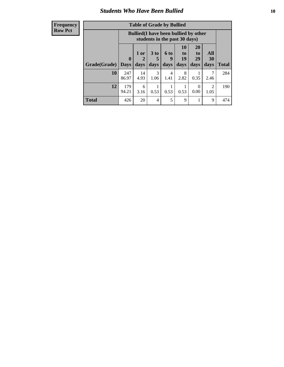### *Students Who Have Been Bullied* **10**

| <b>Frequency</b> |
|------------------|
| Row Pct          |

| <b>Table of Grade by Bullied</b> |                            |                                                                               |                              |                   |                               |                               |                          |              |
|----------------------------------|----------------------------|-------------------------------------------------------------------------------|------------------------------|-------------------|-------------------------------|-------------------------------|--------------------------|--------------|
|                                  |                            | <b>Bullied</b> (I have been bullied by other<br>students in the past 30 days) |                              |                   |                               |                               |                          |              |
| Grade(Grade)                     | $\mathbf 0$<br><b>Days</b> | 1 or<br>2<br>days                                                             | 3 <sub>to</sub><br>5<br>days | 6 to<br>9<br>days | <b>10</b><br>to<br>19<br>days | <b>20</b><br>to<br>29<br>days | <b>All</b><br>30<br>days | <b>Total</b> |
| 10                               | 247<br>86.97               | 14<br>4.93                                                                    | 3<br>1.06                    | 4<br>1.41         | 8<br>2.82                     | 0.35                          | 7<br>2.46                | 284          |
| 12                               | 179<br>94.21               | 6<br>3.16                                                                     | 0.53                         | 0.53              | 0.53                          | 0<br>0.00                     | $\mathcal{D}$<br>1.05    | 190          |
| <b>Total</b>                     | 426                        | 20                                                                            | 4                            | 5                 | 9                             |                               | 9                        | 474          |

 $\blacksquare$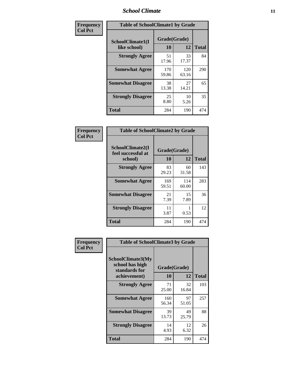### *School Climate* **11**

| Frequency      | <b>Table of SchoolClimate1 by Grade</b> |                    |              |              |  |  |
|----------------|-----------------------------------------|--------------------|--------------|--------------|--|--|
| <b>Col Pct</b> | SchoolClimate1(I<br>like school)        | Grade(Grade)<br>10 | 12           | <b>Total</b> |  |  |
|                | <b>Strongly Agree</b>                   | 51<br>17.96        | 33<br>17.37  | 84           |  |  |
|                | <b>Somewhat Agree</b>                   | 170<br>59.86       | 120<br>63.16 | 290          |  |  |
|                | <b>Somewhat Disagree</b>                | 38<br>13.38        | 27<br>14.21  | 65           |  |  |
|                | <b>Strongly Disagree</b>                | 25<br>8.80         | 10<br>5.26   | 35           |  |  |
|                | <b>Total</b>                            | 284                | 190          | 474          |  |  |

| Frequency |  |
|-----------|--|
| Col Pct   |  |
|           |  |

٦

| <b>Table of SchoolClimate2 by Grade</b>           |                    |              |              |  |
|---------------------------------------------------|--------------------|--------------|--------------|--|
| SchoolClimate2(I<br>feel successful at<br>school) | Grade(Grade)<br>10 | 12           | <b>Total</b> |  |
| <b>Strongly Agree</b>                             | 83<br>29.23        | 60<br>31.58  | 143          |  |
| <b>Somewhat Agree</b>                             | 169<br>59.51       | 114<br>60.00 | 283          |  |
| <b>Somewhat Disagree</b>                          | 21<br>7.39         | 15<br>7.89   | 36           |  |
| <b>Strongly Disagree</b>                          | 11<br>3.87         | 0.53         | 12           |  |
| Total                                             | 284                | 190          | 474          |  |

| Frequency      | <b>Table of SchoolClimate3 by Grade</b>                      |                          |             |              |  |  |
|----------------|--------------------------------------------------------------|--------------------------|-------------|--------------|--|--|
| <b>Col Pct</b> | <b>SchoolClimate3(My</b><br>school has high<br>standards for | Grade(Grade)<br>10<br>12 |             | <b>Total</b> |  |  |
|                | achievement)                                                 |                          |             |              |  |  |
|                | <b>Strongly Agree</b>                                        | 71<br>25.00              | 32<br>16.84 | 103          |  |  |
|                | <b>Somewhat Agree</b>                                        | 160<br>56.34             | 97<br>51.05 | 257          |  |  |
|                | <b>Somewhat Disagree</b>                                     | 39<br>13.73              | 49<br>25.79 | 88           |  |  |
|                | <b>Strongly Disagree</b>                                     | 14<br>4.93               | 12<br>6.32  | 26           |  |  |
|                | Total                                                        | 284                      | 190         | 474          |  |  |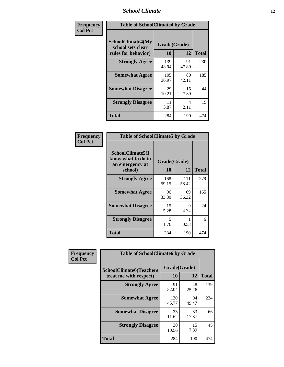### *School Climate* **12**

| Frequency      | <b>Table of SchoolClimate4 by Grade</b>                              |                    |             |              |
|----------------|----------------------------------------------------------------------|--------------------|-------------|--------------|
| <b>Col Pct</b> | <b>SchoolClimate4(My</b><br>school sets clear<br>rules for behavior) | Grade(Grade)<br>10 | 12          | <b>Total</b> |
|                | <b>Strongly Agree</b>                                                | 139<br>48.94       | 91<br>47.89 | 230          |
|                | <b>Somewhat Agree</b>                                                | 105<br>36.97       | 80<br>42.11 | 185          |
|                | <b>Somewhat Disagree</b>                                             | 29<br>10.21        | 15<br>7.89  | 44           |
|                | <b>Strongly Disagree</b>                                             | 11<br>3.87         | 4<br>2.11   | 15           |
|                | <b>Total</b>                                                         | 284                | 190         | 474          |

| <b>Table of SchoolClimate5 by Grade</b>                              |                    |             |              |  |  |
|----------------------------------------------------------------------|--------------------|-------------|--------------|--|--|
| SchoolClimate5(I<br>know what to do in<br>an emergency at<br>school) | Grade(Grade)<br>10 | 12          | <b>Total</b> |  |  |
| <b>Strongly Agree</b>                                                | 168                | 111         | 279          |  |  |
|                                                                      | 59.15              | 58.42       |              |  |  |
| <b>Somewhat Agree</b>                                                | 96                 | 69<br>36.32 | 165          |  |  |
|                                                                      | 33.80              |             |              |  |  |
| <b>Somewhat Disagree</b>                                             | 15<br>5.28         | 9<br>4.74   | 24           |  |  |
| <b>Strongly Disagree</b>                                             | 5<br>1.76          | 0.53        | 6            |  |  |
| <b>Total</b>                                                         | 284                | 190         | 474          |  |  |

| Frequency      | <b>Table of SchoolClimate6 by Grade</b>                  |                    |             |              |
|----------------|----------------------------------------------------------|--------------------|-------------|--------------|
| <b>Col Pct</b> | <b>SchoolClimate6(Teachers</b><br>treat me with respect) | Grade(Grade)<br>10 | 12          | <b>Total</b> |
|                | <b>Strongly Agree</b>                                    | 91<br>32.04        | 48<br>25.26 | 139          |
|                | <b>Somewhat Agree</b>                                    | 130<br>45.77       | 94<br>49.47 | 224          |
|                | <b>Somewhat Disagree</b>                                 | 33<br>11.62        | 33<br>17.37 | 66           |
|                | <b>Strongly Disagree</b>                                 | 30<br>10.56        | 15<br>7.89  | 45           |
|                | <b>Total</b>                                             | 284                | 190         | 474          |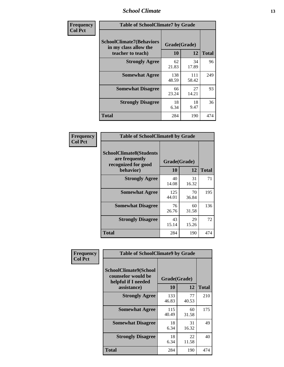### *School Climate* **13**

| Frequency      | <b>Table of SchoolClimate7 by Grade</b>                                       |                    |              |              |
|----------------|-------------------------------------------------------------------------------|--------------------|--------------|--------------|
| <b>Col Pct</b> | <b>SchoolClimate7(Behaviors</b><br>in my class allow the<br>teacher to teach) | Grade(Grade)<br>10 | 12           | <b>Total</b> |
|                | <b>Strongly Agree</b>                                                         | 62<br>21.83        | 34<br>17.89  | 96           |
|                | <b>Somewhat Agree</b>                                                         | 138<br>48.59       | 111<br>58.42 | 249          |
|                | <b>Somewhat Disagree</b>                                                      | 66<br>23.24        | 27<br>14.21  | 93           |
|                | <b>Strongly Disagree</b>                                                      | 18<br>6.34         | 18<br>9.47   | 36           |
|                | <b>Total</b>                                                                  | 284                | 190          | 474          |

| Frequency      | <b>Table of SchoolClimate8 by Grade</b>                                              |                    |             |              |
|----------------|--------------------------------------------------------------------------------------|--------------------|-------------|--------------|
| <b>Col Pct</b> | <b>SchoolClimate8(Students</b><br>are frequently<br>recognized for good<br>behavior) | Grade(Grade)<br>10 | 12          | <b>Total</b> |
|                | <b>Strongly Agree</b>                                                                | 40<br>14.08        | 31<br>16.32 | 71           |
|                | <b>Somewhat Agree</b>                                                                | 125<br>44.01       | 70<br>36.84 | 195          |
|                | <b>Somewhat Disagree</b>                                                             | 76<br>26.76        | 60<br>31.58 | 136          |
|                | <b>Strongly Disagree</b>                                                             | 43<br>15.14        | 29<br>15.26 | 72           |
|                | <b>Total</b>                                                                         | 284                | 190         | 474          |

| Frequency      | <b>Table of SchoolClimate9 by Grade</b>                                                  |                    |             |              |  |
|----------------|------------------------------------------------------------------------------------------|--------------------|-------------|--------------|--|
| <b>Col Pct</b> | <b>SchoolClimate9(School</b><br>counselor would be<br>helpful if I needed<br>assistance) | Grade(Grade)<br>10 | 12          | <b>Total</b> |  |
|                | <b>Strongly Agree</b>                                                                    | 133<br>46.83       | 77<br>40.53 | 210          |  |
|                | <b>Somewhat Agree</b>                                                                    | 115<br>40.49       | 60<br>31.58 | 175          |  |
|                | <b>Somewhat Disagree</b>                                                                 | 18<br>6.34         | 31<br>16.32 | 49           |  |
|                | <b>Strongly Disagree</b>                                                                 | 18<br>6.34         | 22<br>11.58 | 40           |  |
|                | Total                                                                                    | 284                | 190         | 474          |  |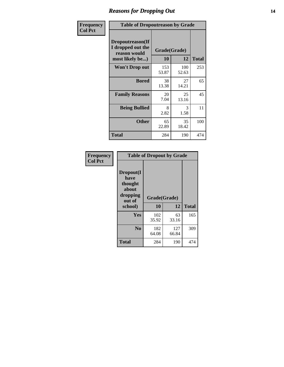### *Reasons for Dropping Out* **14**

| <b>Frequency</b> | <b>Table of Dropoutreason by Grade</b>                                   |                    |              |              |
|------------------|--------------------------------------------------------------------------|--------------------|--------------|--------------|
| <b>Col Pct</b>   | Dropoutreason(If<br>I dropped out the<br>reason would<br>most likely be) | Grade(Grade)<br>10 | 12           | <b>Total</b> |
|                  | <b>Won't Drop out</b>                                                    | 153<br>53.87       | 100<br>52.63 | 253          |
|                  | <b>Bored</b>                                                             | 38<br>13.38        | 27<br>14.21  | 65           |
|                  | <b>Family Reasons</b>                                                    | 20<br>7.04         | 25<br>13.16  | 45           |
|                  | <b>Being Bullied</b>                                                     | 8<br>2.82          | 3<br>1.58    | 11           |
|                  | <b>Other</b>                                                             | 65<br>22.89        | 35<br>18.42  | 100          |
|                  | Total                                                                    | 284                | 190          | 474          |

| Frequency<br><b>Col Pct</b> | <b>Table of Dropout by Grade</b>                            |              |              |              |  |
|-----------------------------|-------------------------------------------------------------|--------------|--------------|--------------|--|
|                             | Dropout(I<br>have<br>thought<br>about<br>dropping<br>out of | Grade(Grade) |              |              |  |
|                             | school)                                                     | 10           | 12           | <b>Total</b> |  |
|                             | Yes                                                         | 102<br>35.92 | 63<br>33.16  | 165          |  |
|                             | N <sub>0</sub>                                              | 182<br>64.08 | 127<br>66.84 | 309          |  |
|                             |                                                             |              |              |              |  |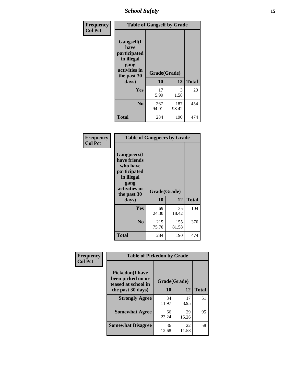*School Safety* **15**

| Frequency      |                                                                                                           | <b>Table of Gangself by Grade</b> |              |              |
|----------------|-----------------------------------------------------------------------------------------------------------|-----------------------------------|--------------|--------------|
| <b>Col Pct</b> | <b>Gangself</b> (I<br>have<br>participated<br>in illegal<br>gang<br>activities in<br>the past 30<br>days) | Grade(Grade)<br>10                | 12           | <b>Total</b> |
|                | Yes                                                                                                       | 17<br>5.99                        | 3<br>1.58    | 20           |
|                | N <sub>0</sub>                                                                                            | 267<br>94.01                      | 187<br>98.42 | 454          |
|                | <b>Total</b>                                                                                              | 284                               | 190          | 474          |

| Frequency<br><b>Col Pct</b> | <b>Table of Gangpeers by Grade</b>                                                                                             |                    |              |              |
|-----------------------------|--------------------------------------------------------------------------------------------------------------------------------|--------------------|--------------|--------------|
|                             | <b>Gangpeers</b> (I<br>have friends<br>who have<br>participated<br>in illegal<br>gang<br>activities in<br>the past 30<br>days) | Grade(Grade)<br>10 | 12           | <b>Total</b> |
|                             | <b>Yes</b>                                                                                                                     | 69<br>24.30        | 35<br>18.42  | 104          |
|                             | N <sub>0</sub>                                                                                                                 | 215<br>75.70       | 155<br>81.58 | 370          |
|                             | <b>Total</b>                                                                                                                   | 284                | 190          | 474          |

| Frequency      |                                                                                          | <b>Table of Pickedon by Grade</b> |             |              |  |  |  |  |
|----------------|------------------------------------------------------------------------------------------|-----------------------------------|-------------|--------------|--|--|--|--|
| <b>Col Pct</b> | <b>Pickedon</b> (I have<br>been picked on or<br>teased at school in<br>the past 30 days) | Grade(Grade)<br>10                | 12          | <b>Total</b> |  |  |  |  |
|                | <b>Strongly Agree</b>                                                                    | 34<br>11.97                       | 17<br>8.95  | 51           |  |  |  |  |
|                | <b>Somewhat Agree</b>                                                                    | 66<br>23.24                       | 29<br>15.26 | 95           |  |  |  |  |
|                | <b>Somewhat Disagree</b>                                                                 | 36<br>12.68                       | 22<br>11.58 | 58           |  |  |  |  |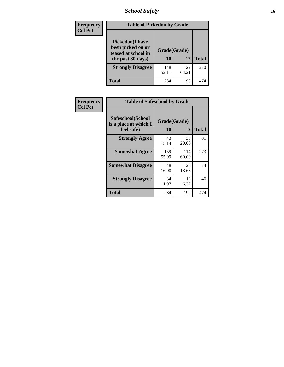### *School Safety* **16**

| <b>Frequency</b> |                                                                                          | <b>Table of Pickedon by Grade</b> |              |              |  |  |  |  |  |
|------------------|------------------------------------------------------------------------------------------|-----------------------------------|--------------|--------------|--|--|--|--|--|
| <b>Col Pct</b>   | <b>Pickedon</b> (I have<br>been picked on or<br>teased at school in<br>the past 30 days) | Grade(Grade)<br>10                | 12           | <b>Total</b> |  |  |  |  |  |
|                  | <b>Strongly Disagree</b>                                                                 | 148<br>52.11                      | 122<br>64.21 | 270          |  |  |  |  |  |
|                  | Total                                                                                    | 284                               | 190          | 474          |  |  |  |  |  |

| Frequency      | <b>Table of Safeschool by Grade</b>                      |                    |              |              |
|----------------|----------------------------------------------------------|--------------------|--------------|--------------|
| <b>Col Pct</b> | Safeschool(School<br>is a place at which I<br>feel safe) | Grade(Grade)<br>10 | 12           | <b>Total</b> |
|                | <b>Strongly Agree</b>                                    | 43<br>15.14        | 38<br>20.00  | 81           |
|                | <b>Somewhat Agree</b>                                    | 159<br>55.99       | 114<br>60.00 | 273          |
|                | <b>Somewhat Disagree</b>                                 | 48<br>16.90        | 26<br>13.68  | 74           |
|                | <b>Strongly Disagree</b>                                 | 34<br>11.97        | 12<br>6.32   | 46           |
|                | <b>Total</b>                                             | 284                | 190          | 474          |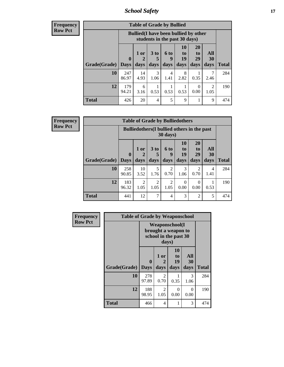*School Safety* **17**

**Frequency Row Pct**

| <b>Table of Grade by Bullied</b> |                         |                                                                               |                              |                   |                        |                        |                          |              |
|----------------------------------|-------------------------|-------------------------------------------------------------------------------|------------------------------|-------------------|------------------------|------------------------|--------------------------|--------------|
|                                  |                         | <b>Bullied</b> (I have been bullied by other<br>students in the past 30 days) |                              |                   |                        |                        |                          |              |
| Grade(Grade)                     | $\bf{0}$<br><b>Days</b> | 1 or<br>2<br>days                                                             | 3 <sub>to</sub><br>5<br>days | 6 to<br>9<br>days | 10<br>to<br>19<br>days | 20<br>to<br>29<br>days | All<br><b>30</b><br>days | <b>Total</b> |
| 10                               | 247<br>86.97            | 14<br>4.93                                                                    | 3<br>1.06                    | 4<br>1.41         | 8<br>2.82              | 0.35                   | 2.46                     | 284          |
| 12                               | 179<br>94.21            | 6<br>3.16                                                                     | 0.53                         | 0.53              | 0.53                   | $\Omega$<br>0.00       | $\mathfrak{D}$<br>1.05   | 190          |
| Total                            | 426                     | 20                                                                            | $\overline{4}$               | 5                 | 9                      |                        | 9                        | 474          |

**Frequency Row Pct**

| <b>Table of Grade by Bulliedothers</b> |              |                                                                         |                        |                        |                  |                        |           |              |
|----------------------------------------|--------------|-------------------------------------------------------------------------|------------------------|------------------------|------------------|------------------------|-----------|--------------|
|                                        |              | <b>Bulliedothers</b> (I bullied others in the past<br>$30 \text{ days}$ |                        |                        |                  |                        |           |              |
|                                        | $\mathbf{0}$ | 1 or                                                                    | 3 <sub>to</sub><br>5   | 6 to<br>9              | 10<br>to<br>19   | <b>20</b><br>to<br>29  | All<br>30 |              |
| <b>Grade(Grade)</b>                    | <b>Days</b>  | days                                                                    | days                   | days                   | days             | days                   | days      | <b>Total</b> |
| 10                                     | 258<br>90.85 | 10<br>3.52                                                              | 5<br>1.76              | $\mathfrak{D}$<br>0.70 | 3<br>1.06        | $\overline{2}$<br>0.70 | 4<br>1.41 | 284          |
| 12                                     | 183<br>96.32 | $\overline{2}$<br>1.05                                                  | $\overline{2}$<br>1.05 | $\overline{c}$<br>1.05 | $\Omega$<br>0.00 | $\Omega$<br>0.00       | 0.53      | 190          |
| <b>Total</b>                           | 441          | 12                                                                      | 7                      | $\overline{4}$         | 3                | $\overline{2}$         | 5         | 474          |

| <b>Frequency</b> |              | <b>Table of Grade by Weaponschool</b> |                        |                                                                        |                   |              |  |  |  |  |
|------------------|--------------|---------------------------------------|------------------------|------------------------------------------------------------------------|-------------------|--------------|--|--|--|--|
| <b>Row Pct</b>   |              |                                       | days)                  | <b>Weaponschool</b> (I<br>brought a weapon to<br>school in the past 30 |                   |              |  |  |  |  |
|                  | Grade(Grade) | $\bf{0}$<br><b>Days</b>               | 1 or<br>2<br>days      | 10<br>to<br>19<br>days                                                 | All<br>30<br>days | <b>Total</b> |  |  |  |  |
|                  | 10           | 278<br>97.89                          | 2<br>0.70              | 0.35                                                                   | 3<br>1.06         | 284          |  |  |  |  |
|                  | 12           | 188<br>98.95                          | $\mathfrak{D}$<br>1.05 | 0<br>0.00                                                              | $\Omega$<br>0.00  | 190          |  |  |  |  |
|                  | <b>Total</b> | 466                                   | 4                      | 1                                                                      | 3                 | 474          |  |  |  |  |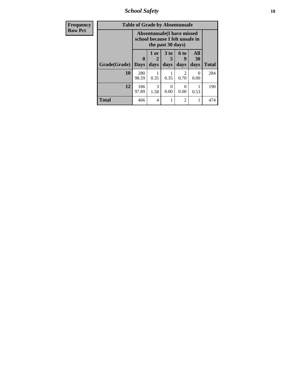*School Safety* **18**

| <b>Frequency</b> | <b>Table of Grade by Absentunsafe</b> |                         |                                                                                     |                         |                   |                   |              |  |
|------------------|---------------------------------------|-------------------------|-------------------------------------------------------------------------------------|-------------------------|-------------------|-------------------|--------------|--|
| <b>Row Pct</b>   |                                       |                         | Absentunsafe (I have missed<br>school because I felt unsafe in<br>the past 30 days) |                         |                   |                   |              |  |
|                  | Grade(Grade)                          | $\bf{0}$<br><b>Days</b> | 1 or<br>days                                                                        | 3 <sub>to</sub><br>days | 6 to<br>g<br>days | All<br>30<br>days | <b>Total</b> |  |
|                  | 10                                    | 280<br>98.59            | 0.35                                                                                | 0.35                    | 2<br>0.70         | $\Omega$<br>0.00  | 284          |  |
|                  | 12                                    | 186<br>97.89            | 3<br>1.58                                                                           | 0.00                    | 0<br>0.00         | 0.53              | 190          |  |
|                  | Total                                 | 466                     | $\overline{4}$                                                                      |                         | 2                 |                   | 474          |  |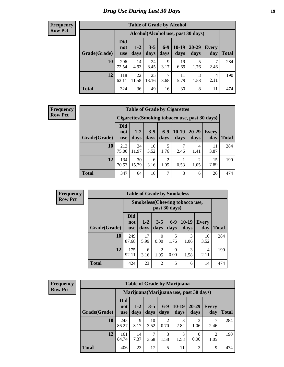#### **Frequency Row Pct**

| <b>Table of Grade by Alcohol</b> |                                 |                 |                 |               |                 |                                     |              |       |
|----------------------------------|---------------------------------|-----------------|-----------------|---------------|-----------------|-------------------------------------|--------------|-------|
|                                  |                                 |                 |                 |               |                 | Alcohol (Alcohol use, past 30 days) |              |       |
| Grade(Grade)                     | <b>Did</b><br>not<br><b>use</b> | $1 - 2$<br>days | $3 - 5$<br>days | $6-9$<br>days | $10-19$<br>days | $20 - 29$<br>days                   | Every<br>day | Total |
| 10                               | 206<br>72.54                    | 14<br>4.93      | 24<br>8.45      | 9<br>3.17     | 19<br>6.69      | 5<br>1.76                           | 7<br>2.46    | 284   |
| 12                               | 118<br>62.11                    | 22<br>11.58     | 25<br>13.16     | 7<br>3.68     | 11<br>5.79      | 3<br>1.58                           | 4<br>2.11    | 190   |
| <b>Total</b>                     | 324                             | 36              | 49              | 16            | 30              | 8                                   | 11           | 474   |

#### **Frequency Row Pct**

| <b>Table of Grade by Cigarettes</b> |                          |                                                |                 |               |                 |                   |                     |       |  |
|-------------------------------------|--------------------------|------------------------------------------------|-----------------|---------------|-----------------|-------------------|---------------------|-------|--|
|                                     |                          | Cigarettes (Smoking tobacco use, past 30 days) |                 |               |                 |                   |                     |       |  |
| Grade(Grade)                        | Did<br>not<br><b>use</b> | $1 - 2$<br>days                                | $3 - 5$<br>days | $6-9$<br>days | $10-19$<br>days | $20 - 29$<br>days | <b>Every</b><br>day | Total |  |
| 10                                  | 213<br>75.00             | 34<br>11.97                                    | 10<br>3.52      | 5<br>1.76     | 2.46            | 4<br>1.41         | 11<br>3.87          | 284   |  |
| 12                                  | 134<br>70.53             | 30<br>15.79                                    | 6<br>3.16       | 2<br>1.05     | 0.53            | 2<br>1.05         | 15<br>7.89          | 190   |  |
| <b>Total</b>                        | 347                      | 64                                             | 16              | 7             | 8               | 6                 | 26                  | 474   |  |

| Frequency      | <b>Table of Grade by Smokeless</b> |                                 |                 |                  |               |                                       |                     |              |
|----------------|------------------------------------|---------------------------------|-----------------|------------------|---------------|---------------------------------------|---------------------|--------------|
| <b>Row Pct</b> |                                    |                                 |                 |                  | past 30 days) | <b>Smokeless</b> (Chewing tobaccouse, |                     |              |
|                | Grade(Grade)                       | <b>Did</b><br>not<br><b>use</b> | $1 - 2$<br>days | $3 - 5$<br>days  | $6-9$<br>days | $10-19$<br>days                       | <b>Every</b><br>day | <b>Total</b> |
|                | 10                                 | 249<br>87.68                    | 17<br>5.99      | $\Omega$<br>0.00 | 1.76          | 3<br>1.06                             | 10<br>3.52          | 284          |
|                | 12                                 | 175<br>92.11                    | 6<br>3.16       | 2<br>1.05        | 0<br>0.00     | 3<br>1.58                             | 4<br>2.11           | 190          |
|                | <b>Total</b>                       | 424                             | 23              | $\overline{2}$   | 5             | 6                                     | 14                  | 474          |

| <b>Frequency</b> |
|------------------|
| <b>Row Pct</b>   |

| <b>Table of Grade by Marijuana</b> |                                                                                             |                                                                                                                    |            |           |           |                                         |      |     |  |
|------------------------------------|---------------------------------------------------------------------------------------------|--------------------------------------------------------------------------------------------------------------------|------------|-----------|-----------|-----------------------------------------|------|-----|--|
|                                    |                                                                                             |                                                                                                                    |            |           |           | Marijuana (Marijuana use, past 30 days) |      |     |  |
| Grade(Grade)                       | <b>Did</b><br>not<br><b>use</b>                                                             | $6 - 9$<br>$10-19$<br>$3 - 5$<br>20-29<br>$1 - 2$<br>Every<br>days<br>days<br>days<br>days<br>day<br>Total<br>days |            |           |           |                                         |      |     |  |
| 10                                 | 245<br>86.27                                                                                | 9<br>3.17                                                                                                          | 10<br>3.52 | 2<br>0.70 | 8<br>2.82 | 1.06                                    | 2.46 | 284 |  |
| 12                                 | 7<br>3<br>3<br>161<br>14<br>2<br>0<br>84.74<br>7.37<br>1.58<br>0.00<br>1.58<br>3.68<br>1.05 |                                                                                                                    |            |           |           |                                         |      |     |  |
| <b>Total</b>                       | 406                                                                                         | 23                                                                                                                 | 17         | 5         | 11        | 3                                       | 9    | 474 |  |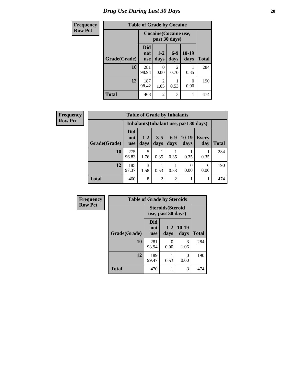### *Drug Use During Last 30 Days* 20

| Frequency      | <b>Table of Grade by Cocaine</b> |                                 |                                        |                                     |                  |              |  |  |
|----------------|----------------------------------|---------------------------------|----------------------------------------|-------------------------------------|------------------|--------------|--|--|
| <b>Row Pct</b> |                                  |                                 | Cocaine (Cocaine use,<br>past 30 days) |                                     |                  |              |  |  |
|                | Grade(Grade)                     | <b>Did</b><br>not<br><b>use</b> | $1 - 2$<br>days                        | $6-9$<br>days                       | $10-19$<br>days  | <b>Total</b> |  |  |
|                | 10                               | 281<br>98.94                    | 0.00                                   | $\mathcal{D}_{\mathcal{L}}$<br>0.70 | 0.35             | 284          |  |  |
|                | 12                               | 187<br>98.42                    | 2<br>1.05                              | 0.53                                | $\theta$<br>0.00 | 190          |  |  |
|                | <b>Total</b>                     | 468                             | $\overline{2}$                         | 3                                   |                  | 474          |  |  |

| Frequency      |              | <b>Table of Grade by Inhalants</b> |                                        |                 |               |                  |              |              |  |
|----------------|--------------|------------------------------------|----------------------------------------|-----------------|---------------|------------------|--------------|--------------|--|
| <b>Row Pct</b> |              |                                    | Inhalants (Inhalant use, past 30 days) |                 |               |                  |              |              |  |
|                | Grade(Grade) | <b>Did</b><br>not<br><b>use</b>    | $1-2$<br>days                          | $3 - 5$<br>days | $6-9$<br>days | $10-19$<br>days  | Every<br>day | <b>Total</b> |  |
|                | 10           | 275<br>96.83                       | 1.76                                   | 0.35            | 0.35          | 0.35             | 0.35         | 284          |  |
|                | 12           | 185<br>97.37                       | 3<br>1.58                              | 0.53            | 0.53          | $\Omega$<br>0.00 | 0<br>0.00    | 190          |  |
|                | Total        | 460                                | 8                                      | $\overline{c}$  | 2             |                  | 1            | 474          |  |

| <b>Frequency</b> | <b>Table of Grade by Steroids</b> |                                                |                 |                  |              |  |  |  |  |  |
|------------------|-----------------------------------|------------------------------------------------|-----------------|------------------|--------------|--|--|--|--|--|
| <b>Row Pct</b>   |                                   | <b>Steroids</b> (Steroid<br>use, past 30 days) |                 |                  |              |  |  |  |  |  |
|                  | Grade(Grade)                      | Did<br>not<br><b>use</b>                       | $1 - 2$<br>days | $10-19$<br>days  | <b>Total</b> |  |  |  |  |  |
|                  | 10                                | 281<br>98.94                                   | 0<br>0.00       | 3<br>1.06        | 284          |  |  |  |  |  |
|                  | 12                                | 189<br>99.47                                   | 0.53            | $\Omega$<br>0.00 | 190          |  |  |  |  |  |
|                  | <b>Total</b>                      | 470                                            |                 | 3                | 474          |  |  |  |  |  |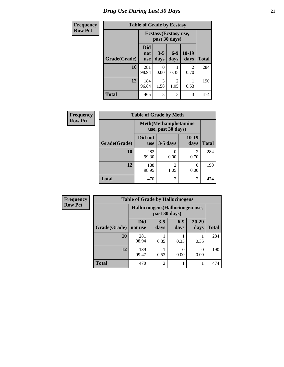### *Drug Use During Last 30 Days* **21**

| <b>Frequency</b> | <b>Table of Grade by Ecstasy</b> |                          |                                        |               |                 |              |
|------------------|----------------------------------|--------------------------|----------------------------------------|---------------|-----------------|--------------|
| <b>Row Pct</b>   |                                  |                          | Ecstasy (Ecstasy use,<br>past 30 days) |               |                 |              |
|                  | Grade(Grade)                     | Did<br>not<br><b>use</b> | $3 - 5$<br>days                        | $6-9$<br>days | $10-19$<br>days | <b>Total</b> |
|                  | 10                               | 281<br>98.94             | $\Omega$<br>0.00                       | 0.35          | 2<br>0.70       | 284          |
|                  | 12                               | 184<br>96.84             | 3<br>1.58                              | 2<br>1.05     | 0.53            | 190          |
|                  | <b>Total</b>                     | 465                      | 3                                      | 3             | 3               | 474          |

| Frequency      |              |                       | <b>Table of Grade by Meth</b>                      |               |              |  |  |  |
|----------------|--------------|-----------------------|----------------------------------------------------|---------------|--------------|--|--|--|
| <b>Row Pct</b> |              |                       | <b>Meth</b> (Methamphetamine<br>use, past 30 days) |               |              |  |  |  |
|                | Grade(Grade) | Did not<br><b>use</b> | $3-5$ days                                         | 10-19<br>days | <b>Total</b> |  |  |  |
|                | 10           | 282<br>99.30          | $\mathbf{\Omega}$<br>0.00                          | 2<br>0.70     | 284          |  |  |  |
|                | 12           | 188<br>98.95          | 2<br>1.05                                          | 0<br>0.00     | 190          |  |  |  |
|                | <b>Total</b> | 470                   | $\overline{c}$                                     | 2             | 474          |  |  |  |

| <b>Frequency</b> | <b>Table of Grade by Hallucinogens</b> |                       |                                                   |               |               |              |  |
|------------------|----------------------------------------|-----------------------|---------------------------------------------------|---------------|---------------|--------------|--|
| <b>Row Pct</b>   |                                        |                       | Hallucinogens (Hallucinogen use,<br>past 30 days) |               |               |              |  |
|                  | Grade(Grade)                           | <b>Did</b><br>not use | $3 - 5$<br>days                                   | $6-9$<br>days | 20-29<br>days | <b>Total</b> |  |
|                  | 10                                     | 281<br>98.94          | 0.35                                              | 0.35          | 0.35          | 284          |  |
|                  | 12                                     | 189<br>99.47          | 0.53                                              | 0.00          | 0<br>0.00     | 190          |  |
|                  | <b>Total</b>                           | 470                   | $\mathfrak{D}$                                    |               |               | 474          |  |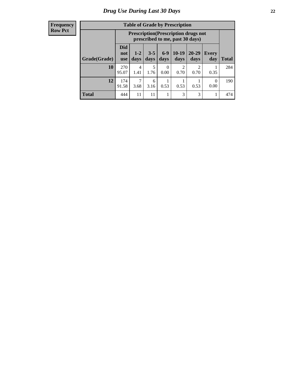#### **Frequency Row Pct**

| <b>Table of Grade by Prescription</b> |                                 |                                                                                                                      |           |                  |           |                                     |      |     |  |  |
|---------------------------------------|---------------------------------|----------------------------------------------------------------------------------------------------------------------|-----------|------------------|-----------|-------------------------------------|------|-----|--|--|
|                                       |                                 | <b>Prescription</b> (Prescription drugs not<br>prescribed to me, past 30 days)                                       |           |                  |           |                                     |      |     |  |  |
| Grade(Grade)                          | <b>Did</b><br>not<br><b>use</b> | $6-9$<br>$10-19$<br>$20 - 29$<br>$3 - 5$<br>$1 - 2$<br>Every<br>days<br>days<br>days<br>days<br>day<br>Total<br>days |           |                  |           |                                     |      |     |  |  |
| 10                                    | 270<br>95.07                    | 4<br>1.41                                                                                                            | 5<br>1.76 | $\Omega$<br>0.00 | 2<br>0.70 | $\mathcal{D}_{\mathcal{L}}$<br>0.70 | 0.35 | 284 |  |  |
| 12                                    | 174<br>91.58                    | 7<br>6<br>$\Omega$<br>0.53<br>0.53<br>0.53<br>3.68<br>3.16<br>0.00                                                   |           |                  |           |                                     |      |     |  |  |
| <b>Total</b>                          | 444                             | 11                                                                                                                   | 11        |                  | 3         | 3                                   |      | 474 |  |  |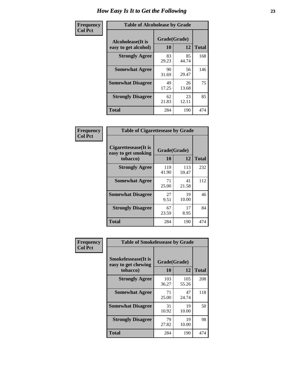| Frequency      | <b>Table of Alcoholease by Grade</b>              |                    |             |              |  |  |
|----------------|---------------------------------------------------|--------------------|-------------|--------------|--|--|
| <b>Col Pct</b> | <b>Alcoholease</b> (It is<br>easy to get alcohol) | Grade(Grade)<br>10 | 12          | <b>Total</b> |  |  |
|                | <b>Strongly Agree</b>                             | 83<br>29.23        | 85<br>44.74 | 168          |  |  |
|                | <b>Somewhat Agree</b>                             | 90<br>31.69        | 56<br>29.47 | 146          |  |  |
|                | <b>Somewhat Disagree</b>                          | 49<br>17.25        | 26<br>13.68 | 75           |  |  |
|                | <b>Strongly Disagree</b>                          | 62<br>21.83        | 23<br>12.11 | 85           |  |  |
|                | <b>Total</b>                                      | 284                | 190         | 474          |  |  |

| Frequency |  |
|-----------|--|
| Col Pct   |  |

|                                                         | <b>Table of Cigarettesease by Grade</b> |              |              |  |  |  |
|---------------------------------------------------------|-----------------------------------------|--------------|--------------|--|--|--|
| Cigarettesease(It is<br>easy to get smoking<br>tobacco) | Grade(Grade)<br>10                      | 12           | <b>Total</b> |  |  |  |
| <b>Strongly Agree</b>                                   | 119<br>41.90                            | 113<br>59.47 | 232          |  |  |  |
| <b>Somewhat Agree</b>                                   | 71<br>25.00                             | 41<br>21.58  | 112          |  |  |  |
| <b>Somewhat Disagree</b>                                | 27<br>9.51                              | 19<br>10.00  | 46           |  |  |  |
| <b>Strongly Disagree</b>                                | 67<br>23.59                             | 17<br>8.95   | 84           |  |  |  |
| Total                                                   | 284                                     | 190          | 474          |  |  |  |

| Frequency      | <b>Table of Smokelessease by Grade</b>             |              |              |              |  |
|----------------|----------------------------------------------------|--------------|--------------|--------------|--|
| <b>Col Pct</b> | <b>Smokelessease</b> (It is<br>easy to get chewing | Grade(Grade) |              |              |  |
|                | tobacco)                                           | 10           | 12           | <b>Total</b> |  |
|                | <b>Strongly Agree</b>                              | 103<br>36.27 | 105<br>55.26 | 208          |  |
|                | <b>Somewhat Agree</b>                              | 71<br>25.00  | 47<br>24.74  | 118          |  |
|                | <b>Somewhat Disagree</b>                           | 31<br>10.92  | 19<br>10.00  | 50           |  |
|                | <b>Strongly Disagree</b>                           | 79<br>27.82  | 19<br>10.00  | 98           |  |
|                | <b>Total</b>                                       | 284          | 190          | 474          |  |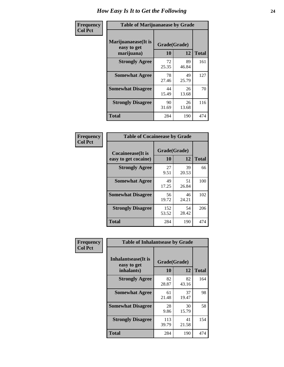| Frequency      | <b>Table of Marijuanaease by Grade</b>           |             |                    |     |  |  |  |  |  |  |  |
|----------------|--------------------------------------------------|-------------|--------------------|-----|--|--|--|--|--|--|--|
| <b>Col Pct</b> | Marijuanaease(It is<br>easy to get<br>marijuana) | <b>10</b>   | Grade(Grade)<br>12 |     |  |  |  |  |  |  |  |
|                | <b>Strongly Agree</b>                            | 72<br>25.35 | 89<br>46.84        | 161 |  |  |  |  |  |  |  |
|                | <b>Somewhat Agree</b>                            | 78<br>27.46 | 49<br>25.79        | 127 |  |  |  |  |  |  |  |
|                | <b>Somewhat Disagree</b>                         | 44<br>15.49 | 26<br>13.68        | 70  |  |  |  |  |  |  |  |
|                | <b>Strongly Disagree</b>                         | 90<br>31.69 | 26<br>13.68        | 116 |  |  |  |  |  |  |  |
|                | <b>Total</b>                                     | 284         | 190                | 474 |  |  |  |  |  |  |  |

| <b>Table of Cocaineease by Grade</b>      |                    |             |              |  |  |  |  |  |  |  |
|-------------------------------------------|--------------------|-------------|--------------|--|--|--|--|--|--|--|
| Cocaineease(It is<br>easy to get cocaine) | Grade(Grade)<br>10 | 12          | <b>Total</b> |  |  |  |  |  |  |  |
| <b>Strongly Agree</b>                     | 27<br>9.51         | 39<br>20.53 | 66           |  |  |  |  |  |  |  |
| <b>Somewhat Agree</b>                     | 49<br>17.25        | 51<br>26.84 | 100          |  |  |  |  |  |  |  |
| <b>Somewhat Disagree</b>                  | 56<br>19.72        | 46<br>24.21 | 102          |  |  |  |  |  |  |  |
| <b>Strongly Disagree</b>                  | 152<br>53.52       | 54<br>28.42 | 206          |  |  |  |  |  |  |  |
| <b>Total</b>                              | 284                | 190         | 474          |  |  |  |  |  |  |  |

| Frequency      | <b>Table of Inhalantsease by Grade</b>           |                    |             |              |  |  |  |  |
|----------------|--------------------------------------------------|--------------------|-------------|--------------|--|--|--|--|
| <b>Col Pct</b> | Inhalantsease(It is<br>easy to get<br>inhalants) | Grade(Grade)<br>10 | 12          | <b>Total</b> |  |  |  |  |
|                | <b>Strongly Agree</b>                            | 82<br>28.87        | 82<br>43.16 | 164          |  |  |  |  |
|                | <b>Somewhat Agree</b>                            | 61<br>21.48        | 37<br>19.47 | 98           |  |  |  |  |
|                | <b>Somewhat Disagree</b>                         | 28<br>9.86         | 30<br>15.79 | 58           |  |  |  |  |
|                | <b>Strongly Disagree</b>                         | 113<br>39.79       | 41<br>21.58 | 154          |  |  |  |  |
|                | <b>Total</b>                                     | 284                | 190         | 474          |  |  |  |  |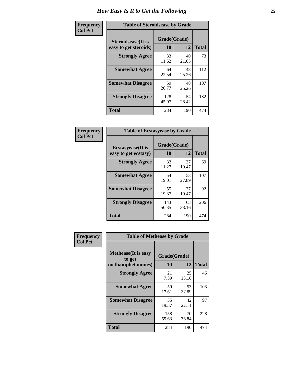| Frequency      |                                                     | <b>Table of Steroidsease by Grade</b> |             |              |  |  |  |
|----------------|-----------------------------------------------------|---------------------------------------|-------------|--------------|--|--|--|
| <b>Col Pct</b> | <b>Steroidsease</b> (It is<br>easy to get steroids) | Grade(Grade)<br>10                    | 12          | <b>Total</b> |  |  |  |
|                | <b>Strongly Agree</b>                               | 33<br>11.62                           | 40<br>21.05 | 73           |  |  |  |
|                | <b>Somewhat Agree</b>                               | 64<br>22.54                           | 48<br>25.26 | 112          |  |  |  |
|                | <b>Somewhat Disagree</b>                            | 59<br>20.77                           | 48<br>25.26 | 107          |  |  |  |
|                | <b>Strongly Disagree</b>                            | 128<br>45.07                          | 54<br>28.42 | 182          |  |  |  |
|                | <b>Total</b>                                        | 284                                   | 190         | 474          |  |  |  |

| Frequency      | <b>Table of Ecstasyease by Grade</b>              |                           |             |              |
|----------------|---------------------------------------------------|---------------------------|-------------|--------------|
| <b>Col Pct</b> | <b>Ecstasyease</b> (It is<br>easy to get ecstasy) | Grade(Grade)<br><b>10</b> | 12          | <b>Total</b> |
|                | <b>Strongly Agree</b>                             | 32<br>11.27               | 37<br>19.47 | 69           |
|                | <b>Somewhat Agree</b>                             | 54<br>19.01               | 53<br>27.89 | 107          |
|                | <b>Somewhat Disagree</b>                          | 55<br>19.37               | 37<br>19.47 | 92           |
|                | <b>Strongly Disagree</b>                          | 143<br>50.35              | 63<br>33.16 | 206          |
|                | <b>Total</b>                                      | 284                       | 190         | 474          |

| Frequency      | <b>Table of Methease by Grade</b>                          |                    |             |              |
|----------------|------------------------------------------------------------|--------------------|-------------|--------------|
| <b>Col Pct</b> | <b>Methease</b> (It is easy<br>to get<br>methamphetamines) | Grade(Grade)<br>10 | 12          | <b>Total</b> |
|                | <b>Strongly Agree</b>                                      | 21<br>7.39         | 25<br>13.16 | 46           |
|                | <b>Somewhat Agree</b>                                      | 50<br>17.61        | 53<br>27.89 | 103          |
|                | <b>Somewhat Disagree</b>                                   | 55<br>19.37        | 42<br>22.11 | 97           |
|                | <b>Strongly Disagree</b>                                   | 158<br>55.63       | 70<br>36.84 | 228          |
|                | <b>Total</b>                                               | 284                | 190         | 474          |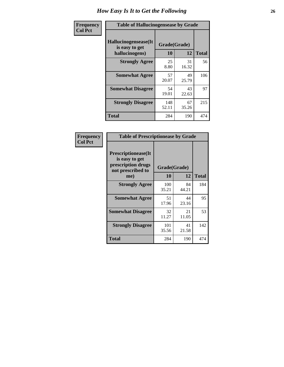| <b>Frequency</b> | <b>Table of Hallucinogensease by Grade</b>               |                    |             |              |  |  |  |  |  |  |  |
|------------------|----------------------------------------------------------|--------------------|-------------|--------------|--|--|--|--|--|--|--|
| <b>Col Pct</b>   | Hallucinogensease(It<br>is easy to get<br>hallucinogens) | Grade(Grade)<br>10 | 12          | <b>Total</b> |  |  |  |  |  |  |  |
|                  | <b>Strongly Agree</b>                                    | 25<br>8.80         | 31<br>16.32 | 56           |  |  |  |  |  |  |  |
|                  | <b>Somewhat Agree</b>                                    | 57<br>20.07        | 49<br>25.79 | 106          |  |  |  |  |  |  |  |
|                  | <b>Somewhat Disagree</b>                                 | 54<br>19.01        | 43<br>22.63 | 97           |  |  |  |  |  |  |  |
|                  | <b>Strongly Disagree</b>                                 | 148<br>52.11       | 67<br>35.26 | 215          |  |  |  |  |  |  |  |
|                  | <b>Total</b>                                             | 284                | 190         | 474          |  |  |  |  |  |  |  |

| Frequency<br>Col Pct |
|----------------------|
|                      |

|                                                                                          | <b>Table of Prescriptionease by Grade</b> |              |              |  |  |  |  |  |  |  |  |
|------------------------------------------------------------------------------------------|-------------------------------------------|--------------|--------------|--|--|--|--|--|--|--|--|
| <b>Prescriptionease</b> (It<br>is easy to get<br>prescription drugs<br>not prescribed to |                                           | Grade(Grade) |              |  |  |  |  |  |  |  |  |
| me)                                                                                      | 10                                        | 12           | <b>Total</b> |  |  |  |  |  |  |  |  |
| <b>Strongly Agree</b>                                                                    | 100<br>35.21                              | 84<br>44.21  | 184          |  |  |  |  |  |  |  |  |
| <b>Somewhat Agree</b>                                                                    | 51<br>17.96                               | 44<br>23.16  | 95           |  |  |  |  |  |  |  |  |
| <b>Somewhat Disagree</b>                                                                 | 32<br>11.27                               | 21<br>11.05  | 53           |  |  |  |  |  |  |  |  |
| <b>Strongly Disagree</b>                                                                 | 101<br>35.56                              | 41<br>21.58  | 142          |  |  |  |  |  |  |  |  |
| Total                                                                                    | 284                                       | 190          | 474          |  |  |  |  |  |  |  |  |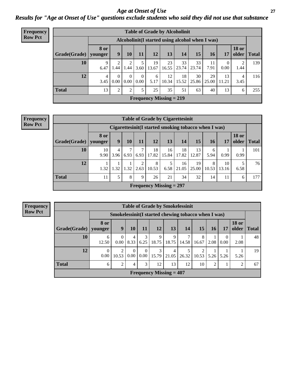*Age at Onset of Use* **27** *Results for "Age at Onset of Use" questions exclude students who said they did not use that substance*

| <b>Frequency</b> | <b>Table of Grade by Alcoholinit</b> |                        |                                                  |                        |                  |             |                           |             |             |             |                  |                       |              |
|------------------|--------------------------------------|------------------------|--------------------------------------------------|------------------------|------------------|-------------|---------------------------|-------------|-------------|-------------|------------------|-----------------------|--------------|
| <b>Row Pct</b>   |                                      |                        | Alcoholinit (I started using alcohol when I was) |                        |                  |             |                           |             |             |             |                  |                       |              |
|                  | Grade(Grade)                         | <b>8 or</b><br>younger | 9                                                | 10                     | 11               | <b>12</b>   | 13                        | 14          | 15          | <b>16</b>   | 17               | <b>18 or</b><br>older | <b>Total</b> |
|                  | 10                                   | $\mathbf Q$<br>6.47    | ↑<br>.44                                         | $\overline{2}$<br>1.44 | 5<br>3.60        | 19<br>13.67 | 23<br>16.55               | 33<br>23.74 | 33<br>23.74 | 11<br>7.91  | $\theta$<br>0.00 | ∍<br>1.44             | 139          |
|                  | 12                                   | 4<br>3.45              | $\Omega$<br>$0.00\,$                             | $\Omega$<br>0.00       | $\Omega$<br>0.00 | 6<br>5.17   | 12<br>10.34               | 18<br>15.52 | 30<br>25.86 | 29<br>25.00 | 13<br>  11.21    | 4<br>3.45             | 116          |
|                  | <b>Total</b>                         | 13                     | $\overline{2}$                                   | 2                      | 5                | 25          | 35                        | 51          | 63          | 40          | 13               | 6                     | 255          |
|                  |                                      |                        |                                                  |                        |                  |             | Frequency Missing $= 219$ |             |             |             |                  |                       |              |

#### **Frequency Row Pct**

| <b>Table of Grade by Cigarettesinit</b> |                                                       |                                                                                            |      |           |                           |             |             |             |            |             |           |     |  |
|-----------------------------------------|-------------------------------------------------------|--------------------------------------------------------------------------------------------|------|-----------|---------------------------|-------------|-------------|-------------|------------|-------------|-----------|-----|--|
|                                         | Cigarettesinit (I started smoking tobacco when I was) |                                                                                            |      |           |                           |             |             |             |            |             |           |     |  |
| Grade(Grade)                            | 8 or<br>younger                                       | <b>18 or</b><br>12<br>15<br>9<br>13<br>older<br>11<br>14<br>10<br>17<br>16<br><b>Total</b> |      |           |                           |             |             |             |            |             |           |     |  |
| 10                                      | 10<br>9.90                                            | 4<br>3.96                                                                                  | 6.93 | 7<br>6.93 | 18<br>17.82               | 16<br>15.84 | 18<br>17.82 | 13<br>12.87 | 6<br>5.94  | 0.99        | 0.99      | 101 |  |
| 12                                      | 1.32                                                  | 1.32                                                                                       | 1.32 | 2<br>2.63 | 8<br>10.53                | 5<br>6.58   | 16<br>21.05 | 19<br>25.00 | 8<br>10.53 | 10<br>13.16 | 5<br>6.58 | 76  |  |
| <b>Total</b>                            | 11                                                    | 5                                                                                          | 8    | 9         | 26                        | 21          | 34          | 32          | 14         | 11          | 6         | 177 |  |
|                                         |                                                       |                                                                                            |      |           | Frequency Missing $= 297$ |             |             |             |            |             |           |     |  |

**Frequency Row Pct**

|              | <b>Table of Grade by Smokelessinit</b> |                                                     |                  |                  |                                             |            |            |                         |                |                  |                       |              |
|--------------|----------------------------------------|-----------------------------------------------------|------------------|------------------|---------------------------------------------|------------|------------|-------------------------|----------------|------------------|-----------------------|--------------|
|              |                                        | Smokelessinit(I started chewing tobacco when I was) |                  |                  |                                             |            |            |                         |                |                  |                       |              |
| Grade(Grade) | <b>8 or</b><br>younger                 | 9                                                   | <b>10</b>        | 11               | 12                                          | 13         | 14         | <b>15</b>               | 16             | 17               | <b>18 or</b><br>older | <b>Total</b> |
| 10           | 6<br>12.50                             | $\Omega$<br>$0.00\degree$                           | 4<br>8.33        | 3<br>6.25        | 9<br>18.75                                  | 9<br>18.75 | 14.58      | 8<br>16.67              | 2.08           | $\Omega$<br>0.00 | 2.08                  | 48           |
| 12           | $\Omega$<br>0.00                       | $\overline{2}$<br>10.53                             | $\Omega$<br>0.00 | $\left($<br>0.00 | 3<br>15.79                                  | 4<br>21.05 | 5<br>26.32 | $\mathfrak{D}$<br>10.53 | 5.26           | 5.26             | 5.26                  | 19           |
| <b>Total</b> | 6                                      | $\overline{2}$                                      | 4                | 3                | 12                                          | 13         | 12         | 10                      | $\overline{2}$ |                  | 2                     | 67           |
|              |                                        |                                                     |                  |                  | <b>Frequency Missing <math>= 407</math></b> |            |            |                         |                |                  |                       |              |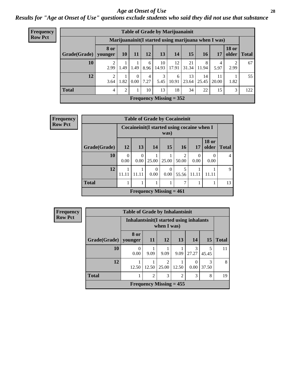#### *Age at Onset of Use* **28**

### *Results for "Age at Onset of Use" questions exclude students who said they did not use that substance*

| Frequency      |                                                      |                       |           |           |           | <b>Table of Grade by Marijuanainit</b> |             |                       |            |             |                       |              |
|----------------|------------------------------------------------------|-----------------------|-----------|-----------|-----------|----------------------------------------|-------------|-----------------------|------------|-------------|-----------------------|--------------|
| <b>Row Pct</b> | Marijuanainit (I started using marijuana when I was) |                       |           |           |           |                                        |             |                       |            |             |                       |              |
|                | Grade(Grade)   younger                               | <b>8 or</b>           | <b>10</b> | <b>11</b> | <b>12</b> | 13                                     | 14          | 15                    | <b>16</b>  | 17          | <b>18 or</b><br>older | <b>Total</b> |
|                | 10                                                   | 2.99                  | 1.49      | 1.49      | 6<br>8.96 | 10<br>14.93                            | 12<br>17.91 | 21<br>31.34           | 8<br>11.94 | 4<br>5.97   | 2<br>2.99             | 67           |
|                | 12                                                   | $\mathcal{D}$<br>3.64 | 1.82      | 0<br>0.00 | 4<br>7.27 | 3<br>5.45                              | 6<br>10.91  | 13<br>$23.64$   25.45 | 14         | 11<br>20.00 | 1.82                  | 55           |
|                | <b>Total</b>                                         | 4                     | 2         |           | 10        | 13                                     | 18          | 34                    | 22         | 15          | 3                     | 122          |
|                |                                                      |                       |           |           |           | Frequency Missing $= 352$              |             |                       |            |             |                       |              |

| Frequency      |              |                  |                  |                  | <b>Table of Grade by Cocaineinit</b>                |                         |           |                       |                |
|----------------|--------------|------------------|------------------|------------------|-----------------------------------------------------|-------------------------|-----------|-----------------------|----------------|
| <b>Row Pct</b> |              |                  |                  |                  | Cocaineinit (I started using cocaine when I<br>was) |                         |           |                       |                |
|                | Grade(Grade) | 12               | 13               | 14               | 15                                                  | <b>16</b>               | 17        | <b>18 or</b><br>older | <b>Total</b>   |
|                | 10           | $\Omega$<br>0.00 | $\Omega$<br>0.00 | 25.00            | 25.00                                               | $\mathfrak{D}$<br>50.00 | 0<br>0.00 | 0.00                  | $\overline{4}$ |
|                | 12           | 11.11            | 11.11            | $\Omega$<br>0.00 | $\Omega$<br>$0.00^{\circ}$                          | 5<br>55.56              | 11.11     | 11.11                 | 9              |
|                | <b>Total</b> |                  |                  |                  |                                                     | 7                       |           |                       | 13             |
|                |              |                  |                  |                  | Frequency Missing $= 461$                           |                         |           |                       |                |

| Frequency      |                        | <b>Table of Grade by Inhalantsinit</b>                    |                |                           |       |            |            |              |  |
|----------------|------------------------|-----------------------------------------------------------|----------------|---------------------------|-------|------------|------------|--------------|--|
| <b>Row Pct</b> |                        | Inhalantsinit (I started using inhalants<br>when $I$ was) |                |                           |       |            |            |              |  |
|                | Grade(Grade)   younger | 8 or                                                      | <b>11</b>      | 12                        | 13    | 14         | 15         | <b>Total</b> |  |
|                | 10                     | $\left( \right)$<br>0.00                                  | 9.09           | 9.09                      | 9.09  | 3<br>27.27 | 5<br>45.45 | 11           |  |
|                | 12                     | 12.50                                                     | 12.50          | $\mathfrak{D}$<br>25.00   | 12.50 | 0<br>0.00  | 3<br>37.50 | 8            |  |
|                | <b>Total</b>           |                                                           | $\overline{2}$ | 3                         | 2     | 3          | 8          | 19           |  |
|                |                        |                                                           |                | Frequency Missing $= 455$ |       |            |            |              |  |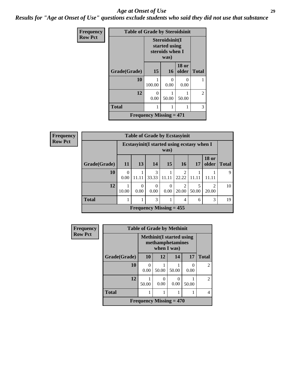#### *Age at Onset of Use* **29**

*Results for "Age at Onset of Use" questions exclude students who said they did not use that substance*

| Frequency      |              | <b>Table of Grade by Steroidsinit</b>              |                           |                           |                |  |  |  |
|----------------|--------------|----------------------------------------------------|---------------------------|---------------------------|----------------|--|--|--|
| <b>Row Pct</b> |              | Steroidsinit(I<br>started using<br>steroids when I |                           |                           |                |  |  |  |
|                | Grade(Grade) | 15                                                 | <b>16</b>                 | <b>18 or</b><br>older     | <b>Total</b>   |  |  |  |
|                | 10           | 100.00                                             | $\mathbf{\Omega}$<br>0.00 | $\mathbf{\Omega}$<br>0.00 |                |  |  |  |
|                | 12           | 0<br>0.00                                          | 50.00                     | 50.00                     | $\overline{2}$ |  |  |  |
|                | <b>Total</b> |                                                    | 1                         |                           | 3              |  |  |  |
|                |              | Frequency Missing $= 471$                          |                           |                           |                |  |  |  |

| <b>Frequency</b> |
|------------------|
| <b>Row Pct</b>   |

| <b>Table of Grade by Ecstasyinit</b> |           |                                                     |                                |           |                         |            |                                                                                                                                                                          |              |  |
|--------------------------------------|-----------|-----------------------------------------------------|--------------------------------|-----------|-------------------------|------------|--------------------------------------------------------------------------------------------------------------------------------------------------------------------------|--------------|--|
|                                      |           | Ecstasyinit (I started using ecstasy when I<br>was) |                                |           |                         |            |                                                                                                                                                                          |              |  |
| Grade(Grade)                         | <b>11</b> | 13                                                  | 14                             | 15'       | 16                      | 17         | <b>18 or</b><br>older                                                                                                                                                    | <b>Total</b> |  |
| 10                                   | 0<br>0.00 | 11.11                                               | 3<br>33.33                     | 11.11     | $\mathfrak{D}$<br>22.22 | 11.11      | 11 11                                                                                                                                                                    | Q            |  |
| 12                                   | 10.00     | 0<br>0.00                                           | $\Omega$<br>0.00               | 0<br>0.00 | $\overline{2}$<br>20.00 | 5<br>50.00 | $\mathcal{D}_{\mathcal{A}}^{\mathcal{A}}(\mathcal{A})=\mathcal{D}_{\mathcal{A}}^{\mathcal{A}}(\mathcal{A})\mathcal{D}_{\mathcal{A}}^{\mathcal{A}}(\mathcal{A})$<br>20.00 | 10           |  |
| <b>Total</b>                         |           |                                                     | 3                              |           | 4                       | 6          | 3                                                                                                                                                                        | 19           |  |
|                                      |           |                                                     | <b>Frequency Missing = 455</b> |           |                         |            |                                                                                                                                                                          |              |  |

| <b>Frequency</b> |              | <b>Table of Grade by Methinit</b> |                                                                     |           |           |                |  |  |  |  |  |
|------------------|--------------|-----------------------------------|---------------------------------------------------------------------|-----------|-----------|----------------|--|--|--|--|--|
| <b>Row Pct</b>   |              |                                   | <b>Methinit</b> (I started using<br>methamphetamines<br>when I was) |           |           |                |  |  |  |  |  |
|                  | Grade(Grade) | <b>10</b>                         | 12                                                                  | 14        | 17        | <b>Total</b>   |  |  |  |  |  |
|                  | 10           | 0.00                              | 50.00                                                               | 50.00     | 0<br>0.00 | $\mathfrak{D}$ |  |  |  |  |  |
|                  | 12           | 50.00                             | 0<br>0.00                                                           | 0<br>0.00 | 50.00     | $\mathfrak{D}$ |  |  |  |  |  |
|                  | <b>Total</b> |                                   |                                                                     |           |           | 4              |  |  |  |  |  |
|                  |              | Frequency Missing $= 470$         |                                                                     |           |           |                |  |  |  |  |  |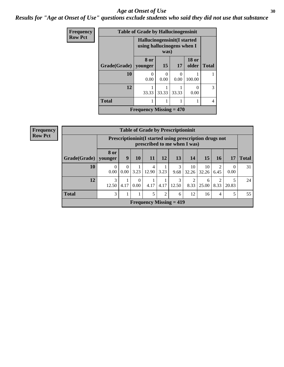#### Age at Onset of Use **30**

*Results for "Age at Onset of Use" questions exclude students who said they did not use that substance*

| Frequency      |                        | <b>Table of Grade by Hallucinogensinit</b>                         |           |           |                       |              |  |
|----------------|------------------------|--------------------------------------------------------------------|-----------|-----------|-----------------------|--------------|--|
| <b>Row Pct</b> |                        | Hallucinogensinit (I started<br>using hallucinogens when I<br>was) |           |           |                       |              |  |
|                | Grade(Grade)   younger | 8 or                                                               | 15        | 17        | <b>18 or</b><br>older | <b>Total</b> |  |
|                | 10                     | 0<br>0.00                                                          | 0<br>0.00 | ∩<br>0.00 | 100.00                |              |  |
|                | 12                     | 33.33                                                              | 33.33     | 33.33     | 0.00                  | 3            |  |
|                | <b>Total</b>           |                                                                    |           |           |                       |              |  |
|                |                        | Frequency Missing $= 470$                                          |           |           |                       |              |  |

| Frequency      |              | <b>Table of Grade by Prescriptioninit</b> |                                                                                          |                  |            |                |                           |             |             |           |                  |              |
|----------------|--------------|-------------------------------------------|------------------------------------------------------------------------------------------|------------------|------------|----------------|---------------------------|-------------|-------------|-----------|------------------|--------------|
| <b>Row Pct</b> |              |                                           | Prescriptioninit (I started using prescription drugs not<br>prescribed to me when I was) |                  |            |                |                           |             |             |           |                  |              |
|                | Grade(Grade) | 8 or<br>vounger                           | 9                                                                                        | 10               | 11         | 12             | 13                        | 14          | 15          | 16        | 17               | <b>Total</b> |
|                | 10           | 0<br>0.00                                 | 0<br>0.00                                                                                | 3.23             | 4<br>12.90 | 3.23           | 3<br>9.68                 | 10<br>32.26 | 10<br>32.26 | 6.45      | $\theta$<br>0.00 | 31           |
|                | 12           | 3<br>12.50                                | 4.17                                                                                     | $\Omega$<br>0.00 | 4.17       | 4.17           | 3<br>12.50                | 2<br>8.33   | 6<br>25.00  | 2<br>8.33 | 5<br>20.83       | 24           |
|                | <b>Total</b> | 3                                         | 1                                                                                        | 1                | 5          | $\overline{c}$ | 6                         | 12          | 16          | 4         | 5                | 55           |
|                |              |                                           |                                                                                          |                  |            |                | Frequency Missing $= 419$ |             |             |           |                  |              |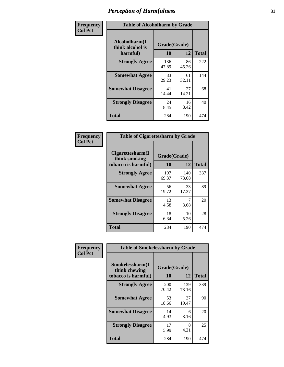| Frequency      |                                               | <b>Table of Alcoholharm by Grade</b> |             |              |  |  |  |  |  |
|----------------|-----------------------------------------------|--------------------------------------|-------------|--------------|--|--|--|--|--|
| <b>Col Pct</b> | Alcoholharm(I<br>think alcohol is<br>harmful) | Grade(Grade)<br>10                   | 12          | <b>Total</b> |  |  |  |  |  |
|                | <b>Strongly Agree</b>                         | 136<br>47.89                         | 86<br>45.26 | 222          |  |  |  |  |  |
|                | <b>Somewhat Agree</b>                         | 83<br>29.23                          | 61<br>32.11 | 144          |  |  |  |  |  |
|                | <b>Somewhat Disagree</b>                      | 41<br>14.44                          | 27<br>14.21 | 68           |  |  |  |  |  |
|                | <b>Strongly Disagree</b>                      | 24<br>8.45                           | 16<br>8.42  | 40           |  |  |  |  |  |
|                | <b>Total</b>                                  | 284                                  | 190         | 474          |  |  |  |  |  |

| <b>Table of Cigarettesharm by Grade</b>                  |              |                    |     |  |  |  |  |  |  |  |
|----------------------------------------------------------|--------------|--------------------|-----|--|--|--|--|--|--|--|
| Cigarettesharm(I<br>think smoking<br>tobacco is harmful) | 10           | Grade(Grade)<br>12 |     |  |  |  |  |  |  |  |
| <b>Strongly Agree</b>                                    | 197<br>69.37 | 140<br>73.68       | 337 |  |  |  |  |  |  |  |
| <b>Somewhat Agree</b>                                    | 56<br>19.72  | 33<br>17.37        | 89  |  |  |  |  |  |  |  |
| <b>Somewhat Disagree</b>                                 | 13<br>4.58   | 7<br>3.68          | 20  |  |  |  |  |  |  |  |
| <b>Strongly Disagree</b>                                 | 18<br>6.34   | 10<br>5.26         | 28  |  |  |  |  |  |  |  |
| <b>Total</b>                                             | 284          | 190                | 474 |  |  |  |  |  |  |  |

| Frequency      |                                                         | <b>Table of Smokelessharm by Grade</b> |              |     |  |  |  |  |  |  |
|----------------|---------------------------------------------------------|----------------------------------------|--------------|-----|--|--|--|--|--|--|
| <b>Col Pct</b> | Smokelessharm(I<br>think chewing<br>tobacco is harmful) | Grade(Grade)<br><b>10</b>              | <b>Total</b> |     |  |  |  |  |  |  |
|                | <b>Strongly Agree</b>                                   | 200<br>70.42                           | 139<br>73.16 | 339 |  |  |  |  |  |  |
|                | <b>Somewhat Agree</b>                                   | 53<br>18.66                            | 37<br>19.47  | 90  |  |  |  |  |  |  |
|                | <b>Somewhat Disagree</b>                                | 14<br>4.93                             | 6<br>3.16    | 20  |  |  |  |  |  |  |
|                | <b>Strongly Disagree</b>                                | 17<br>5.99                             | 8<br>4.21    | 25  |  |  |  |  |  |  |
|                | Total                                                   | 284                                    | 190          | 474 |  |  |  |  |  |  |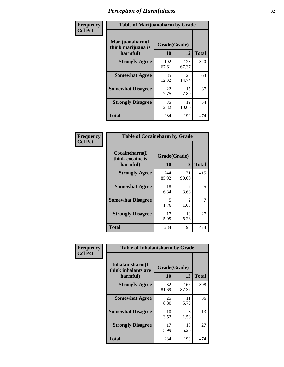| Frequency      | <b>Table of Marijuanaharm by Grade</b>            |                    |              |              |
|----------------|---------------------------------------------------|--------------------|--------------|--------------|
| <b>Col Pct</b> | Marijuanaharm(I<br>think marijuana is<br>harmful) | Grade(Grade)<br>10 | 12           | <b>Total</b> |
|                | <b>Strongly Agree</b>                             | 192<br>67.61       | 128<br>67.37 | 320          |
|                | <b>Somewhat Agree</b>                             | 35<br>12.32        | 28<br>14.74  | 63           |
|                | <b>Somewhat Disagree</b>                          | 22<br>7.75         | 15<br>7.89   | 37           |
|                | <b>Strongly Disagree</b>                          | 35<br>12.32        | 19<br>10.00  | 54           |
|                | <b>Total</b>                                      | 284                | 190          | 474          |

| <b>Table of Cocaineharm by Grade</b>          |                    |                        |     |  |
|-----------------------------------------------|--------------------|------------------------|-----|--|
| Cocaineharm(I<br>think cocaine is<br>harmful) | Grade(Grade)<br>10 | <b>Total</b>           |     |  |
| <b>Strongly Agree</b>                         | 244<br>85.92       | 171<br>90.00           | 415 |  |
| <b>Somewhat Agree</b>                         | 18<br>6.34         | 3.68                   | 25  |  |
| <b>Somewhat Disagree</b>                      | 5<br>1.76          | $\mathfrak{D}$<br>1.05 | 7   |  |
| <b>Strongly Disagree</b>                      | 17<br>5.99         | 10<br>5.26             | 27  |  |
| <b>Total</b>                                  | 284                | 190                    | 474 |  |

| Frequency      | <b>Table of Inhalantsharm by Grade</b>              |                           |              |              |
|----------------|-----------------------------------------------------|---------------------------|--------------|--------------|
| <b>Col Pct</b> | Inhalantsharm(I)<br>think inhalants are<br>harmful) | Grade(Grade)<br><b>10</b> | 12           | <b>Total</b> |
|                | <b>Strongly Agree</b>                               | 232<br>81.69              | 166<br>87.37 | 398          |
|                | <b>Somewhat Agree</b>                               | 25<br>8.80                | 11<br>5.79   | 36           |
|                | <b>Somewhat Disagree</b>                            | 10<br>3.52                | 3<br>1.58    | 13           |
|                | <b>Strongly Disagree</b>                            | 17<br>5.99                | 10<br>5.26   | 27           |
|                | <b>Total</b>                                        | 284                       | 190          | 474          |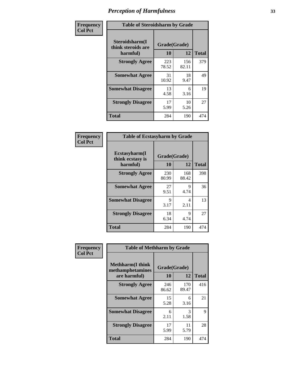| Frequency      | <b>Table of Steroidsharm by Grade</b>            |                    |              |              |
|----------------|--------------------------------------------------|--------------------|--------------|--------------|
| <b>Col Pct</b> | Steroidsharm(I<br>think steroids are<br>harmful) | Grade(Grade)<br>10 | 12           | <b>Total</b> |
|                | <b>Strongly Agree</b>                            | 223<br>78.52       | 156<br>82.11 | 379          |
|                | <b>Somewhat Agree</b>                            | 31<br>10.92        | 18<br>9.47   | 49           |
|                | <b>Somewhat Disagree</b>                         | 13<br>4.58         | 6<br>3.16    | 19           |
|                | <b>Strongly Disagree</b>                         | 17<br>5.99         | 10<br>5.26   | 27           |
|                | <b>Total</b>                                     | 284                | 190          | 474          |

| <b>Table of Ecstasyharm by Grade</b>          |                    |              |              |  |  |
|-----------------------------------------------|--------------------|--------------|--------------|--|--|
| Ecstasyharm(I<br>think ecstasy is<br>harmful) | Grade(Grade)<br>10 | 12           | <b>Total</b> |  |  |
| <b>Strongly Agree</b>                         | 230<br>80.99       | 168<br>88.42 | 398          |  |  |
| <b>Somewhat Agree</b>                         | 27<br>9.51         | 9<br>4.74    | 36           |  |  |
| <b>Somewhat Disagree</b>                      | 9<br>3.17          | 4<br>2.11    | 13           |  |  |
| <b>Strongly Disagree</b>                      | 18<br>6.34         | 9<br>4.74    | 27           |  |  |
| <b>Total</b>                                  | 284                | 190          | 474          |  |  |

| Frequency      | <b>Table of Methharm by Grade</b>                            |                           |              |              |
|----------------|--------------------------------------------------------------|---------------------------|--------------|--------------|
| <b>Col Pct</b> | <b>Methharm</b> (I think<br>methamphetamines<br>are harmful) | Grade(Grade)<br><b>10</b> | 12           | <b>Total</b> |
|                | <b>Strongly Agree</b>                                        | 246<br>86.62              | 170<br>89.47 | 416          |
|                | <b>Somewhat Agree</b>                                        | 15<br>5.28                | 6<br>3.16    | 21           |
|                | <b>Somewhat Disagree</b>                                     | 6<br>2.11                 | 3<br>1.58    | 9            |
|                | <b>Strongly Disagree</b>                                     | 17<br>5.99                | 11<br>5.79   | 28           |
|                | <b>Total</b>                                                 | 284                       | 190          | 474          |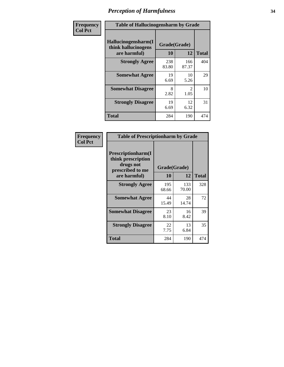| Frequency      | <b>Table of Hallucinogensharm by Grade</b>                 |                    |                       |              |
|----------------|------------------------------------------------------------|--------------------|-----------------------|--------------|
| <b>Col Pct</b> | Hallucinogensharm(I<br>think hallucinogens<br>are harmful) | Grade(Grade)<br>10 | 12                    | <b>Total</b> |
|                | <b>Strongly Agree</b>                                      | 238<br>83.80       | 166<br>87.37          | 404          |
|                | <b>Somewhat Agree</b>                                      | 19<br>6.69         | 10<br>5.26            | 29           |
|                | <b>Somewhat Disagree</b>                                   | 8<br>2.82          | $\mathcal{L}$<br>1.05 | 10           |
|                | <b>Strongly Disagree</b>                                   | 19<br>6.69         | 12<br>6.32            | 31           |
|                | <b>Total</b>                                               | 284                | 190                   | 474          |

| <b>Table of Prescriptionharm by Grade</b>                                                         |                    |              |              |  |
|---------------------------------------------------------------------------------------------------|--------------------|--------------|--------------|--|
| <b>Prescriptionharm</b> (I<br>think prescription<br>drugs not<br>prescribed to me<br>are harmful) | Grade(Grade)<br>10 | 12           | <b>Total</b> |  |
| <b>Strongly Agree</b>                                                                             | 195<br>68.66       | 133<br>70.00 | 328          |  |
| <b>Somewhat Agree</b>                                                                             | 44<br>15.49        | 28<br>14.74  | 72           |  |
| <b>Somewhat Disagree</b>                                                                          | 23<br>8.10         | 16<br>8.42   | 39           |  |
| <b>Strongly Disagree</b>                                                                          | 22<br>7.75         | 13<br>6.84   | 35           |  |
| Total                                                                                             | 284                | 190          | 474          |  |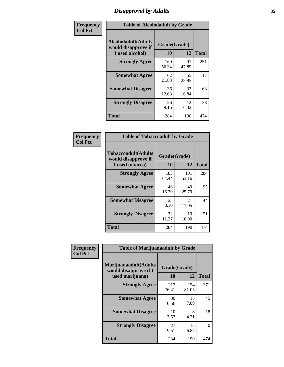### *Disapproval by Adults* **35**

| Frequency      | <b>Table of Alcoholadult by Grade</b>                         |                    |             |              |
|----------------|---------------------------------------------------------------|--------------------|-------------|--------------|
| <b>Col Pct</b> | Alcoholadult(Adults<br>would disapprove if<br>I used alcohol) | Grade(Grade)<br>10 | 12          | <b>Total</b> |
|                | <b>Strongly Agree</b>                                         | 160<br>56.34       | 91<br>47.89 | 251          |
|                | <b>Somewhat Agree</b>                                         | 62<br>21.83        | 55<br>28.95 | 117          |
|                | <b>Somewhat Disagree</b>                                      | 36<br>12.68        | 32<br>16.84 | 68           |
|                | <b>Strongly Disagree</b>                                      | 26<br>9.15         | 12<br>6.32  | 38           |
|                | <b>Total</b>                                                  | 284                | 190         | 474          |

| <b>Table of Tobaccoadult by Grade</b>                                 |                    |              |              |  |
|-----------------------------------------------------------------------|--------------------|--------------|--------------|--|
| <b>Tobaccoadult</b> (Adults<br>would disapprove if<br>I used tobacco) | Grade(Grade)<br>10 | 12           | <b>Total</b> |  |
| <b>Strongly Agree</b>                                                 | 183<br>64.44       | 101<br>53.16 | 284          |  |
| <b>Somewhat Agree</b>                                                 | 46<br>16.20        | 49<br>25.79  | 95           |  |
| <b>Somewhat Disagree</b>                                              | 23<br>8.10         | 21<br>11.05  | 44           |  |
| <b>Strongly Disagree</b>                                              | 32<br>11.27        | 19<br>10.00  | 51           |  |
| Total                                                                 | 284                | 190          | 474          |  |

| Frequency<br><b>Col Pct</b> | <b>Table of Marijuanaadult by Grade</b>                           |                    |              |              |
|-----------------------------|-------------------------------------------------------------------|--------------------|--------------|--------------|
|                             | Marijuanaadult(Adults<br>would disapprove if I<br>used marijuana) | Grade(Grade)<br>10 | 12           | <b>Total</b> |
|                             | <b>Strongly Agree</b>                                             | 217<br>76.41       | 154<br>81.05 | 371          |
|                             | <b>Somewhat Agree</b>                                             | 30<br>10.56        | 15<br>7.89   | 45           |
|                             | <b>Somewhat Disagree</b>                                          | 10<br>3.52         | 8<br>4.21    | 18           |
|                             | <b>Strongly Disagree</b>                                          | 27<br>9.51         | 13<br>6.84   | 40           |
|                             | <b>Total</b>                                                      | 284                | 190          | 474          |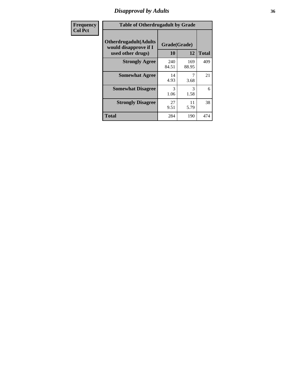### *Disapproval by Adults* **36**

| <b>Frequency</b> | <b>Table of Otherdrugadult by Grade</b>                                     |                    |              |              |
|------------------|-----------------------------------------------------------------------------|--------------------|--------------|--------------|
| <b>Col Pct</b>   | <b>Otherdrugadult</b> (Adults<br>would disapprove if I<br>used other drugs) | Grade(Grade)<br>10 | 12           | <b>Total</b> |
|                  | <b>Strongly Agree</b>                                                       | 240<br>84.51       | 169<br>88.95 | 409          |
|                  | <b>Somewhat Agree</b>                                                       | 14<br>4.93         | 3.68         | 21           |
|                  | <b>Somewhat Disagree</b>                                                    | 3<br>1.06          | 3<br>1.58    | 6            |
|                  | <b>Strongly Disagree</b>                                                    | 27<br>9.51         | 11<br>5.79   | 38           |
|                  | <b>Total</b>                                                                | 284                | 190          | 474          |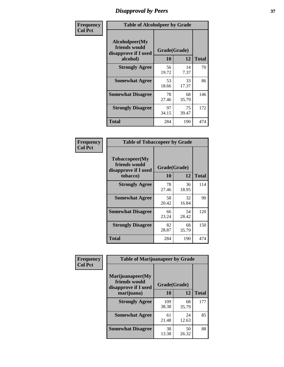## *Disapproval by Peers* **37**

| Frequency      | <b>Table of Alcoholpeer by Grade</b>                    |              |             |              |
|----------------|---------------------------------------------------------|--------------|-------------|--------------|
| <b>Col Pct</b> | Alcoholpeer(My<br>friends would<br>disapprove if I used | Grade(Grade) |             |              |
|                | alcohol)                                                | 10           | 12          | <b>Total</b> |
|                | <b>Strongly Agree</b>                                   | 56<br>19.72  | 14<br>7.37  | 70           |
|                | <b>Somewhat Agree</b>                                   | 53<br>18.66  | 33<br>17.37 | 86           |
|                | <b>Somewhat Disagree</b>                                | 78<br>27.46  | 68<br>35.79 | 146          |
|                | <b>Strongly Disagree</b>                                | 97<br>34.15  | 75<br>39.47 | 172          |
|                | Total                                                   | 284          | 190         | 474          |

| Frequency      | <b>Table of Tobaccopeer by Grade</b>                                |                    |             |              |
|----------------|---------------------------------------------------------------------|--------------------|-------------|--------------|
| <b>Col Pct</b> | Tobaccopeer(My<br>friends would<br>disapprove if I used<br>tobacco) | Grade(Grade)<br>10 | 12          | <b>Total</b> |
|                | <b>Strongly Agree</b>                                               | 78<br>27.46        | 36<br>18.95 | 114          |
|                | <b>Somewhat Agree</b>                                               | 58<br>20.42        | 32<br>16.84 | 90           |
|                | <b>Somewhat Disagree</b>                                            | 66<br>23.24        | 54<br>28.42 | 120          |
|                | <b>Strongly Disagree</b>                                            | 82<br>28.87        | 68<br>35.79 | 150          |
|                | Total                                                               | 284                | 190         | 474          |

| Frequency<br><b>Col Pct</b> | <b>Table of Marijuanapeer by Grade</b>                    |              |             |              |
|-----------------------------|-----------------------------------------------------------|--------------|-------------|--------------|
|                             | Marijuanapeer(My<br>friends would<br>disapprove if I used | Grade(Grade) |             |              |
|                             | marijuana)                                                | 10           | 12          | <b>Total</b> |
|                             | <b>Strongly Agree</b>                                     | 109<br>38.38 | 68<br>35.79 | 177          |
|                             | <b>Somewhat Agree</b>                                     | 61<br>21.48  | 24<br>12.63 | 85           |
|                             | <b>Somewhat Disagree</b>                                  | 38<br>13.38  | 50<br>26.32 | 88           |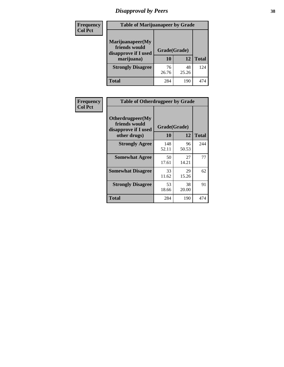# *Disapproval by Peers* **38**

| Frequency<br><b>Col Pct</b> | <b>Table of Marijuanapeer by Grade</b>                                  |                    |             |              |  |
|-----------------------------|-------------------------------------------------------------------------|--------------------|-------------|--------------|--|
|                             | Marijuanapeer(My<br>friends would<br>disapprove if I used<br>marijuana) | Grade(Grade)<br>10 | 12          | <b>Total</b> |  |
|                             | <b>Strongly Disagree</b>                                                | 76<br>26.76        | 48<br>25.26 | 124          |  |
|                             | Total                                                                   | 284                | 190         | 474          |  |

| Frequency      |                                                                           | <b>Table of Otherdrugpeer by Grade</b> |             |              |  |
|----------------|---------------------------------------------------------------------------|----------------------------------------|-------------|--------------|--|
| <b>Col Pct</b> | Otherdrugpeer(My<br>friends would<br>disapprove if I used<br>other drugs) | Grade(Grade)<br>10                     | 12          | <b>Total</b> |  |
|                | <b>Strongly Agree</b>                                                     | 148<br>52.11                           | 96<br>50.53 | 244          |  |
|                | <b>Somewhat Agree</b>                                                     | 50<br>17.61                            | 27<br>14.21 | 77           |  |
|                | <b>Somewhat Disagree</b>                                                  | 33<br>11.62                            | 29<br>15.26 | 62           |  |
|                | <b>Strongly Disagree</b>                                                  | 53<br>18.66                            | 38<br>20.00 | 91           |  |
|                | <b>Total</b>                                                              | 284                                    | 190         | 474          |  |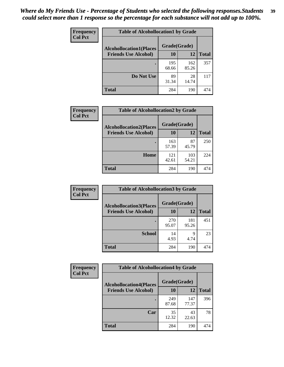| Frequency<br><b>Col Pct</b> | <b>Table of Alcohollocation1 by Grade</b><br>Grade(Grade)<br><b>Alcohollocation1(Places</b> |              |              |              |
|-----------------------------|---------------------------------------------------------------------------------------------|--------------|--------------|--------------|
|                             |                                                                                             |              |              |              |
|                             | <b>Friends Use Alcohol)</b>                                                                 | 10           | 12           | <b>Total</b> |
|                             |                                                                                             | 195<br>68.66 | 162<br>85.26 | 357          |
|                             | Do Not Use                                                                                  | 89<br>31.34  | 28<br>14.74  | 117          |
|                             | <b>Total</b>                                                                                | 284          | 190          | 474          |

| Frequency      | <b>Table of Alcohollocation2 by Grade</b>                     |                    |              |              |
|----------------|---------------------------------------------------------------|--------------------|--------------|--------------|
| <b>Col Pct</b> | <b>Alcohollocation2(Places</b><br><b>Friends Use Alcohol)</b> | Grade(Grade)<br>10 | 12           | <b>Total</b> |
|                |                                                               | 163<br>57.39       | 87<br>45.79  | 250          |
|                | Home                                                          | 121<br>42.61       | 103<br>54.21 | 224          |
|                | <b>Total</b>                                                  | 284                | 190          | 474          |

| <b>Frequency</b> | <b>Table of Alcohollocation 3 by Grade</b> |              |              |              |
|------------------|--------------------------------------------|--------------|--------------|--------------|
| <b>Col Pct</b>   | <b>Alcohollocation3(Places</b>             | Grade(Grade) |              |              |
|                  | <b>Friends Use Alcohol)</b>                | <b>10</b>    | 12           | <b>Total</b> |
|                  |                                            | 270<br>95.07 | 181<br>95.26 | 451          |
|                  | <b>School</b>                              | 14<br>4.93   | 9<br>4.74    | 23           |
|                  | <b>Total</b>                               | 284          | 190          | 474          |

| Frequency      | <b>Table of Alcohollocation4 by Grade</b> |              |              |              |
|----------------|-------------------------------------------|--------------|--------------|--------------|
| <b>Col Pct</b> | <b>Alcohollocation4(Places</b>            | Grade(Grade) |              |              |
|                | <b>Friends Use Alcohol)</b>               | 10           | 12           | <b>Total</b> |
|                |                                           | 249<br>87.68 | 147<br>77.37 | 396          |
|                | Car                                       | 35<br>12.32  | 43<br>22.63  | 78           |
|                | <b>Total</b>                              | 284          | 190          | 474          |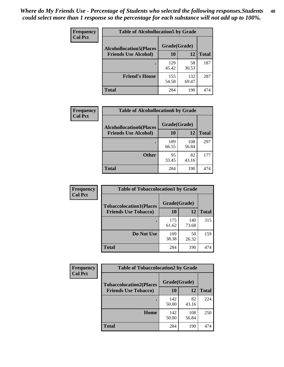| <b>Frequency</b><br><b>Col Pct</b> | <b>Table of Alcohollocation5 by Grade</b> |              |              |              |  |
|------------------------------------|-------------------------------------------|--------------|--------------|--------------|--|
|                                    | <b>Alcohollocation5</b> (Places           | Grade(Grade) |              |              |  |
|                                    | <b>Friends Use Alcohol)</b>               | 10           | 12           | <b>Total</b> |  |
|                                    |                                           | 129<br>45.42 | 58<br>30.53  | 187          |  |
|                                    | <b>Friend's House</b>                     | 155<br>54.58 | 132<br>69.47 | 287          |  |
|                                    | Total                                     | 284          | 190          | 474          |  |

| <b>Frequency</b> | <b>Table of Alcohollocation6 by Grade</b> |              |              |              |
|------------------|-------------------------------------------|--------------|--------------|--------------|
| <b>Col Pct</b>   | <b>Alcohollocation6(Places</b>            | Grade(Grade) |              |              |
|                  | <b>Friends Use Alcohol)</b>               | 10           | 12           | <b>Total</b> |
|                  |                                           | 189<br>66.55 | 108<br>56.84 | 297          |
|                  | <b>Other</b>                              | 95<br>33.45  | 82<br>43.16  | 177          |
|                  | <b>Total</b>                              | 284          | 190          | 474          |

| Frequency      | <b>Table of Tobaccolocation1 by Grade</b>                     |                    |              |              |
|----------------|---------------------------------------------------------------|--------------------|--------------|--------------|
| <b>Col Pct</b> | <b>Tobaccolocation1(Places</b><br><b>Friends Use Tobacco)</b> | Grade(Grade)<br>10 | 12           | <b>Total</b> |
|                |                                                               | 175<br>61.62       | 140<br>73.68 | 315          |
|                | <b>Do Not Use</b>                                             | 109<br>38.38       | 50<br>26.32  | 159          |
|                | <b>Total</b>                                                  | 284                | 190          | 474          |

| Frequency      | <b>Table of Tobaccolocation2 by Grade</b>                     |                    |              |              |  |
|----------------|---------------------------------------------------------------|--------------------|--------------|--------------|--|
| <b>Col Pct</b> | <b>Tobaccolocation2(Places</b><br><b>Friends Use Tobacco)</b> | Grade(Grade)<br>10 | 12           | <b>Total</b> |  |
|                |                                                               | 142                | 82           | 224          |  |
|                | Home                                                          | 50.00<br>142       | 43.16<br>108 | 250          |  |
|                |                                                               | 50.00              | 56.84        |              |  |
|                | <b>Total</b>                                                  | 284                | 190          | 474          |  |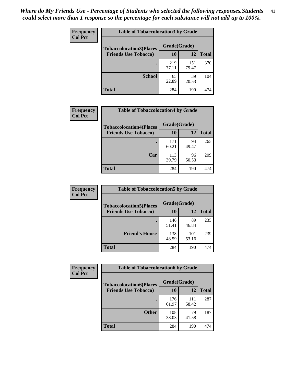| Frequency      | <b>Table of Tobaccolocation3 by Grade</b> |              |              |              |  |
|----------------|-------------------------------------------|--------------|--------------|--------------|--|
| <b>Col Pct</b> | <b>Tobaccolocation3(Places</b>            | Grade(Grade) |              |              |  |
|                | <b>Friends Use Tobacco)</b>               | 10           | 12           | <b>Total</b> |  |
|                |                                           | 219<br>77.11 | 151<br>79.47 | 370          |  |
|                | <b>School</b>                             | 65<br>22.89  | 39<br>20.53  | 104          |  |
|                | <b>Total</b>                              | 284          | 190          | 474          |  |

| <b>Frequency</b> | <b>Table of Tobaccolocation4 by Grade</b>                     |                    |             |              |
|------------------|---------------------------------------------------------------|--------------------|-------------|--------------|
| <b>Col Pct</b>   | <b>Tobaccolocation4(Places</b><br><b>Friends Use Tobacco)</b> | Grade(Grade)<br>10 | 12          | <b>Total</b> |
|                  |                                                               |                    |             |              |
|                  |                                                               | 171<br>60.21       | 94<br>49.47 | 265          |
|                  | Car                                                           | 113<br>39.79       | 96<br>50.53 | 209          |
|                  | <b>Total</b>                                                  | 284                | 190         | 474          |

| Frequency      | <b>Table of Tobaccolocation5 by Grade</b> |              |              |              |
|----------------|-------------------------------------------|--------------|--------------|--------------|
| <b>Col Pct</b> | <b>Tobaccolocation5(Places</b>            | Grade(Grade) |              |              |
|                | <b>Friends Use Tobacco)</b>               | 10           | 12           | <b>Total</b> |
|                |                                           | 146<br>51.41 | 89<br>46.84  | 235          |
|                | <b>Friend's House</b>                     | 138<br>48.59 | 101<br>53.16 | 239          |
|                | <b>Total</b>                              | 284          | 190          | 474          |

| <b>Frequency</b> | <b>Table of Tobaccolocation6 by Grade</b> |              |              |              |  |
|------------------|-------------------------------------------|--------------|--------------|--------------|--|
| <b>Col Pct</b>   | <b>Tobaccolocation6(Places</b>            | Grade(Grade) |              |              |  |
|                  | <b>Friends Use Tobacco)</b>               | 10           | 12           | <b>Total</b> |  |
|                  |                                           | 176<br>61.97 | 111<br>58.42 | 287          |  |
|                  | <b>Other</b>                              | 108<br>38.03 | 79<br>41.58  | 187          |  |
|                  | <b>Total</b>                              | 284          | 190          | 474          |  |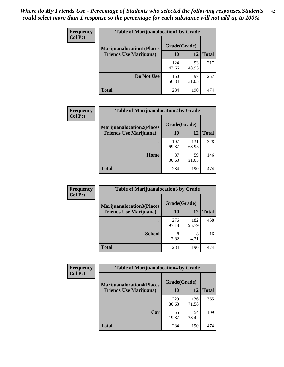| <b>Frequency</b> | <b>Table of Marijuanalocation1 by Grade</b> |              |             |              |
|------------------|---------------------------------------------|--------------|-------------|--------------|
| <b>Col Pct</b>   | <b>Marijuanalocation1(Places</b>            | Grade(Grade) |             |              |
|                  | <b>Friends Use Marijuana</b> )              | 10           | 12          | <b>Total</b> |
|                  |                                             | 124<br>43.66 | 93<br>48.95 | 217          |
|                  | Do Not Use                                  | 160<br>56.34 | 97<br>51.05 | 257          |
|                  | <b>Total</b>                                | 284          | 190         | 474          |

| Frequency      | <b>Table of Marijuanalocation2 by Grade</b>                        |                    |              |              |
|----------------|--------------------------------------------------------------------|--------------------|--------------|--------------|
| <b>Col Pct</b> | <b>Marijuanalocation2(Places</b><br><b>Friends Use Marijuana</b> ) | Grade(Grade)<br>10 | 12           | <b>Total</b> |
|                |                                                                    | 197<br>69.37       | 131<br>68.95 | 328          |
|                | Home                                                               | 87<br>30.63        | 59<br>31.05  | 146          |
|                | <b>Total</b>                                                       | 284                | 190          | 474          |

| Frequency<br><b>Col Pct</b> | <b>Table of Marijuanalocation3 by Grade</b> |              |              |              |
|-----------------------------|---------------------------------------------|--------------|--------------|--------------|
|                             | <b>Marijuanalocation3</b> (Places           | Grade(Grade) |              |              |
|                             | <b>Friends Use Marijuana</b> )              | 10           | 12           | <b>Total</b> |
|                             |                                             | 276<br>97.18 | 182<br>95.79 | 458          |
|                             | <b>School</b>                               | 8<br>2.82    | 8<br>4.21    | 16           |
|                             | <b>Total</b>                                | 284          | 190          | 474          |

| <b>Frequency</b> | <b>Table of Marijuanalocation4 by Grade</b> |              |              |              |  |
|------------------|---------------------------------------------|--------------|--------------|--------------|--|
| <b>Col Pct</b>   | <b>Marijuanalocation4(Places</b>            | Grade(Grade) |              |              |  |
|                  | <b>Friends Use Marijuana</b> )              | <b>10</b>    | 12           | <b>Total</b> |  |
|                  |                                             | 229<br>80.63 | 136<br>71.58 | 365          |  |
|                  | Car                                         | 55<br>19.37  | 54<br>28.42  | 109          |  |
|                  | <b>Total</b>                                | 284          | 190          | 474          |  |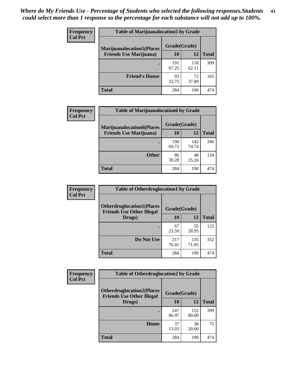| <b>Frequency</b> | <b>Table of Marijuanalocation5 by Grade</b> |              |              |              |
|------------------|---------------------------------------------|--------------|--------------|--------------|
| <b>Col Pct</b>   | <b>Marijuanalocation5</b> (Places           | Grade(Grade) |              |              |
|                  | <b>Friends Use Marijuana</b> )              | 10           | 12           | <b>Total</b> |
|                  |                                             | 191<br>67.25 | 118<br>62.11 | 309          |
|                  | <b>Friend's House</b>                       | 93<br>32.75  | 72<br>37.89  | 165          |
|                  | <b>Total</b>                                | 284          | 190          | 474          |

| <b>Frequency</b> | <b>Table of Marijuanalocation6 by Grade</b>                        |                    |              |              |
|------------------|--------------------------------------------------------------------|--------------------|--------------|--------------|
| <b>Col Pct</b>   | <b>Marijuanalocation6(Places</b><br><b>Friends Use Marijuana</b> ) | Grade(Grade)<br>10 | 12           | <b>Total</b> |
|                  |                                                                    | 198<br>69.72       | 142<br>74.74 | 340          |
|                  | <b>Other</b>                                                       | 86<br>30.28        | 48<br>25.26  | 134          |
|                  | <b>Total</b>                                                       | 284                | 190          | 474          |

| <b>Frequency</b> | <b>Table of Otherdruglocation1 by Grade</b>                          |              |              |              |
|------------------|----------------------------------------------------------------------|--------------|--------------|--------------|
| <b>Col Pct</b>   | <b>Otherdruglocation1(Places</b><br><b>Friends Use Other Illegal</b> | Grade(Grade) |              |              |
|                  | Drugs)                                                               | 10           | 12           | <b>Total</b> |
|                  |                                                                      | 67<br>23.59  | 55<br>28.95  | 122          |
|                  | Do Not Use                                                           | 217<br>76.41 | 135<br>71.05 | 352          |
|                  | <b>Total</b>                                                         | 284          | 190          | 474          |

| <b>Frequency</b> | <b>Table of Otherdruglocation2 by Grade</b>                           |              |              |              |
|------------------|-----------------------------------------------------------------------|--------------|--------------|--------------|
| <b>Col Pct</b>   | <b>Otherdruglocation2(Places)</b><br><b>Friends Use Other Illegal</b> | Grade(Grade) |              |              |
|                  | Drugs)                                                                | 10           | 12           | <b>Total</b> |
|                  |                                                                       | 247<br>86.97 | 152<br>80.00 | 399          |
|                  | <b>Home</b>                                                           | 37<br>13.03  | 38<br>20.00  | 75           |
|                  | <b>Total</b>                                                          | 284          | 190          | 474          |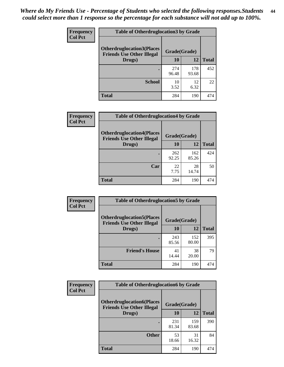| <b>Frequency</b> | <b>Table of Otherdruglocation 3 by Grade</b>                         |              |              |              |
|------------------|----------------------------------------------------------------------|--------------|--------------|--------------|
| <b>Col Pct</b>   | <b>Otherdruglocation3(Places</b><br><b>Friends Use Other Illegal</b> | Grade(Grade) |              |              |
|                  | Drugs)                                                               | 10           | 12           | <b>Total</b> |
|                  |                                                                      | 274<br>96.48 | 178<br>93.68 | 452          |
|                  | <b>School</b>                                                        | 10<br>3.52   | 12<br>6.32   | 22           |
|                  | <b>Total</b>                                                         | 284          | 190          | 474          |

| Frequency      | <b>Table of Otherdruglocation4 by Grade</b>                          |              |              |              |  |
|----------------|----------------------------------------------------------------------|--------------|--------------|--------------|--|
| <b>Col Pct</b> | <b>Otherdruglocation4(Places</b><br><b>Friends Use Other Illegal</b> | Grade(Grade) |              |              |  |
|                | Drugs)                                                               | 10           | 12           | <b>Total</b> |  |
|                |                                                                      | 262<br>92.25 | 162<br>85.26 | 424          |  |
|                | Car                                                                  | 22<br>7.75   | 28<br>14.74  | 50           |  |
|                | <b>Total</b>                                                         | 284          | 190          | 474          |  |

| <b>Frequency</b> | <b>Table of Otherdruglocation5 by Grade</b>                          |              |              |              |
|------------------|----------------------------------------------------------------------|--------------|--------------|--------------|
| <b>Col Pct</b>   | <b>Otherdruglocation5(Places</b><br><b>Friends Use Other Illegal</b> | Grade(Grade) |              |              |
|                  | Drugs)                                                               | <b>10</b>    | 12           | <b>Total</b> |
|                  |                                                                      | 243<br>85.56 | 152<br>80.00 | 395          |
|                  | <b>Friend's House</b>                                                | 41<br>14.44  | 38<br>20.00  | 79           |
|                  | <b>Total</b>                                                         | 284          | 190          | 474          |

| <b>Frequency</b> | <b>Table of Otherdruglocation6 by Grade</b>                          |              |              |              |
|------------------|----------------------------------------------------------------------|--------------|--------------|--------------|
| <b>Col Pct</b>   | <b>Otherdruglocation6(Places</b><br><b>Friends Use Other Illegal</b> | Grade(Grade) |              |              |
|                  | Drugs)                                                               | 10           | 12           | <b>Total</b> |
|                  |                                                                      | 231<br>81.34 | 159<br>83.68 | 390          |
|                  | <b>Other</b>                                                         | 53<br>18.66  | 31<br>16.32  | 84           |
|                  | <b>Total</b>                                                         | 284          | 190          | 474          |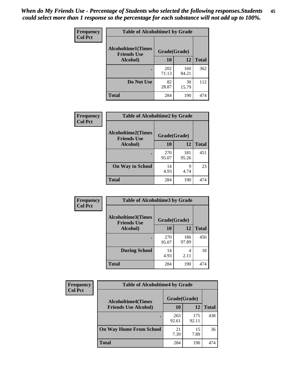| Frequency      | <b>Table of Alcoholtime1 by Grade</b>           |              |              |              |
|----------------|-------------------------------------------------|--------------|--------------|--------------|
| <b>Col Pct</b> | <b>Alcoholtime1(Times</b><br><b>Friends Use</b> | Grade(Grade) |              |              |
|                | Alcohol)                                        | 10           | 12           | <b>Total</b> |
|                |                                                 | 202<br>71.13 | 160<br>84.21 | 362          |
|                | Do Not Use                                      | 82<br>28.87  | 30<br>15.79  | 112          |
|                | <b>Total</b>                                    | 284          | 190          | 474          |

| Frequency      | <b>Table of Alcoholtime2 by Grade</b>           |              |              |              |
|----------------|-------------------------------------------------|--------------|--------------|--------------|
| <b>Col Pct</b> | <b>Alcoholtime2(Times</b><br><b>Friends Use</b> | Grade(Grade) |              |              |
|                | Alcohol)                                        | 10           | 12           | <b>Total</b> |
|                |                                                 | 270<br>95.07 | 181<br>95.26 | 451          |
|                | <b>On Way to School</b>                         | 14<br>4.93   | 9<br>4.74    | 23           |
|                | <b>Total</b>                                    | 284          | 190          | 474          |

| Frequency<br><b>Col Pct</b> | <b>Table of Alcoholtime3 by Grade</b>                           |              |              |              |
|-----------------------------|-----------------------------------------------------------------|--------------|--------------|--------------|
|                             | <b>Alcoholtime3(Times</b><br>Grade(Grade)<br><b>Friends Use</b> |              |              |              |
|                             | Alcohol)                                                        | 10           | 12           | <b>Total</b> |
|                             |                                                                 | 270<br>95.07 | 186<br>97.89 | 456          |
|                             | <b>During School</b>                                            | 14<br>4.93   | 4<br>2.11    | 18           |
|                             | Total                                                           | 284          | 190          | 474          |

| <b>Frequency</b><br><b>Col Pct</b> | <b>Table of Alcoholtime4 by Grade</b> |              |              |              |
|------------------------------------|---------------------------------------|--------------|--------------|--------------|
|                                    | <b>Alcoholtime4(Times</b>             | Grade(Grade) |              |              |
|                                    | <b>Friends Use Alcohol)</b>           | 10           | 12           | <b>Total</b> |
|                                    |                                       | 263<br>92.61 | 175<br>92.11 | 438          |
|                                    | <b>On Way Home From School</b>        | 21<br>7.39   | 15<br>7.89   | 36           |
|                                    | <b>Total</b>                          | 284          | 190          | 474          |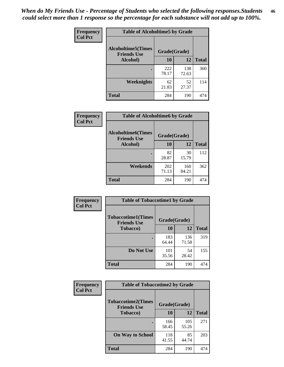*When do My Friends Use - Percentage of Students who selected the following responses.Students could select more than 1 response so the percentage for each substance will not add up to 100%.* **46**

| Frequency      | <b>Table of Alcoholtime5 by Grade</b>           |              |              |              |
|----------------|-------------------------------------------------|--------------|--------------|--------------|
| <b>Col Pct</b> | <b>Alcoholtime5(Times</b><br><b>Friends Use</b> | Grade(Grade) |              |              |
|                | Alcohol)                                        | 10           | 12           | <b>Total</b> |
|                |                                                 | 222<br>78.17 | 138<br>72.63 | 360          |
|                | Weeknights                                      | 62<br>21.83  | 52<br>27.37  | 114          |
|                | <b>Total</b>                                    | 284          | 190          | 474          |

| Frequency      | <b>Table of Alcoholtime6 by Grade</b>           |              |              |              |
|----------------|-------------------------------------------------|--------------|--------------|--------------|
| <b>Col Pct</b> | <b>Alcoholtime6(Times</b><br><b>Friends Use</b> | Grade(Grade) |              |              |
|                | Alcohol)                                        | 10           | 12           | <b>Total</b> |
|                | ٠                                               | 82<br>28.87  | 30<br>15.79  | 112          |
|                | Weekends                                        | 202<br>71.13 | 160<br>84.21 | 362          |
|                | Total                                           | 284          | 190          | 474          |

| Frequency<br><b>Col Pct</b> | <b>Table of Tobaccotime1 by Grade</b>                           |              |              |              |
|-----------------------------|-----------------------------------------------------------------|--------------|--------------|--------------|
|                             | <b>Tobaccotime1(Times</b><br>Grade(Grade)<br><b>Friends Use</b> |              |              |              |
|                             | <b>Tobacco</b> )                                                | 10           | 12           | <b>Total</b> |
|                             |                                                                 | 183<br>64.44 | 136<br>71.58 | 319          |
|                             | Do Not Use                                                      | 101<br>35.56 | 54<br>28.42  | 155          |
|                             | <b>Total</b>                                                    | 284          | 190          | 474          |

| <b>Frequency</b> | <b>Table of Tobaccotime2 by Grade</b>           |              |              |              |
|------------------|-------------------------------------------------|--------------|--------------|--------------|
| <b>Col Pct</b>   | <b>Tobaccotime2(Times</b><br><b>Friends Use</b> | Grade(Grade) |              |              |
|                  | <b>Tobacco</b> )                                | 10           | 12           | <b>Total</b> |
|                  |                                                 | 166<br>58.45 | 105<br>55.26 | 271          |
|                  | <b>On Way to School</b>                         | 118<br>41.55 | 85<br>44.74  | 203          |
|                  | <b>Total</b>                                    | 284          | 190          | 474          |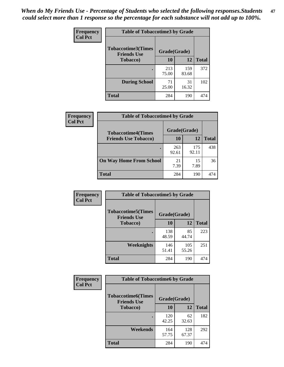*When do My Friends Use - Percentage of Students who selected the following responses.Students could select more than 1 response so the percentage for each substance will not add up to 100%.* **47**

| <b>Frequency</b> | <b>Table of Tobaccotime3 by Grade</b>           |              |              |              |  |
|------------------|-------------------------------------------------|--------------|--------------|--------------|--|
| <b>Col Pct</b>   | <b>Tobaccotime3(Times</b><br><b>Friends Use</b> | Grade(Grade) |              |              |  |
|                  | <b>Tobacco</b> )                                | 10           | 12           | <b>Total</b> |  |
|                  |                                                 | 213<br>75.00 | 159<br>83.68 | 372          |  |
|                  | <b>During School</b>                            | 71<br>25.00  | 31<br>16.32  | 102          |  |
|                  | <b>Total</b>                                    | 284          | 190          | 474          |  |

| <b>Frequency</b> | <b>Table of Tobaccotime4 by Grade</b><br>Grade(Grade)<br><b>Tobaccotime4(Times</b> |              |              |              |
|------------------|------------------------------------------------------------------------------------|--------------|--------------|--------------|
| <b>Col Pct</b>   |                                                                                    |              |              |              |
|                  | <b>Friends Use Tobacco)</b>                                                        | 10           | 12           | <b>Total</b> |
|                  |                                                                                    | 263<br>92.61 | 175<br>92.11 | 438          |
|                  | <b>On Way Home From School</b>                                                     | 21<br>7.39   | 15<br>7.89   | 36           |
|                  | <b>Total</b>                                                                       | 284          | 190          | 474          |

| Frequency      | <b>Table of Tobaccotime5 by Grade</b>           |              |              |              |
|----------------|-------------------------------------------------|--------------|--------------|--------------|
| <b>Col Pct</b> | <b>Tobaccotime5(Times</b><br><b>Friends Use</b> | Grade(Grade) |              |              |
|                | <b>Tobacco</b> )                                | 10           | 12           | <b>Total</b> |
|                |                                                 | 138<br>48.59 | 85<br>44.74  | 223          |
|                | Weeknights                                      | 146<br>51.41 | 105<br>55.26 | 251          |
|                | <b>Total</b>                                    | 284          | 190          | 474          |

| <b>Frequency</b> | <b>Table of Tobaccotime6 by Grade</b>           |              |              |              |
|------------------|-------------------------------------------------|--------------|--------------|--------------|
| <b>Col Pct</b>   | <b>Tobaccotime6(Times</b><br><b>Friends Use</b> | Grade(Grade) |              |              |
|                  | <b>Tobacco</b> )                                | 10           | 12           | <b>Total</b> |
|                  |                                                 | 120<br>42.25 | 62<br>32.63  | 182          |
|                  | Weekends                                        | 164<br>57.75 | 128<br>67.37 | 292          |
|                  | <b>Total</b>                                    | 284          | 190          | 474          |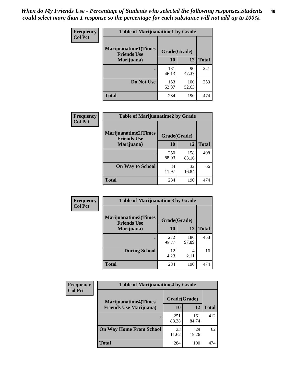| Frequency      | <b>Table of Marijuanatime1 by Grade</b>           |              |              |              |
|----------------|---------------------------------------------------|--------------|--------------|--------------|
| <b>Col Pct</b> | <b>Marijuanatime1(Times</b><br><b>Friends Use</b> | Grade(Grade) |              |              |
|                | Marijuana)                                        | 10           | 12           | <b>Total</b> |
|                |                                                   | 131<br>46.13 | 90<br>47.37  | 221          |
|                | Do Not Use                                        | 153<br>53.87 | 100<br>52.63 | 253          |
|                | <b>Total</b>                                      | 284          | 190          | 474          |

| <b>Frequency</b> | <b>Table of Marijuanatime2 by Grade</b>           |              |              |              |
|------------------|---------------------------------------------------|--------------|--------------|--------------|
| <b>Col Pct</b>   | <b>Marijuanatime2(Times</b><br><b>Friends Use</b> | Grade(Grade) |              |              |
|                  | Marijuana)                                        | 10           | 12           | <b>Total</b> |
|                  |                                                   | 250<br>88.03 | 158<br>83.16 | 408          |
|                  | <b>On Way to School</b>                           | 34<br>11.97  | 32<br>16.84  | 66           |
|                  | <b>Total</b>                                      | 284          | 190          | 474          |

| Frequency      | <b>Table of Marijuanatime3 by Grade</b>    |              |              |              |
|----------------|--------------------------------------------|--------------|--------------|--------------|
| <b>Col Pct</b> | Marijuanatime3(Times<br><b>Friends Use</b> | Grade(Grade) |              |              |
|                | Marijuana)                                 | 10           | 12           | <b>Total</b> |
|                |                                            | 272<br>95.77 | 186<br>97.89 | 458          |
|                | <b>During School</b>                       | 12<br>4.23   | 4<br>2.11    | 16           |
|                | <b>Total</b>                               | 284          | 190          | 474          |

| <b>Frequency</b> | <b>Table of Marijuanatime4 by Grade</b> |              |              |              |
|------------------|-----------------------------------------|--------------|--------------|--------------|
| <b>Col Pct</b>   | <b>Marijuanatime4(Times</b>             | Grade(Grade) |              |              |
|                  | <b>Friends Use Marijuana</b> )          | 10           | 12           | <b>Total</b> |
|                  |                                         | 251<br>88.38 | 161<br>84.74 | 412          |
|                  | <b>On Way Home From School</b>          | 33<br>11.62  | 29<br>15.26  | 62           |
|                  | <b>Total</b>                            | 284          | 190          | 474          |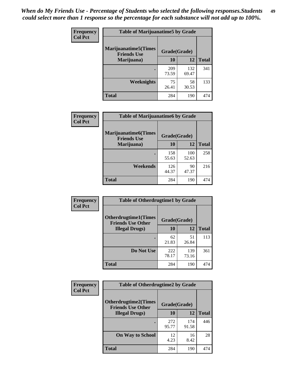| Frequency      | <b>Table of Marijuanatime5 by Grade</b>            |              |              |              |
|----------------|----------------------------------------------------|--------------|--------------|--------------|
| <b>Col Pct</b> | <b>Marijuanatime5</b> (Times<br><b>Friends Use</b> | Grade(Grade) |              |              |
|                | Marijuana)                                         | 10           | 12           | <b>Total</b> |
|                |                                                    | 209<br>73.59 | 132<br>69.47 | 341          |
|                | Weeknights                                         | 75<br>26.41  | 58<br>30.53  | 133          |
|                | <b>Total</b>                                       | 284          | 190          | 474          |

| Frequency      | <b>Table of Marijuanatime6 by Grade</b>           |              |              |              |
|----------------|---------------------------------------------------|--------------|--------------|--------------|
| <b>Col Pct</b> | <b>Marijuanatime6(Times</b><br><b>Friends Use</b> | Grade(Grade) |              |              |
|                | Marijuana)                                        | 10           | 12           | <b>Total</b> |
|                |                                                   | 158<br>55.63 | 100<br>52.63 | 258          |
|                | Weekends                                          | 126<br>44.37 | 90<br>47.37  | 216          |
|                | <b>Total</b>                                      | 284          | 190          | 474          |

| Frequency      | <b>Table of Otherdrugtime1 by Grade</b>                                 |              |              |              |
|----------------|-------------------------------------------------------------------------|--------------|--------------|--------------|
| <b>Col Pct</b> | <b>Otherdrugtime1(Times</b><br>Grade(Grade)<br><b>Friends Use Other</b> |              |              |              |
|                | <b>Illegal Drugs</b> )                                                  | 10           | 12           | <b>Total</b> |
|                |                                                                         | 62<br>21.83  | 51<br>26.84  | 113          |
|                | Do Not Use                                                              | 222<br>78.17 | 139<br>73.16 | 361          |
|                | Total                                                                   | 284          | 190          | 474          |

| <b>Frequency</b> | <b>Table of Otherdrugtime2 by Grade</b>                 |              |              |              |  |  |  |
|------------------|---------------------------------------------------------|--------------|--------------|--------------|--|--|--|
| <b>Col Pct</b>   | <b>Otherdrugtime2(Times</b><br><b>Friends Use Other</b> | Grade(Grade) |              |              |  |  |  |
|                  | <b>Illegal Drugs</b> )                                  | 10           | 12           | <b>Total</b> |  |  |  |
|                  |                                                         | 272<br>95.77 | 174<br>91.58 | 446          |  |  |  |
|                  | <b>On Way to School</b>                                 | 12<br>4.23   | 16<br>8.42   | 28           |  |  |  |
|                  | <b>Total</b>                                            | 284          | 190          | 474          |  |  |  |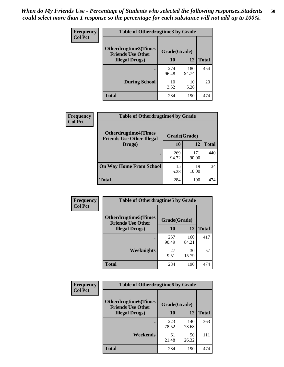| <b>Frequency</b> | <b>Table of Otherdrugtime3 by Grade</b>                 |              |              |              |  |  |
|------------------|---------------------------------------------------------|--------------|--------------|--------------|--|--|
| <b>Col Pct</b>   | <b>Otherdrugtime3(Times</b><br><b>Friends Use Other</b> | Grade(Grade) |              |              |  |  |
|                  | <b>Illegal Drugs</b> )                                  | 10           | 12           | <b>Total</b> |  |  |
|                  |                                                         | 274<br>96.48 | 180<br>94.74 | 454          |  |  |
|                  | <b>During School</b>                                    | 10<br>3.52   | 10<br>5.26   | 20           |  |  |
|                  | Total                                                   | 284          | 190          | 474          |  |  |

| <b>Frequency</b> | <b>Table of Otherdrugtime4 by Grade</b>                         |              |              |              |  |  |  |
|------------------|-----------------------------------------------------------------|--------------|--------------|--------------|--|--|--|
| <b>Col Pct</b>   | <b>Otherdrugtime4(Times</b><br><b>Friends Use Other Illegal</b> | Grade(Grade) |              |              |  |  |  |
|                  | Drugs)                                                          | 10           | 12           | <b>Total</b> |  |  |  |
|                  |                                                                 | 269<br>94.72 | 171<br>90.00 | 440          |  |  |  |
|                  | <b>On Way Home From School</b>                                  | 15<br>5.28   | 19<br>10.00  | 34           |  |  |  |
|                  | <b>Total</b>                                                    | 284          | 190          | 474          |  |  |  |

| <b>Frequency</b><br><b>Col Pct</b> | <b>Table of Otherdrugtime5 by Grade</b>                  |              |              |              |  |  |  |
|------------------------------------|----------------------------------------------------------|--------------|--------------|--------------|--|--|--|
|                                    | <b>Otherdrugtime5</b> (Times<br><b>Friends Use Other</b> | Grade(Grade) |              |              |  |  |  |
|                                    | <b>Illegal Drugs</b> )                                   | 10           | 12           | <b>Total</b> |  |  |  |
|                                    |                                                          | 257<br>90.49 | 160<br>84.21 | 417          |  |  |  |
|                                    | Weeknights                                               | 27<br>9.51   | 30<br>15.79  | 57           |  |  |  |
|                                    | Total                                                    | 284          | 190          | 474          |  |  |  |

| <b>Frequency</b> | <b>Table of Otherdrugtime6 by Grade</b>                 |              |              |              |  |  |
|------------------|---------------------------------------------------------|--------------|--------------|--------------|--|--|
| <b>Col Pct</b>   | <b>Otherdrugtime6(Times</b><br><b>Friends Use Other</b> | Grade(Grade) |              |              |  |  |
|                  | <b>Illegal Drugs</b> )                                  | 10           | 12           | <b>Total</b> |  |  |
|                  | ٠                                                       | 223<br>78.52 | 140<br>73.68 | 363          |  |  |
|                  | Weekends                                                | 61<br>21.48  | 50<br>26.32  | 111          |  |  |
|                  | <b>Total</b>                                            | 284          | 190          | 474          |  |  |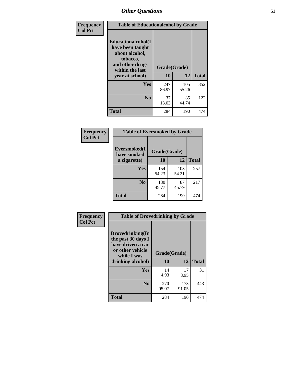| Frequency<br><b>Col Pct</b> | <b>Table of Educationalcohol by Grade</b>                                                                  |              |              |              |  |  |
|-----------------------------|------------------------------------------------------------------------------------------------------------|--------------|--------------|--------------|--|--|
|                             | Educationalcohol(I<br>have been taught<br>about alcohol,<br>tobacco,<br>and other drugs<br>within the last | Grade(Grade) |              |              |  |  |
|                             | year at school)                                                                                            | 10           | 12           | <b>Total</b> |  |  |
|                             | Yes                                                                                                        | 247<br>86.97 | 105<br>55.26 | 352          |  |  |
|                             | N <sub>0</sub>                                                                                             | 37<br>13.03  | 85<br>44.74  | 122          |  |  |
|                             | <b>Total</b>                                                                                               | 284          | 190          | 474          |  |  |

| Frequency      | <b>Table of Eversmoked by Grade</b> |              |              |              |  |  |
|----------------|-------------------------------------|--------------|--------------|--------------|--|--|
| <b>Col Pct</b> | Eversmoked(I<br>have smoked         | Grade(Grade) |              |              |  |  |
|                | a cigarette)                        | 10           | 12           | <b>Total</b> |  |  |
|                | <b>Yes</b>                          | 154<br>54.23 | 103<br>54.21 | 257          |  |  |
|                | N <sub>0</sub>                      | 130<br>45.77 | 87<br>45.79  | 217          |  |  |
|                | <b>Total</b>                        | 284          | 190          | 474          |  |  |

| Frequency<br><b>Col Pct</b> | <b>Table of Drovedrinking by Grade</b>                                                                              |                    |              |              |  |
|-----------------------------|---------------------------------------------------------------------------------------------------------------------|--------------------|--------------|--------------|--|
|                             | Drovedrinking(In<br>the past 30 days I<br>have driven a car<br>or other vehicle<br>while I was<br>drinking alcohol) | Grade(Grade)<br>10 | 12           | <b>Total</b> |  |
|                             | <b>Yes</b>                                                                                                          | 14<br>4.93         | 17<br>8.95   | 31           |  |
|                             | N <sub>0</sub>                                                                                                      | 270<br>95.07       | 173<br>91.05 | 443          |  |
|                             | <b>Total</b>                                                                                                        | 284                | 190          | 474          |  |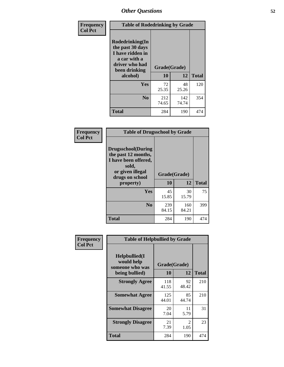| Frequency<br><b>Col Pct</b> | <b>Table of Rodedrinking by Grade</b>                                                                      |              |              |              |  |
|-----------------------------|------------------------------------------------------------------------------------------------------------|--------------|--------------|--------------|--|
|                             | Rodedrinking(In<br>the past 30 days<br>I have ridden in<br>a car with a<br>driver who had<br>been drinking | Grade(Grade) |              |              |  |
|                             | alcohol)                                                                                                   | 10           | 12           | <b>Total</b> |  |
|                             | <b>Yes</b>                                                                                                 | 72<br>25.35  | 48<br>25.26  | 120          |  |
|                             | N <sub>0</sub>                                                                                             | 212<br>74.65 | 142<br>74.74 | 354          |  |
|                             | <b>Total</b>                                                                                               | 284          | 190          | 474          |  |

#### **Frequency Col Pct**

| <b>Table of Drugsschool by Grade</b>                                                                                      |              |              |              |  |  |  |
|---------------------------------------------------------------------------------------------------------------------------|--------------|--------------|--------------|--|--|--|
| <b>Drugsschool</b> (During<br>the past 12 months,<br>I have been offered,<br>sold,<br>or given illegal<br>drugs on school | Grade(Grade) |              |              |  |  |  |
| property)                                                                                                                 | 10           | 12           | <b>Total</b> |  |  |  |
| Yes                                                                                                                       | 45<br>15.85  | 30<br>15.79  | 75           |  |  |  |
| N <sub>0</sub>                                                                                                            | 239<br>84.15 | 160<br>84.21 | 399          |  |  |  |
| <b>Total</b>                                                                                                              | 284          | 190          | 474          |  |  |  |

| Frequency      | <b>Table of Helpbullied by Grade</b>           |              |                        |              |  |  |  |
|----------------|------------------------------------------------|--------------|------------------------|--------------|--|--|--|
| <b>Col Pct</b> | Helpbullied(I<br>would help<br>someone who was |              | Grade(Grade)           |              |  |  |  |
|                | being bullied)                                 | 10           | 12                     | <b>Total</b> |  |  |  |
|                | <b>Strongly Agree</b>                          | 118<br>41.55 | 92<br>48.42            | 210          |  |  |  |
|                | <b>Somewhat Agree</b>                          | 125<br>44.01 | 85<br>44.74            | 210          |  |  |  |
|                | <b>Somewhat Disagree</b>                       | 20<br>7.04   | 11<br>5.79             | 31           |  |  |  |
|                | <b>Strongly Disagree</b>                       | 21<br>7.39   | $\mathfrak{D}$<br>1.05 | 23           |  |  |  |
|                | <b>Total</b>                                   | 284          | 190                    | 474          |  |  |  |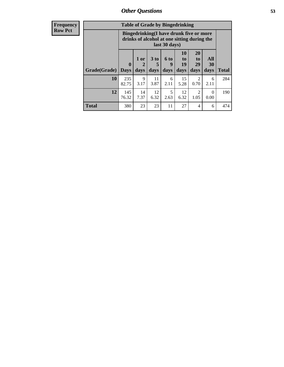| <b>Frequency</b> | <b>Table of Grade by Bingedrinking</b> |                                                                                                         |            |                 |                  |                |                       |                  |
|------------------|----------------------------------------|---------------------------------------------------------------------------------------------------------|------------|-----------------|------------------|----------------|-----------------------|------------------|
| <b>Row Pct</b>   |                                        | Bingedrinking(I have drunk five or more<br>drinks of alcohol at one sitting during the<br>last 30 days) |            |                 |                  |                |                       |                  |
|                  |                                        | $\mathbf{0}$                                                                                            | 1 or       | 3 <sub>to</sub> | <b>6 to</b><br>q | 10<br>to<br>19 | <b>20</b><br>to<br>29 | All<br><b>30</b> |
|                  | Grade(Grade)                           | <b>Days</b>                                                                                             | days       | days            | days             | days           | days                  | days             |
|                  | 10                                     | 235<br>82.75                                                                                            | 9<br>3.17  | 11<br>3.87      | 6<br>2.11        | 15<br>5.28     | 2<br>0.70             | 6<br>2.11        |
|                  | 12                                     | 145<br>76.32                                                                                            | 14<br>7.37 | 12<br>6.32      | 5<br>2.63        | 12<br>6.32     | 2<br>1.05             | $^{(1)}$<br>0.00 |

**Total** 380 23 23 11 27 4 6 474

**Total**

284

190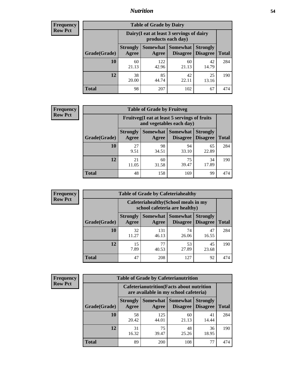### *Nutrition* **54**

| Frequency |
|-----------|
| Row Pct   |

| <b>Table of Grade by Dairy</b> |                          |                                                                 |                                    |                                    |              |  |
|--------------------------------|--------------------------|-----------------------------------------------------------------|------------------------------------|------------------------------------|--------------|--|
|                                |                          | Dairy (I eat at least 3 servings of dairy<br>products each day) |                                    |                                    |              |  |
| Grade(Grade)                   | <b>Strongly</b><br>Agree | Somewhat  <br>Agree                                             | <b>Somewhat</b><br><b>Disagree</b> | <b>Strongly</b><br><b>Disagree</b> | <b>Total</b> |  |
| 10                             | 60<br>21.13              | 122<br>42.96                                                    | 60<br>21.13                        | 42<br>14.79                        | 284          |  |
| 12                             | 38<br>20.00              | 85<br>44.74                                                     | 42<br>22.11                        | 25<br>13.16                        | 190          |  |
| <b>Total</b>                   | 98                       | 207                                                             | 102                                | 67                                 | 474          |  |

| <b>Frequency</b> |  |
|------------------|--|
| <b>Row Pct</b>   |  |

| <b>Table of Grade by Fruitveg</b> |                          |                                                                          |                               |                                    |              |  |
|-----------------------------------|--------------------------|--------------------------------------------------------------------------|-------------------------------|------------------------------------|--------------|--|
|                                   |                          | Fruitveg(I eat at least 5 servings of fruits<br>and vegetables each day) |                               |                                    |              |  |
| Grade(Grade)                      | <b>Strongly</b><br>Agree | Agree                                                                    | Somewhat Somewhat<br>Disagree | <b>Strongly</b><br><b>Disagree</b> | <b>Total</b> |  |
| 10                                | 27<br>9.51               | 98<br>34.51                                                              | 94<br>33.10                   | 65<br>22.89                        | 284          |  |
| 12                                | 21<br>11.05              | 60<br>31.58                                                              | 75<br>39.47                   | 34<br>17.89                        | 190          |  |
| <b>Total</b>                      | 48                       | 158                                                                      | 169                           | 99                                 | 474          |  |

| <b>Frequency</b> | <b>Table of Grade by Cafeteriahealthy</b> |                          |                                                                       |                                          |                                    |              |
|------------------|-------------------------------------------|--------------------------|-----------------------------------------------------------------------|------------------------------------------|------------------------------------|--------------|
| <b>Row Pct</b>   |                                           |                          | Cafeteriahealthy (School meals in my<br>school cafeteria are healthy) |                                          |                                    |              |
|                  | Grade(Grade)                              | <b>Strongly</b><br>Agree | Agree                                                                 | Somewhat   Somewhat  <br><b>Disagree</b> | <b>Strongly</b><br><b>Disagree</b> | <b>Total</b> |
|                  | 10                                        | 32<br>11.27              | 131<br>46.13                                                          | 74<br>26.06                              | 47<br>16.55                        | 284          |
|                  | 12                                        | 15<br>7.89               | 77<br>40.53                                                           | 53<br>27.89                              | 45<br>23.68                        | 190          |
|                  | Total                                     | 47                       | 208                                                                   | 127                                      | 92                                 | 474          |

| <b>Frequency</b> |
|------------------|
| <b>Row Pct</b>   |

| <b>Table of Grade by Cafeterianutrition</b> |                          |                                                                                           |                             |                                    |              |  |  |
|---------------------------------------------|--------------------------|-------------------------------------------------------------------------------------------|-----------------------------|------------------------------------|--------------|--|--|
|                                             |                          | <b>Cafeterianutrition</b> (Facts about nutrition<br>are available in my school cafeteria) |                             |                                    |              |  |  |
| Grade(Grade)                                | <b>Strongly</b><br>Agree | <b>Somewhat</b><br>Agree                                                                  | <b>Somewhat</b><br>Disagree | <b>Strongly</b><br><b>Disagree</b> | <b>Total</b> |  |  |
| 10                                          | 58<br>20.42              | 125<br>44.01                                                                              | 60<br>21.13                 | 41<br>14.44                        | 284          |  |  |
| 12                                          | 31<br>16.32              | 75<br>39.47                                                                               | 48<br>25.26                 | 36<br>18.95                        | 190          |  |  |
| <b>Total</b>                                | 89                       | 200                                                                                       | 108                         |                                    | 474          |  |  |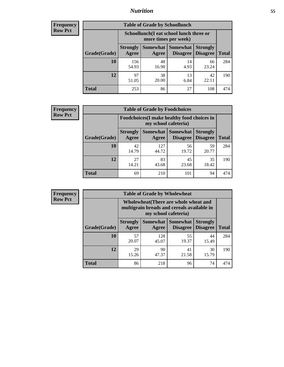### *Nutrition* **55**

| Frequency      |
|----------------|
| <b>Row Pct</b> |

| <b>Table of Grade by Schoollunch</b> |                          |                                                                 |                             |                                    |              |  |
|--------------------------------------|--------------------------|-----------------------------------------------------------------|-----------------------------|------------------------------------|--------------|--|
|                                      |                          | Schoollunch(I eat school lunch three or<br>more times per week) |                             |                                    |              |  |
| Grade(Grade)                         | <b>Strongly</b><br>Agree | Somewhat  <br>Agree                                             | <b>Somewhat</b><br>Disagree | <b>Strongly</b><br><b>Disagree</b> | <b>Total</b> |  |
| 10                                   | 156<br>54.93             | 48<br>16.90                                                     | 14<br>4.93                  | 66<br>23.24                        | 284          |  |
| 12                                   | 97<br>51.05              | 38<br>20.00                                                     | 13<br>6.84                  | 42<br>22.11                        | 190          |  |
| <b>Total</b>                         | 253                      | 86                                                              | 27                          | 108                                | 474          |  |

| <b>Frequency</b> |  |
|------------------|--|
| <b>Row Pct</b>   |  |

| <b>Table of Grade by Foodchoices</b> |                          |                                                                     |                               |                                    |              |  |
|--------------------------------------|--------------------------|---------------------------------------------------------------------|-------------------------------|------------------------------------|--------------|--|
|                                      |                          | Foodchoices (I make healthy food choices in<br>my school cafeteria) |                               |                                    |              |  |
| Grade(Grade)                         | <b>Strongly</b><br>Agree | Agree                                                               | Somewhat Somewhat<br>Disagree | <b>Strongly</b><br><b>Disagree</b> | <b>Total</b> |  |
| 10                                   | 42<br>14.79              | 127<br>44.72                                                        | 56<br>19.72                   | 59<br>20.77                        | 284          |  |
| 12                                   | 27<br>14.21              | 83<br>43.68                                                         | 45<br>23.68                   | 35<br>18.42                        | 190          |  |
| <b>Total</b>                         | 69                       | 210                                                                 | 101                           | 94                                 | 474          |  |

| <b>Frequency</b> |
|------------------|
| <b>Row Pct</b>   |

| y | <b>Table of Grade by Wholewheat</b> |                                                                                                             |                     |                                    |                                    |              |
|---|-------------------------------------|-------------------------------------------------------------------------------------------------------------|---------------------|------------------------------------|------------------------------------|--------------|
|   |                                     | Wholewheat (There are whole wheat and<br>multigrain breads and cereals available in<br>my school cafeteria) |                     |                                    |                                    |              |
|   | Grade(Grade)                        | <b>Strongly</b><br>Agree                                                                                    | Somewhat  <br>Agree | <b>Somewhat</b><br><b>Disagree</b> | <b>Strongly</b><br><b>Disagree</b> | <b>Total</b> |
|   | 10                                  | 57<br>20.07                                                                                                 | 128<br>45.07        | 55<br>19.37                        | 44<br>15.49                        | 284          |
|   | 12                                  | 29<br>15.26                                                                                                 | 90<br>47.37         | 41<br>21.58                        | 30<br>15.79                        | 190          |
|   | <b>Total</b>                        | 86                                                                                                          | 218                 | 96                                 | 74                                 | 474          |

E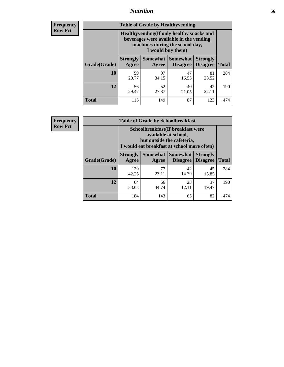### *Nutrition* **56**

**Frequency Row Pct**

| <b>Table of Grade by Healthyvending</b> |                                                                                                                                               |                          |                                    |                                    |              |  |  |
|-----------------------------------------|-----------------------------------------------------------------------------------------------------------------------------------------------|--------------------------|------------------------------------|------------------------------------|--------------|--|--|
|                                         | Healthyvending (If only healthy snacks and<br>beverages were available in the vending<br>machines during the school day,<br>I would buy them) |                          |                                    |                                    |              |  |  |
| Grade(Grade)                            | <b>Strongly</b><br>Agree                                                                                                                      | <b>Somewhat</b><br>Agree | <b>Somewhat</b><br><b>Disagree</b> | <b>Strongly</b><br><b>Disagree</b> | <b>Total</b> |  |  |
| 10                                      | 59<br>20.77                                                                                                                                   | 97<br>34.15              | 47<br>16.55                        | 81<br>28.52                        | 284          |  |  |
| 12                                      | 56<br>29.47                                                                                                                                   | 52<br>27.37              | 40<br>21.05                        | 42<br>22.11                        | 190          |  |  |
| Total                                   | 115                                                                                                                                           | 149                      | 87                                 | 123                                | 474          |  |  |

**Frequency Row Pct**

| <b>Table of Grade by Schoolbreakfast</b> |                                                                                                                                         |             |                                               |                                    |              |  |  |
|------------------------------------------|-----------------------------------------------------------------------------------------------------------------------------------------|-------------|-----------------------------------------------|------------------------------------|--------------|--|--|
|                                          | Schoolbreakfast (If breakfast were<br>available at school,<br>but outside the cafeteria,<br>I would eat breakfast at school more often) |             |                                               |                                    |              |  |  |
| Grade(Grade)                             | <b>Strongly</b><br>Agree                                                                                                                | Agree       | <b>Somewhat   Somewhat</b><br><b>Disagree</b> | <b>Strongly</b><br><b>Disagree</b> | <b>Total</b> |  |  |
| 10                                       | 120<br>42.25                                                                                                                            | 77<br>27.11 | 42<br>14.79                                   | 45<br>15.85                        | 284          |  |  |
| 12                                       | 64<br>33.68                                                                                                                             | 66<br>34.74 | 23<br>12.11                                   | 37<br>19.47                        | 190          |  |  |
| <b>Total</b>                             | 184                                                                                                                                     | 143         | 65                                            | 82                                 | 474          |  |  |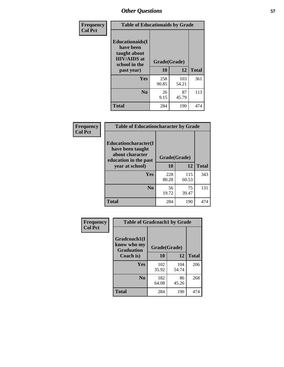| Frequency<br><b>Col Pct</b> | <b>Table of Educationaids by Grade</b>                                                                    |                    |              |              |
|-----------------------------|-----------------------------------------------------------------------------------------------------------|--------------------|--------------|--------------|
|                             | <b>Educationaids</b> (I<br>have been<br>taught about<br><b>HIV/AIDS</b> at<br>school in the<br>past year) | Grade(Grade)<br>10 | 12           | <b>Total</b> |
|                             | Yes                                                                                                       | 258<br>90.85       | 103<br>54.21 | 361          |
|                             | N <sub>0</sub>                                                                                            | 26<br>9.15         | 87<br>45.79  | 113          |
|                             | <b>Total</b>                                                                                              | 284                | 190          | 474          |

| <b>Frequency</b> | <b>Table of Educationcharacter by Grade</b>                                                             |              |              |              |
|------------------|---------------------------------------------------------------------------------------------------------|--------------|--------------|--------------|
| <b>Col Pct</b>   | Educationcharacter(I<br>have been taught<br>about character<br>education in the past<br>year at school) | Grade(Grade) |              |              |
|                  |                                                                                                         | 10           | 12           | <b>Total</b> |
|                  | Yes                                                                                                     | 228<br>80.28 | 115<br>60.53 | 343          |
|                  | N <sub>0</sub>                                                                                          | 56<br>19.72  | 75<br>39.47  | 131          |
|                  | <b>Total</b>                                                                                            | 284          | 190          | 474          |

| Frequency      | <b>Table of Gradcoach1 by Grade</b>              |              |              |              |
|----------------|--------------------------------------------------|--------------|--------------|--------------|
| <b>Col Pct</b> | Gradcoach1(I<br>know who my<br><b>Graduation</b> | Grade(Grade) |              |              |
|                | Coach is)                                        | 10           | 12           | <b>Total</b> |
|                | Yes                                              | 102<br>35.92 | 104<br>54.74 | 206          |
|                | N <sub>0</sub>                                   | 182<br>64.08 | 86<br>45.26  | 268          |
|                | <b>Total</b>                                     | 284          | 190          | 474          |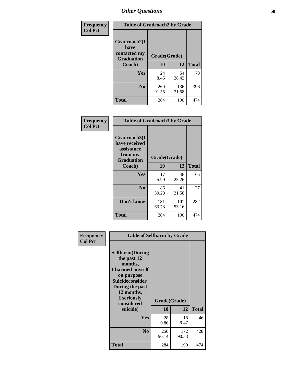| Frequency      | <b>Table of Gradcoach2 by Grade</b> |              |              |              |
|----------------|-------------------------------------|--------------|--------------|--------------|
| <b>Col Pct</b> | Gradcoach2(I<br>have                |              |              |              |
|                | contacted my<br><b>Graduation</b>   |              | Grade(Grade) |              |
|                | Coach)                              | 10           | 12           | <b>Total</b> |
|                | Yes                                 | 24<br>8.45   | 54<br>28.42  | 78           |
|                | N <sub>0</sub>                      | 260<br>91.55 | 136<br>71.58 | 396          |
|                | <b>Total</b>                        | 284          | 190          | 474          |

| Frequency<br><b>Col Pct</b> | <b>Table of Gradcoach3 by Grade</b>                                         |              |              |              |
|-----------------------------|-----------------------------------------------------------------------------|--------------|--------------|--------------|
|                             | Gradcoach3(I<br>have received<br>assistance<br>from my<br><b>Graduation</b> | Grade(Grade) |              |              |
|                             | Coach)                                                                      | 10           | 12           | <b>Total</b> |
|                             | Yes                                                                         | 17<br>5.99   | 48<br>25.26  | 65           |
|                             | N <sub>0</sub>                                                              | 86<br>30.28  | 41<br>21.58  | 127          |
|                             | Don't know                                                                  | 181<br>63.73 | 101<br>53.16 | 282          |
|                             | <b>Total</b>                                                                | 284          | 190          | 474          |

| Frequency<br><b>Col Pct</b> | <b>Table of Selfharm by Grade</b>                                                                                                                                                      |                    |              |              |
|-----------------------------|----------------------------------------------------------------------------------------------------------------------------------------------------------------------------------------|--------------------|--------------|--------------|
|                             | <b>Selfharm</b> (During<br>the past 12<br>months,<br>I harmed myself<br>on purpose<br><b>Suicideconsider</b><br>During the past<br>12 months,<br>I seriously<br>considered<br>suicide) | Grade(Grade)<br>10 | 12           | <b>Total</b> |
|                             | <b>Yes</b>                                                                                                                                                                             | 28<br>9.86         | 18<br>9.47   | 46           |
|                             | N <sub>0</sub>                                                                                                                                                                         | 256<br>90.14       | 172<br>90.53 | 428          |
|                             | <b>Total</b>                                                                                                                                                                           | 284                | 190          | 474          |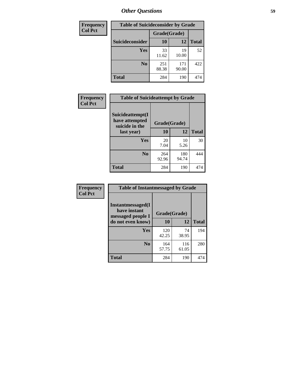| <b>Frequency</b> |                        |              | <b>Table of Suicideconsider by Grade</b> |              |
|------------------|------------------------|--------------|------------------------------------------|--------------|
| <b>Col Pct</b>   |                        | Grade(Grade) |                                          |              |
|                  | <b>Suicideconsider</b> | <b>10</b>    | 12                                       | <b>Total</b> |
|                  | Yes                    | 33<br>11.62  | 19<br>10.00                              | 52           |
|                  | N <sub>0</sub>         | 251<br>88.38 | 171<br>90.00                             | 422          |
|                  | Total                  | 284          | 190                                      | 474          |

| Frequency      | <b>Table of Suicideattempt by Grade</b>              |              |              |              |
|----------------|------------------------------------------------------|--------------|--------------|--------------|
| <b>Col Pct</b> | Suicideattempt(I<br>have attempted<br>suicide in the | Grade(Grade) |              |              |
|                | last year)                                           | 10           | 12           | <b>Total</b> |
|                | Yes                                                  | 20<br>7.04   | 10<br>5.26   | 30           |
|                | N <sub>0</sub>                                       | 264<br>92.96 | 180<br>94.74 | 444          |
|                | <b>Total</b>                                         | 284          | 190          | 474          |

| Frequency      | <b>Table of Instantmessaged by Grade</b>               |              |              |              |  |
|----------------|--------------------------------------------------------|--------------|--------------|--------------|--|
| <b>Col Pct</b> | Instantmessaged(I<br>have instant<br>messaged people I | Grade(Grade) |              |              |  |
|                | do not even know)                                      | 10           | 12           | <b>Total</b> |  |
|                | Yes                                                    | 120<br>42.25 | 74<br>38.95  | 194          |  |
|                | N <sub>0</sub>                                         | 164<br>57.75 | 116<br>61.05 | 280          |  |
|                | <b>Total</b>                                           | 284          | 190          | 474          |  |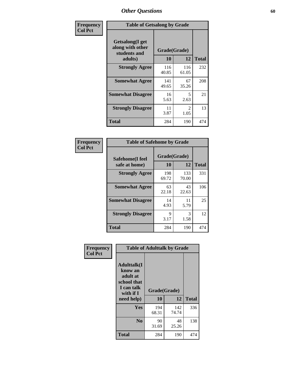| Frequency      | <b>Table of Getsalong by Grade</b>                          |              |                        |              |  |  |  |
|----------------|-------------------------------------------------------------|--------------|------------------------|--------------|--|--|--|
| <b>Col Pct</b> | <b>Getsalong</b> (I get<br>along with other<br>students and | Grade(Grade) |                        |              |  |  |  |
|                | adults)                                                     | 10           | 12                     | <b>Total</b> |  |  |  |
|                | <b>Strongly Agree</b>                                       | 116<br>40.85 | 116<br>61.05           | 232          |  |  |  |
|                | <b>Somewhat Agree</b>                                       | 141<br>49.65 | 67<br>35.26            | 208          |  |  |  |
|                | <b>Somewhat Disagree</b>                                    | 16<br>5.63   | 5<br>2.63              | 21           |  |  |  |
|                | <b>Strongly Disagree</b>                                    | 11<br>3.87   | $\mathfrak{D}$<br>1.05 | 13           |  |  |  |
|                | <b>Total</b>                                                | 284          | 190                    | 474          |  |  |  |

| Frequency      | <b>Table of Safehome by Grade</b> |                    |              |              |  |  |  |  |
|----------------|-----------------------------------|--------------------|--------------|--------------|--|--|--|--|
| <b>Col Pct</b> | Safehome(I feel<br>safe at home)  | Grade(Grade)<br>10 | 12           | <b>Total</b> |  |  |  |  |
|                | <b>Strongly Agree</b>             | 198<br>69.72       | 133<br>70.00 | 331          |  |  |  |  |
|                | <b>Somewhat Agree</b>             | 63<br>22.18        | 43<br>22.63  | 106          |  |  |  |  |
|                | <b>Somewhat Disagree</b>          | 14<br>4.93         | 11<br>5.79   | 25           |  |  |  |  |
|                | <b>Strongly Disagree</b>          | 9<br>3.17          | 3<br>1.58    | 12           |  |  |  |  |
|                | <b>Total</b>                      | 284                | 190          | 474          |  |  |  |  |

| Frequency      |                                                                                     | <b>Table of Adulttalk by Grade</b> |              |              |
|----------------|-------------------------------------------------------------------------------------|------------------------------------|--------------|--------------|
| <b>Col Pct</b> | <b>Adulttalk(I</b><br>know an<br>adult at<br>school that<br>I can talk<br>with if I | Grade(Grade)                       |              |              |
|                | need help)                                                                          | 10                                 | 12           | <b>Total</b> |
|                | <b>Yes</b>                                                                          | 194<br>68.31                       | 142<br>74.74 | 336          |
|                | N <sub>0</sub>                                                                      | 90<br>31.69                        | 48<br>25.26  | 138          |
|                | <b>Total</b>                                                                        | 284                                | 190          | 474          |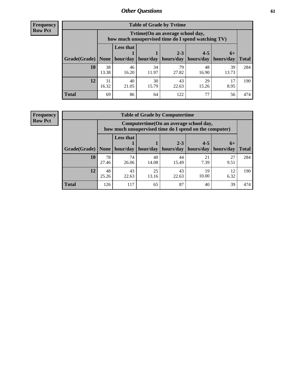**Frequency Row Pct**

| <b>Table of Grade by Tytime</b> |             |                                                                                         |             |             |             |             |              |  |  |  |
|---------------------------------|-------------|-----------------------------------------------------------------------------------------|-------------|-------------|-------------|-------------|--------------|--|--|--|
|                                 |             | Tytime (On an average school day,<br>how much unsupervised time do I spend watching TV) |             |             |             |             |              |  |  |  |
|                                 |             | <b>Less that</b>                                                                        |             | $2 - 3$     | $4 - 5$     | $6+$        |              |  |  |  |
| Grade(Grade)                    | None        | hour/day                                                                                | hour/day    | hours/day   | hours/day   | hours/day   | <b>Total</b> |  |  |  |
| 10                              | 38<br>13.38 | 46<br>16.20                                                                             | 34<br>11.97 | 79<br>27.82 | 48<br>16.90 | 39<br>13.73 | 284          |  |  |  |
| 12                              | 31<br>16.32 | 40<br>21.05                                                                             | 30<br>15.79 | 43<br>22.63 | 29<br>15.26 | 17<br>8.95  | 190          |  |  |  |
| <b>Total</b>                    | 69          | 86                                                                                      | 64          | 122         | 77          | 56          | 474          |  |  |  |

**Frequency Row Pct**

| <b>Table of Grade by Computertime</b> |             |                                                                                                   |             |                      |                      |                   |              |  |  |  |  |
|---------------------------------------|-------------|---------------------------------------------------------------------------------------------------|-------------|----------------------|----------------------|-------------------|--------------|--|--|--|--|
|                                       |             | Computertime (On an average school day,<br>how much unsupervised time do I spend on the computer) |             |                      |                      |                   |              |  |  |  |  |
| Grade(Grade)                          | None        | <b>Less that</b><br>hour/day                                                                      | hour/day    | $2 - 3$<br>hours/day | $4 - 5$<br>hours/day | $6+$<br>hours/day | <b>Total</b> |  |  |  |  |
| 10                                    | 78<br>27.46 | 74<br>26.06                                                                                       | 40<br>14.08 | 44<br>15.49          | 21<br>7.39           | 27<br>9.51        | 284          |  |  |  |  |
| 12                                    | 48<br>25.26 | 43<br>25<br>43<br>19<br>12<br>10.00<br>22.63<br>13.16<br>22.63<br>6.32                            |             |                      |                      |                   |              |  |  |  |  |
| <b>Total</b>                          | 126         | 117                                                                                               | 65          | 87                   | 40                   | 39                | 474          |  |  |  |  |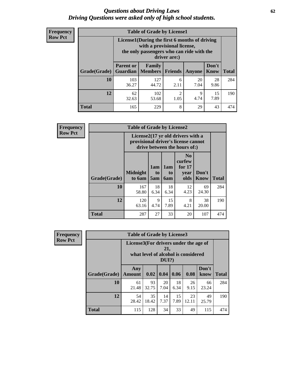#### *Questions about Driving Laws* **62** *Driving Questions were asked only of high school students.*

| <b>Frequency</b> |
|------------------|
| <b>Row Pct</b>   |

| <b>Table of Grade by License1</b> |                                     |                                                                                                                                           |                |               |                      |              |  |  |  |  |
|-----------------------------------|-------------------------------------|-------------------------------------------------------------------------------------------------------------------------------------------|----------------|---------------|----------------------|--------------|--|--|--|--|
|                                   |                                     | License1(During the first 6 months of driving<br>with a provisional license,<br>the only passengers who can ride with the<br>driver are:) |                |               |                      |              |  |  |  |  |
| Grade(Grade)                      | <b>Parent or</b><br><b>Guardian</b> | Family<br><b>Members</b>                                                                                                                  | <b>Friends</b> | <b>Anyone</b> | Don't<br><b>Know</b> | <b>Total</b> |  |  |  |  |
| 10                                | 103<br>36.27                        | 127<br>44.72                                                                                                                              | 6<br>2.11      | 20<br>7.04    | 28<br>9.86           | 284          |  |  |  |  |
| 12                                | 62<br>32.63                         | $\overline{c}$<br>102<br>15<br>9<br>7.89<br>4.74<br>1.05<br>53.68                                                                         |                |               |                      |              |  |  |  |  |
| <b>Total</b>                      | 165                                 | 229                                                                                                                                       | 8              | 29            | 43                   | 474          |  |  |  |  |

| <b>Frequency</b> |                                                                                                                      |                           |                              | <b>Table of Grade by License2</b> |                                                      |                      |              |  |  |  |  |  |
|------------------|----------------------------------------------------------------------------------------------------------------------|---------------------------|------------------------------|-----------------------------------|------------------------------------------------------|----------------------|--------------|--|--|--|--|--|
| <b>Row Pct</b>   | License $2(17 \text{ yr})$ old drivers with a<br>provisional driver's license cannot<br>drive between the hours of:) |                           |                              |                                   |                                                      |                      |              |  |  |  |  |  |
|                  | <b>Grade(Grade)</b>                                                                                                  | <b>Midnight</b><br>to 6am | 1am<br>t <sub>0</sub><br>5am | 1am<br>t <sub>0</sub><br>6am      | N <sub>0</sub><br>curfew<br>for $17$<br>year<br>olds | Don't<br><b>Know</b> | <b>Total</b> |  |  |  |  |  |
|                  | 10                                                                                                                   | 167<br>58.80              | 18<br>6.34                   | 18<br>6.34                        | 12<br>4.23                                           | 69<br>24.30          | 284          |  |  |  |  |  |
|                  | 12                                                                                                                   | 120<br>63.16              | 9<br>4.74                    | 15<br>7.89                        | 8<br>4.21                                            | 38<br>20.00          | 190          |  |  |  |  |  |
|                  | <b>Total</b>                                                                                                         | 287                       | 27                           | 33                                | 20                                                   | 107                  | 474          |  |  |  |  |  |

| Frequency      |              | <b>Table of Grade by License3</b>     |             |                 |            |                                     |               |              |  |  |
|----------------|--------------|---------------------------------------|-------------|-----------------|------------|-------------------------------------|---------------|--------------|--|--|
| <b>Row Pct</b> |              | License3(For drivers under the age of |             | 21,<br>$DUI$ ?) |            | what level of alcohol is considered |               |              |  |  |
|                | Grade(Grade) | Any<br><b>Amount</b>                  | 0.02        | 0.04            | 0.06       | 0.08                                | Don't<br>know | <b>Total</b> |  |  |
|                | <b>10</b>    | 61<br>21.48                           | 93<br>32.75 | 20<br>7.04      | 18<br>6.34 | 26<br>9.15                          | 66<br>23.24   | 284          |  |  |
|                | 12           | 54<br>28.42                           | 35<br>18.42 | 14<br>7.37      | 15<br>7.89 | 23<br>12.11                         | 49<br>25.79   | 190          |  |  |
|                | <b>Total</b> | 115                                   | 128         | 34              | 33         | 49                                  | 115           | 474          |  |  |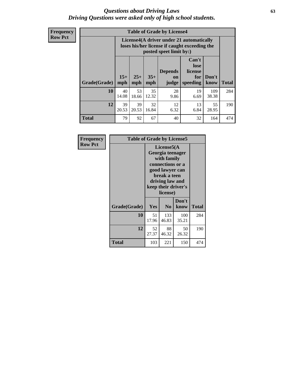#### *Questions about Driving Laws* **63** *Driving Questions were asked only of high school students.*

**Frequency Row Pct**

| <b>Table of Grade by License4</b> |             |                                                                                                                                                                                                                                                                                |             |            |            |              |     |  |  |
|-----------------------------------|-------------|--------------------------------------------------------------------------------------------------------------------------------------------------------------------------------------------------------------------------------------------------------------------------------|-------------|------------|------------|--------------|-----|--|--|
|                                   |             | License4(A driver under 21 automatically<br>loses his/her license if caught exceeding the<br>posted speet limit by:)<br>Can't<br>lose<br><b>Depends</b><br>license<br>$15+$<br>$25+$<br>$35+$<br>Don't<br>for<br>on<br><b>Total</b><br>mph<br>speeding<br>mph<br>judge<br>know |             |            |            |              |     |  |  |
| Grade(Grade)                      | mph         |                                                                                                                                                                                                                                                                                |             |            |            |              |     |  |  |
| 10                                | 40<br>14.08 | 53<br>18.66                                                                                                                                                                                                                                                                    | 35<br>12.32 | 28<br>9.86 | 19<br>6.69 | 109<br>38.38 | 284 |  |  |
| 12                                | 39<br>20.53 | 39<br>32<br>12<br>13<br>55<br>20.53<br>16.84<br>6.32<br>6.84<br>28.95                                                                                                                                                                                                          |             |            |            |              |     |  |  |
| <b>Total</b>                      | 79          | 92                                                                                                                                                                                                                                                                             | 67          | 40         | 32         | 164          | 474 |  |  |

| Frequency      | <b>Table of Grade by License5</b> |                                                                                                                                                             |                |               |       |
|----------------|-----------------------------------|-------------------------------------------------------------------------------------------------------------------------------------------------------------|----------------|---------------|-------|
| <b>Row Pct</b> |                                   | License5(A)<br>Georgia teenager<br>with family<br>connections or a<br>good lawyer can<br>break a teen<br>driving law and<br>keep their driver's<br>license) |                |               |       |
|                | Grade(Grade)                      | <b>Yes</b>                                                                                                                                                  | N <sub>0</sub> | Don't<br>know | Total |
|                | <b>10</b>                         | 51<br>17.96                                                                                                                                                 | 133<br>46.83   | 100<br>35.21  | 284   |
|                | 12                                | 52<br>27.37                                                                                                                                                 | 88<br>46.32    | 50<br>26.32   | 190   |
|                | <b>Total</b>                      | 103                                                                                                                                                         | 221            | 150           | 474   |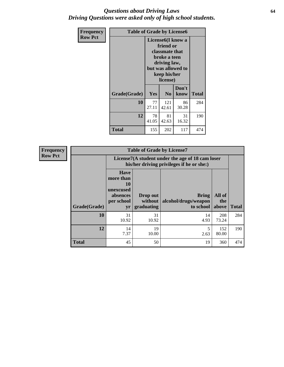#### *Questions about Driving Laws* **64** *Driving Questions were asked only of high school students.*

| <b>Frequency</b><br><b>Row Pct</b> | <b>Table of Grade by License6</b> |                                                                                                                                                 |                |               |              |
|------------------------------------|-----------------------------------|-------------------------------------------------------------------------------------------------------------------------------------------------|----------------|---------------|--------------|
|                                    |                                   | License <sub>6</sub> (I know a<br>friend or<br>classmate that<br>broke a teen<br>driving law,<br>but was allowed to<br>keep his/her<br>license) |                |               |              |
|                                    | Grade(Grade)                      | <b>Yes</b>                                                                                                                                      | N <sub>0</sub> | Don't<br>know | <b>Total</b> |
|                                    | 10                                | 77<br>27.11                                                                                                                                     | 121<br>42.61   | 86<br>30.28   | 284          |
|                                    | 12                                | 81<br>78<br>31<br>41.05<br>16.32<br>42.63                                                                                                       |                |               | 190          |
|                                    | <b>Total</b>                      | 155                                                                                                                                             | 202            | 117           | 474          |

| Frequency      | <b>Table of Grade by License7</b> |                                                                             |                                                                                               |                                                   |                        |              |  |
|----------------|-----------------------------------|-----------------------------------------------------------------------------|-----------------------------------------------------------------------------------------------|---------------------------------------------------|------------------------|--------------|--|
| <b>Row Pct</b> |                                   |                                                                             | License7(A student under the age of 18 cam loser<br>his/her driving privileges if he or she:) |                                                   |                        |              |  |
|                | Grade(Grade)                      | <b>Have</b><br>more than<br>10<br>unexcused<br>absences<br>per school<br>yr | Drop out<br>without  <br>graduating                                                           | <b>Bring</b><br>alcohol/drugs/weapon<br>to school | All of<br>the<br>above | <b>Total</b> |  |
|                | 10                                | 31<br>10.92                                                                 | 31<br>10.92                                                                                   | 14<br>4.93                                        | 208<br>73.24           | 284          |  |
|                | 12                                | 14<br>7.37                                                                  | 19<br>10.00                                                                                   | 5<br>2.63                                         | 152<br>80.00           | 190          |  |
|                | <b>Total</b>                      | 45                                                                          | 50                                                                                            | 19                                                | 360                    | 474          |  |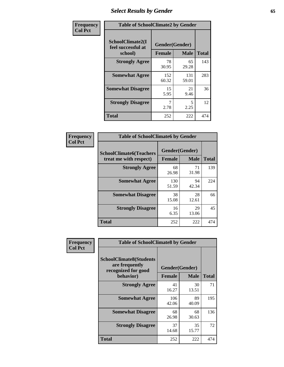# *Select Results by Gender* **65**

| Frequency      | <b>Table of SchoolClimate2 by Gender</b> |                              |                            |                     |
|----------------|------------------------------------------|------------------------------|----------------------------|---------------------|
| <b>Col Pct</b> | SchoolClimate2(I<br>feel successful at   | Gender(Gender)               |                            |                     |
|                | school)<br><b>Strongly Agree</b>         | <b>Female</b><br>78<br>30.95 | <b>Male</b><br>65<br>29.28 | <b>Total</b><br>143 |
|                | <b>Somewhat Agree</b>                    | 152<br>60.32                 | 131<br>59.01               | 283                 |
|                | <b>Somewhat Disagree</b>                 | 15<br>5.95                   | 21<br>9.46                 | 36                  |
|                | <b>Strongly Disagree</b>                 | 7<br>2.78                    | 5<br>2.25                  | 12                  |
|                | <b>Total</b>                             | 252                          | 222                        | 474                 |

| <b>Frequency</b> | <b>Table of SchoolClimate6 by Gender</b>                 |                                 |              |     |  |
|------------------|----------------------------------------------------------|---------------------------------|--------------|-----|--|
| <b>Col Pct</b>   | <b>SchoolClimate6(Teachers</b><br>treat me with respect) | Gender(Gender)<br><b>Female</b> | <b>Total</b> |     |  |
|                  |                                                          |                                 | Male         |     |  |
|                  | <b>Strongly Agree</b>                                    | 68<br>26.98                     | 71<br>31.98  | 139 |  |
|                  | <b>Somewhat Agree</b>                                    | 130<br>51.59                    | 94<br>42.34  | 224 |  |
|                  | <b>Somewhat Disagree</b>                                 | 38<br>15.08                     | 28<br>12.61  | 66  |  |
|                  | <b>Strongly Disagree</b>                                 | 16<br>6.35                      | 29<br>13.06  | 45  |  |
|                  | <b>Total</b>                                             | 252                             | 222          | 474 |  |

| <b>Frequency</b> | <b>Table of SchoolClimate8 by Gender</b>                                             |                                 |             |              |
|------------------|--------------------------------------------------------------------------------------|---------------------------------|-------------|--------------|
| <b>Col Pct</b>   | <b>SchoolClimate8(Students</b><br>are frequently<br>recognized for good<br>behavior) | Gender(Gender)<br><b>Female</b> | <b>Male</b> | <b>Total</b> |
|                  | <b>Strongly Agree</b>                                                                | 41                              | 30          | 71           |
|                  |                                                                                      | 16.27                           | 13.51       |              |
|                  | <b>Somewhat Agree</b>                                                                | 106<br>42.06                    | 89<br>40.09 | 195          |
|                  | <b>Somewhat Disagree</b>                                                             | 68<br>26.98                     | 68<br>30.63 | 136          |
|                  | <b>Strongly Disagree</b>                                                             | 37<br>14.68                     | 35<br>15.77 | 72           |
|                  | <b>Total</b>                                                                         | 252                             | 222         | 474          |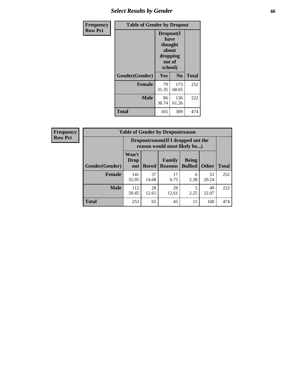## *Select Results by Gender* **66**

| Frequency      | <b>Table of Gender by Dropout</b> |                                                                        |                |              |
|----------------|-----------------------------------|------------------------------------------------------------------------|----------------|--------------|
| <b>Row Pct</b> |                                   | Dropout(I<br>have<br>thought<br>about<br>dropping<br>out of<br>school) |                |              |
|                | Gender(Gender)                    | Yes                                                                    | N <sub>0</sub> | <b>Total</b> |
|                | <b>Female</b>                     | 79<br>31.35                                                            | 173<br>68.65   | 252          |
|                | <b>Male</b>                       | 86<br>38.74                                                            | 136<br>61.26   | 222          |
|                | <b>Total</b>                      | 165                                                                    | 309            | 474          |

| <b>Frequency</b> | <b>Table of Gender by Dropoutreason</b> |                                                                    |              |                          |                                |              |              |
|------------------|-----------------------------------------|--------------------------------------------------------------------|--------------|--------------------------|--------------------------------|--------------|--------------|
| <b>Row Pct</b>   |                                         | Dropoutreason(If I dropped out the<br>reason would most likely be) |              |                          |                                |              |              |
|                  | Gender(Gender)                          | Won't<br><b>Drop</b><br>out                                        | <b>Bored</b> | Family<br><b>Reasons</b> | <b>Being</b><br><b>Bullied</b> | <b>Other</b> | <b>Total</b> |
|                  | <b>Female</b>                           | 141<br>55.95                                                       | 37<br>14.68  | 17<br>6.75               | 6<br>2.38                      | 51<br>20.24  | 252          |
|                  | <b>Male</b>                             | 112<br>50.45                                                       | 28<br>12.61  | 28<br>12.61              | 2.25                           | 49<br>22.07  | 222          |
|                  | <b>Total</b>                            | 253                                                                | 65           | 45                       | 11                             | 100          | 474          |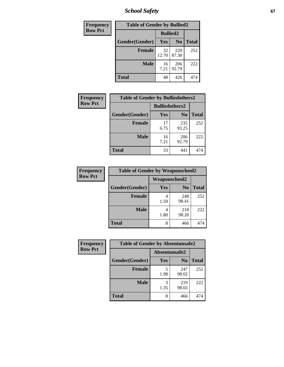*School Safety* **67**

| Frequency      | <b>Table of Gender by Bullied2</b> |                 |                |              |
|----------------|------------------------------------|-----------------|----------------|--------------|
| <b>Row Pct</b> |                                    | <b>Bullied2</b> |                |              |
|                | Gender(Gender)                     | <b>Yes</b>      | N <sub>0</sub> | <b>Total</b> |
|                | <b>Female</b>                      | 32<br>12.70     | 220<br>87.30   | 252          |
|                | <b>Male</b>                        | 16<br>7.21      | 206<br>92.79   | 222          |
|                | Total                              | 48              | 426            | 474          |

| Frequency      | <b>Table of Gender by Bulliedothers2</b> |                       |                |              |
|----------------|------------------------------------------|-----------------------|----------------|--------------|
| <b>Row Pct</b> |                                          | <b>Bulliedothers2</b> |                |              |
|                | Gender(Gender)                           | Yes                   | N <sub>0</sub> | <b>Total</b> |
|                | <b>Female</b>                            | 17<br>6.75            | 235<br>93.25   | 252          |
|                | <b>Male</b>                              | 16<br>7.21            | 206<br>92.79   | 222          |
|                | <b>Total</b>                             | 33                    | 441            | 474          |

| Frequency      | <b>Table of Gender by Weaponschool2</b> |                      |                |              |
|----------------|-----------------------------------------|----------------------|----------------|--------------|
| <b>Row Pct</b> |                                         | <b>Weaponschool2</b> |                |              |
|                | Gender(Gender)                          | Yes                  | N <sub>0</sub> | <b>Total</b> |
|                | <b>Female</b>                           | 1.59                 | 248<br>98.41   | 252          |
|                | <b>Male</b>                             | 1.80                 | 218<br>98.20   | 222          |
|                | <b>Total</b>                            | 8                    | 466            | 474          |

| <b>Frequency</b> | <b>Table of Gender by Absentunsafe2</b> |               |                |              |
|------------------|-----------------------------------------|---------------|----------------|--------------|
| <b>Row Pct</b>   |                                         | Absentunsafe2 |                |              |
|                  | Gender(Gender)                          | Yes           | N <sub>0</sub> | <b>Total</b> |
|                  | <b>Female</b>                           | 1.98          | 247<br>98.02   | 252          |
|                  | <b>Male</b>                             | 1.35          | 219<br>98.65   | 222          |
|                  | <b>Total</b>                            | 8             | 466            | 474          |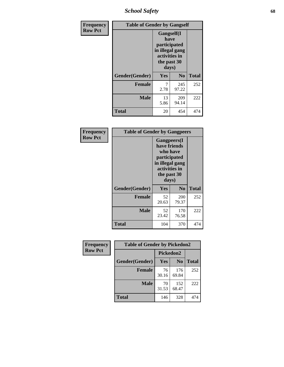*School Safety* **68**

| Frequency      | <b>Table of Gender by Gangself</b> |                                                                                                        |                |              |
|----------------|------------------------------------|--------------------------------------------------------------------------------------------------------|----------------|--------------|
| <b>Row Pct</b> |                                    | <b>Gangself</b> (I<br>have<br>participated<br>in illegal gang<br>activities in<br>the past 30<br>days) |                |              |
|                | Gender(Gender)                     | Yes                                                                                                    | N <sub>0</sub> | <b>Total</b> |
|                | <b>Female</b>                      | 7<br>2.78                                                                                              | 245<br>97.22   | 252          |
|                | <b>Male</b>                        | 13<br>5.86                                                                                             | 209<br>94.14   | 222          |
|                | <b>Total</b>                       | 20                                                                                                     | 454            | 474          |

| Frequency      | <b>Table of Gender by Gangpeers</b> |                                                                                                                             |                |              |
|----------------|-------------------------------------|-----------------------------------------------------------------------------------------------------------------------------|----------------|--------------|
| <b>Row Pct</b> |                                     | <b>Gangpeers</b> (I<br>have friends<br>who have<br>participated<br>in illegal gang<br>activities in<br>the past 30<br>days) |                |              |
|                | Gender(Gender)                      | Yes                                                                                                                         | N <sub>0</sub> | <b>Total</b> |
|                | <b>Female</b>                       | 52<br>20.63                                                                                                                 | 200<br>79.37   | 252          |
|                | <b>Male</b>                         | 52<br>23.42                                                                                                                 | 170<br>76.58   | 222          |
|                | <b>Total</b>                        | 104                                                                                                                         | 370            | 474          |

| Frequency      | <b>Table of Gender by Pickedon2</b> |                  |                |              |
|----------------|-------------------------------------|------------------|----------------|--------------|
| <b>Row Pct</b> |                                     | <b>Pickedon2</b> |                |              |
|                | Gender(Gender)                      | Yes              | N <sub>0</sub> | <b>Total</b> |
|                | <b>Female</b>                       | 76<br>30.16      | 176<br>69.84   | 252          |
|                | <b>Male</b>                         | 70<br>31.53      | 152<br>68.47   | 222          |
|                | <b>Total</b>                        | 146              | 328            | 474          |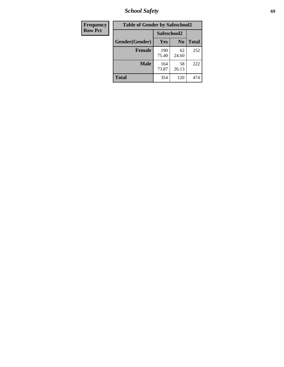*School Safety* **69**

| Frequency      | <b>Table of Gender by Safeschool2</b> |              |                |              |
|----------------|---------------------------------------|--------------|----------------|--------------|
| <b>Row Pct</b> |                                       | Safeschool2  |                |              |
|                | Gender(Gender)                        | <b>Yes</b>   | N <sub>0</sub> | <b>Total</b> |
|                | <b>Female</b>                         | 190<br>75.40 | 62<br>24.60    | 252          |
|                | <b>Male</b>                           | 164<br>73.87 | 58<br>26.13    | 222          |
|                | <b>Total</b>                          | 354          | 120            | 474          |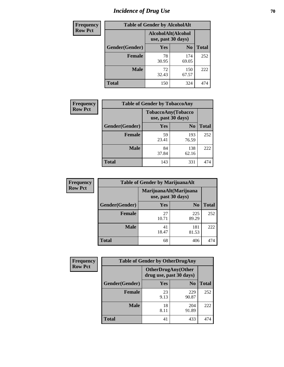# *Incidence of Drug Use* **70**

| <b>Frequency</b> | <b>Table of Gender by AlcoholAlt</b> |                                          |                |              |
|------------------|--------------------------------------|------------------------------------------|----------------|--------------|
| <b>Row Pct</b>   |                                      | AlcoholAlt(Alcohol<br>use, past 30 days) |                |              |
|                  | Gender(Gender)                       | <b>Yes</b>                               | N <sub>0</sub> | <b>Total</b> |
|                  | <b>Female</b>                        | 78<br>30.95                              | 174<br>69.05   | 252          |
|                  | <b>Male</b>                          | 72<br>32.43                              | 150<br>67.57   | 222          |
|                  | <b>Total</b>                         | 150                                      | 324            | 474          |

| Frequency      | <b>Table of Gender by TobaccoAny</b> |                                          |                |              |  |
|----------------|--------------------------------------|------------------------------------------|----------------|--------------|--|
| <b>Row Pct</b> |                                      | TobaccoAny(Tobacco<br>use, past 30 days) |                |              |  |
|                | Gender(Gender)                       | Yes                                      | N <sub>0</sub> | <b>Total</b> |  |
|                | <b>Female</b>                        | 59<br>23.41                              | 193<br>76.59   | 252          |  |
|                | <b>Male</b>                          | 84<br>37.84                              | 138<br>62.16   | 222          |  |
|                | Total                                | 143                                      | 331            |              |  |

| <b>Frequency</b> | <b>Table of Gender by MarijuanaAlt</b> |                                              |                |              |
|------------------|----------------------------------------|----------------------------------------------|----------------|--------------|
| <b>Row Pct</b>   |                                        | MarijuanaAlt(Marijuana<br>use, past 30 days) |                |              |
|                  | Gender(Gender)                         | <b>Yes</b>                                   | N <sub>0</sub> | <b>Total</b> |
|                  | <b>Female</b>                          | 27<br>10.71                                  | 225<br>89.29   | 252          |
|                  | <b>Male</b>                            | 41<br>18.47                                  | 181<br>81.53   | 222          |
|                  | <b>Total</b>                           | 68                                           | 406            | 474          |

| <b>Frequency</b> | <b>Table of Gender by OtherDrugAny</b> |                         |                           |              |
|------------------|----------------------------------------|-------------------------|---------------------------|--------------|
| <b>Row Pct</b>   |                                        | drug use, past 30 days) | <b>OtherDrugAny(Other</b> |              |
|                  | <b>Gender</b> (Gender)                 | <b>Yes</b>              | N <sub>0</sub>            | <b>Total</b> |
|                  | <b>Female</b>                          | 23<br>9.13              | 229<br>90.87              | 252          |
|                  | <b>Male</b>                            | 18<br>8.11              | 204<br>91.89              | 222          |
|                  | <b>Total</b>                           | 41                      | 433                       | 474          |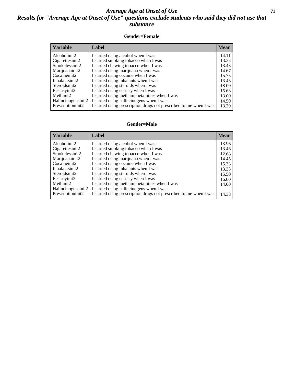#### *Average Age at Onset of Use* **71** *Results for "Average Age at Onset of Use" questions exclude students who said they did not use that substance*

#### **Gender=Female**

| <b>Variable</b>    | <b>Label</b>                                                       | <b>Mean</b> |
|--------------------|--------------------------------------------------------------------|-------------|
| Alcoholinit2       | I started using alcohol when I was                                 | 14.11       |
| Cigarettesinit2    | I started smoking tobacco when I was                               | 13.33       |
| Smokelessinit2     | I started chewing tobacco when I was                               | 13.43       |
| Marijuanainit2     | I started using marijuana when I was                               | 14.67       |
| Cocaineinit2       | I started using cocaine when I was                                 | 15.75       |
| Inhalantsinit2     | I started using inhalants when I was                               | 13.43       |
| Steroidsinit2      | I started using steroids when I was                                | 18.00       |
| Ecstasyinit2       | I started using ecstasy when I was                                 | 15.63       |
| Methinit2          | I started using methamphetamines when I was                        | 13.00       |
| Hallucinogensinit2 | I started using hallucinogens when I was                           | 14.50       |
| Prescription in t2 | I started using prescription drugs not prescribed to me when I was | 13.29       |

#### **Gender=Male**

| <b>Variable</b>    | Label                                                              | <b>Mean</b> |
|--------------------|--------------------------------------------------------------------|-------------|
| Alcoholinit2       | I started using alcohol when I was                                 | 13.96       |
| Cigarettesinit2    | I started smoking tobacco when I was                               | 13.46       |
| Smokelessinit2     | I started chewing tobacco when I was                               | 12.68       |
| Marijuanainit2     | I started using marijuana when I was                               | 14.45       |
| Cocaineinit2       | I started using cocaine when I was                                 | 15.33       |
| Inhalantsinit2     | I started using inhalants when I was                               | 13.33       |
| Steroidsinit2      | I started using steroids when I was                                | 15.50       |
| Ecstasyinit2       | I started using ecstasy when I was                                 | 16.00       |
| Methinit2          | I started using methamphetamines when I was                        | 14.00       |
| Hallucinogensinit2 | I started using hallucinogens when I was                           |             |
| Prescriptioninit2  | I started using prescription drugs not prescribed to me when I was | 14.38       |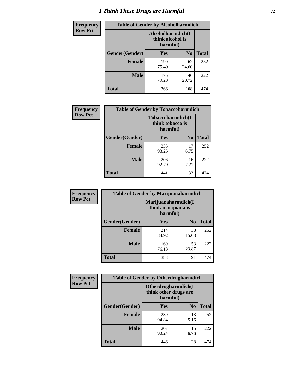# *I Think These Drugs are Harmful* **72**

| <b>Frequency</b> | <b>Table of Gender by Alcoholharmdich</b> |                                                   |                |              |
|------------------|-------------------------------------------|---------------------------------------------------|----------------|--------------|
| <b>Row Pct</b>   |                                           | Alcoholharmdich(I<br>think alcohol is<br>harmful) |                |              |
|                  | Gender(Gender)                            | Yes                                               | N <sub>0</sub> | <b>Total</b> |
|                  | <b>Female</b>                             | 190<br>75.40                                      | 62<br>24.60    | 252          |
|                  | <b>Male</b>                               | 176<br>79.28                                      | 46<br>20.72    | 222          |
|                  | Total                                     | 366                                               | 108            | 474          |

| Frequency      | <b>Table of Gender by Tobaccoharmdich</b> |                              |                   |              |
|----------------|-------------------------------------------|------------------------------|-------------------|--------------|
| <b>Row Pct</b> |                                           | think tobacco is<br>harmful) | Tobaccoharmdich(I |              |
|                | Gender(Gender)                            | Yes                          | N <sub>0</sub>    | <b>Total</b> |
|                | <b>Female</b>                             | 235<br>93.25                 | 17<br>6.75        | 252          |
|                | <b>Male</b>                               | 206<br>92.79                 | 16<br>7.21        | 222          |
|                | <b>Total</b>                              | 441                          | 33                | 474          |

| Frequency      | <b>Table of Gender by Marijuanaharmdich</b> |                                                       |                |              |  |
|----------------|---------------------------------------------|-------------------------------------------------------|----------------|--------------|--|
| <b>Row Pct</b> |                                             | Marijuanaharmdich(I<br>think marijuana is<br>harmful) |                |              |  |
|                | Gender(Gender)                              | <b>Yes</b>                                            | N <sub>0</sub> | <b>Total</b> |  |
|                | <b>Female</b>                               | 214<br>84.92                                          | 38<br>15.08    | 252          |  |
|                | <b>Male</b>                                 | 169<br>76.13                                          | 53<br>23.87    | 222          |  |
|                | <b>Total</b>                                | 383                                                   | 91             | 474          |  |

| Frequency      | <b>Table of Gender by Otherdrugharmdich</b> |                                                          |                |              |  |
|----------------|---------------------------------------------|----------------------------------------------------------|----------------|--------------|--|
| <b>Row Pct</b> |                                             | Otherdrugharmdich(I<br>think other drugs are<br>harmful) |                |              |  |
|                | Gender(Gender)                              | <b>Yes</b>                                               | N <sub>0</sub> | <b>Total</b> |  |
|                | <b>Female</b>                               | 239<br>94.84                                             | 13<br>5.16     | 252          |  |
|                | <b>Male</b>                                 | 207<br>93.24                                             | 15<br>6.76     | 222          |  |
|                | <b>Total</b>                                | 446                                                      | 28             | 474          |  |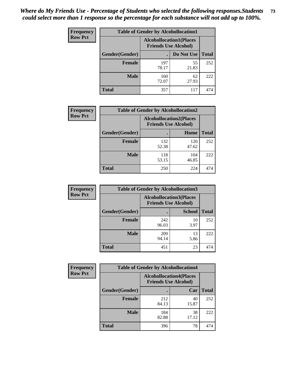| <b>Frequency</b> | <b>Table of Gender by Alcohollocation1</b> |                                                               |             |              |
|------------------|--------------------------------------------|---------------------------------------------------------------|-------------|--------------|
| <b>Row Pct</b>   |                                            | <b>Alcohollocation1(Places</b><br><b>Friends Use Alcohol)</b> |             |              |
|                  | Gender(Gender)                             |                                                               | Do Not Use  | <b>Total</b> |
|                  | <b>Female</b>                              | 197<br>78.17                                                  | 55<br>21.83 | 252          |
|                  | <b>Male</b>                                | 160<br>72.07                                                  | 62<br>27.93 | 222          |
|                  | <b>Total</b>                               | 357                                                           | 117         | 474          |

| <b>Frequency</b> | <b>Table of Gender by Alcohollocation2</b> |                                                               |              |              |
|------------------|--------------------------------------------|---------------------------------------------------------------|--------------|--------------|
| <b>Row Pct</b>   |                                            | <b>Alcohollocation2(Places</b><br><b>Friends Use Alcohol)</b> |              |              |
|                  | <b>Gender</b> (Gender)                     |                                                               | Home         | <b>Total</b> |
|                  | <b>Female</b>                              | 132<br>52.38                                                  | 120<br>47.62 | 252          |
|                  | <b>Male</b>                                | 118<br>53.15                                                  | 104<br>46.85 | 222          |
|                  | <b>Total</b>                               | 250                                                           | 224          | 474          |

| Frequency      | <b>Table of Gender by Alcohollocation3</b> |                                                                |               |              |
|----------------|--------------------------------------------|----------------------------------------------------------------|---------------|--------------|
| <b>Row Pct</b> |                                            | <b>Alcohollocation3</b> (Places<br><b>Friends Use Alcohol)</b> |               |              |
|                | Gender(Gender)                             |                                                                | <b>School</b> | <b>Total</b> |
|                | <b>Female</b>                              | 242<br>96.03                                                   | 10<br>3.97    | 252          |
|                | <b>Male</b>                                | 209<br>94.14                                                   | 13<br>5.86    | 222          |
|                | <b>Total</b>                               | 451                                                            | 23            | 474          |

| <b>Frequency</b> | <b>Table of Gender by Alcohollocation4</b> |                                                               |             |              |
|------------------|--------------------------------------------|---------------------------------------------------------------|-------------|--------------|
| <b>Row Pct</b>   |                                            | <b>Alcohollocation4(Places</b><br><b>Friends Use Alcohol)</b> |             |              |
|                  | Gender(Gender)                             |                                                               | Car         | <b>Total</b> |
|                  | <b>Female</b>                              | 212<br>84.13                                                  | 40<br>15.87 | 252          |
|                  | <b>Male</b>                                | 184<br>82.88                                                  | 38<br>17.12 | 222          |
|                  | <b>Total</b>                               | 396                                                           | 78          | 474          |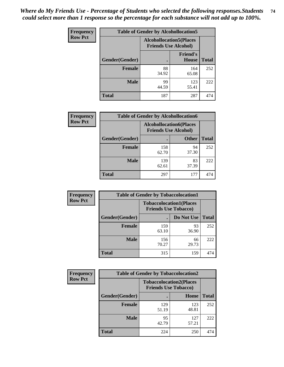| <b>Frequency</b> |                | <b>Table of Gender by Alcohollocation5</b>                    |                                 |              |
|------------------|----------------|---------------------------------------------------------------|---------------------------------|--------------|
| <b>Row Pct</b>   |                | <b>Alcohollocation5(Places</b><br><b>Friends Use Alcohol)</b> |                                 |              |
|                  | Gender(Gender) | ٠                                                             | <b>Friend's</b><br><b>House</b> | <b>Total</b> |
|                  | <b>Female</b>  | 88<br>34.92                                                   | 164<br>65.08                    | 252          |
|                  | <b>Male</b>    | 99<br>44.59                                                   | 123<br>55.41                    | 222          |
|                  | <b>Total</b>   | 187                                                           | 287                             | 474          |

| <b>Frequency</b> | <b>Table of Gender by Alcohollocation6</b> |                                                               |              |              |
|------------------|--------------------------------------------|---------------------------------------------------------------|--------------|--------------|
| <b>Row Pct</b>   |                                            | <b>Alcohollocation6(Places</b><br><b>Friends Use Alcohol)</b> |              |              |
|                  | Gender(Gender)                             |                                                               | <b>Other</b> | <b>Total</b> |
|                  | <b>Female</b>                              | 158<br>62.70                                                  | 94<br>37.30  | 252          |
|                  | <b>Male</b>                                | 139<br>62.61                                                  | 83<br>37.39  | 222          |
|                  | <b>Total</b>                               | 297                                                           | 177          | 474          |

| Frequency      | <b>Table of Gender by Tobaccolocation1</b> |                                                               |             |              |  |
|----------------|--------------------------------------------|---------------------------------------------------------------|-------------|--------------|--|
| <b>Row Pct</b> |                                            | <b>Tobaccolocation1(Places</b><br><b>Friends Use Tobacco)</b> |             |              |  |
|                | Gender(Gender)                             |                                                               | Do Not Use  | <b>Total</b> |  |
|                | Female                                     | 159<br>63.10                                                  | 93<br>36.90 | 252          |  |
|                | <b>Male</b>                                | 156<br>70.27                                                  | 66<br>29.73 | 222          |  |
|                | <b>Total</b>                               | 315                                                           | 159         | 474          |  |

| <b>Frequency</b> | <b>Table of Gender by Tobaccolocation2</b> |                                                               |              |              |
|------------------|--------------------------------------------|---------------------------------------------------------------|--------------|--------------|
| <b>Row Pct</b>   |                                            | <b>Tobaccolocation2(Places</b><br><b>Friends Use Tobacco)</b> |              |              |
|                  | Gender(Gender)                             |                                                               | Home         | <b>Total</b> |
|                  | Female                                     | 129<br>51.19                                                  | 123<br>48.81 | 252          |
|                  | <b>Male</b>                                | 95<br>42.79                                                   | 127<br>57.21 | 222          |
|                  | <b>Total</b>                               | 224                                                           | 250          | 474          |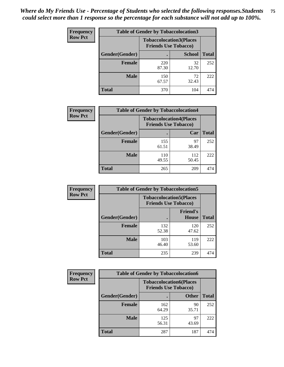| <b>Frequency</b> | <b>Table of Gender by Tobaccolocation3</b> |                             |                                |              |
|------------------|--------------------------------------------|-----------------------------|--------------------------------|--------------|
| <b>Row Pct</b>   |                                            | <b>Friends Use Tobacco)</b> | <b>Tobaccolocation3(Places</b> |              |
|                  | Gender(Gender)                             |                             | <b>School</b>                  | <b>Total</b> |
|                  | <b>Female</b>                              | 220<br>87.30                | 32<br>12.70                    | 252          |
|                  | <b>Male</b>                                | 150<br>67.57                | 72<br>32.43                    | 222          |
|                  | <b>Total</b>                               | 370                         | 104                            | 474          |

| <b>Frequency</b> | <b>Table of Gender by Tobaccolocation4</b> |                                                               |              |              |
|------------------|--------------------------------------------|---------------------------------------------------------------|--------------|--------------|
| <b>Row Pct</b>   |                                            | <b>Tobaccolocation4(Places</b><br><b>Friends Use Tobacco)</b> |              |              |
|                  | Gender(Gender)                             |                                                               | Car          | <b>Total</b> |
|                  | <b>Female</b>                              | 155<br>61.51                                                  | 97<br>38.49  | 252          |
|                  | <b>Male</b>                                | 110<br>49.55                                                  | 112<br>50.45 | 222          |
|                  | <b>Total</b>                               | 265                                                           | 209          | 474          |

| <b>Frequency</b> | <b>Table of Gender by Tobaccolocation5</b> |                                                               |                          |              |
|------------------|--------------------------------------------|---------------------------------------------------------------|--------------------------|--------------|
| <b>Row Pct</b>   |                                            | <b>Tobaccolocation5(Places</b><br><b>Friends Use Tobacco)</b> |                          |              |
|                  | Gender(Gender)                             |                                                               | <b>Friend's</b><br>House | <b>Total</b> |
|                  | <b>Female</b>                              | 132<br>52.38                                                  | 120<br>47.62             | 252          |
|                  | <b>Male</b>                                | 103<br>46.40                                                  | 119<br>53.60             | 222          |
|                  | <b>Total</b>                               | 235                                                           | 239                      | 474          |

| <b>Frequency</b> | <b>Table of Gender by Tobaccolocation6</b> |                                                               |              |              |
|------------------|--------------------------------------------|---------------------------------------------------------------|--------------|--------------|
| <b>Row Pct</b>   |                                            | <b>Tobaccolocation6(Places</b><br><b>Friends Use Tobacco)</b> |              |              |
|                  | Gender(Gender)                             |                                                               | <b>Other</b> | <b>Total</b> |
|                  | Female                                     | 162<br>64.29                                                  | 90<br>35.71  | 252          |
|                  | <b>Male</b>                                | 125<br>56.31                                                  | 97<br>43.69  | 222          |
|                  | <b>Total</b>                               | 287                                                           | 187          | 474          |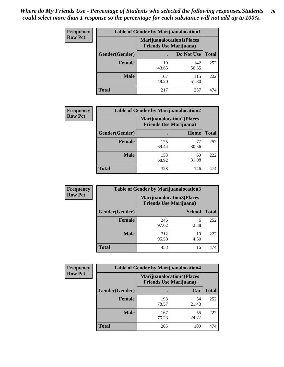| <b>Frequency</b> | <b>Table of Gender by Marijuanalocation1</b> |                                                                    |              |              |
|------------------|----------------------------------------------|--------------------------------------------------------------------|--------------|--------------|
| <b>Row Pct</b>   |                                              | <b>Marijuanalocation1(Places</b><br><b>Friends Use Marijuana</b> ) |              |              |
|                  | Gender(Gender)                               |                                                                    | Do Not Use   | <b>Total</b> |
|                  | <b>Female</b>                                | 110<br>43.65                                                       | 142<br>56.35 | 252          |
|                  | <b>Male</b>                                  | 107<br>48.20                                                       | 115<br>51.80 | 222          |
|                  | <b>Total</b>                                 | 217                                                                | 257          | 474          |

| <b>Frequency</b> | <b>Table of Gender by Marijuanalocation2</b> |              |                                                                     |              |  |
|------------------|----------------------------------------------|--------------|---------------------------------------------------------------------|--------------|--|
| <b>Row Pct</b>   |                                              |              | <b>Marijuanalocation2(Places)</b><br><b>Friends Use Marijuana</b> ) |              |  |
|                  | Gender(Gender)                               |              | Home                                                                | <b>Total</b> |  |
|                  | <b>Female</b>                                | 175<br>69.44 | 77<br>30.56                                                         | 252          |  |
|                  | <b>Male</b>                                  | 153<br>68.92 | 69<br>31.08                                                         | 222          |  |
|                  | <b>Total</b>                                 | 328          | 146                                                                 | 474          |  |

| <b>Frequency</b> | <b>Table of Gender by Marijuanalocation3</b> |                                                                    |               |              |
|------------------|----------------------------------------------|--------------------------------------------------------------------|---------------|--------------|
| <b>Row Pct</b>   |                                              | <b>Marijuanalocation3(Places</b><br><b>Friends Use Marijuana</b> ) |               |              |
|                  | Gender(Gender)                               |                                                                    | <b>School</b> | <b>Total</b> |
|                  | <b>Female</b>                                | 246<br>97.62                                                       | 6<br>2.38     | 252          |
|                  | <b>Male</b>                                  | 212<br>95.50                                                       | 10<br>4.50    | 222          |
|                  | <b>Total</b>                                 | 458                                                                | 16            | 474          |

| <b>Frequency</b> | <b>Table of Gender by Marijuanalocation4</b> |                                                                    |             |              |  |
|------------------|----------------------------------------------|--------------------------------------------------------------------|-------------|--------------|--|
| <b>Row Pct</b>   |                                              | <b>Marijuanalocation4(Places</b><br><b>Friends Use Marijuana</b> ) |             |              |  |
|                  | Gender(Gender)                               |                                                                    | Car         | <b>Total</b> |  |
|                  | <b>Female</b>                                | 198<br>78.57                                                       | 54<br>21.43 | 252          |  |
|                  | <b>Male</b>                                  | 167<br>75.23                                                       | 55<br>24.77 | 222          |  |
|                  | <b>Total</b>                                 | 365                                                                | 109         | 474          |  |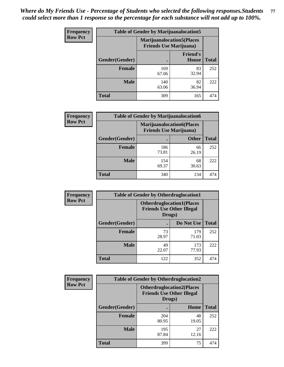| <b>Frequency</b> | <b>Table of Gender by Marijuanalocation5</b> |                                                                     |                                 |              |
|------------------|----------------------------------------------|---------------------------------------------------------------------|---------------------------------|--------------|
| <b>Row Pct</b>   |                                              | <b>Marijuanalocation5</b> (Places<br><b>Friends Use Marijuana</b> ) |                                 |              |
|                  | Gender(Gender)                               |                                                                     | <b>Friend's</b><br><b>House</b> | <b>Total</b> |
|                  | <b>Female</b>                                | 169<br>67.06                                                        | 83<br>32.94                     | 252          |
|                  | <b>Male</b>                                  | 140<br>63.06                                                        | 82<br>36.94                     | 222          |
|                  | <b>Total</b>                                 | 309                                                                 | 165                             | 474          |

| <b>Frequency</b> | <b>Table of Gender by Marijuanalocation6</b> |                                |                                  |              |
|------------------|----------------------------------------------|--------------------------------|----------------------------------|--------------|
| <b>Row Pct</b>   |                                              | <b>Friends Use Marijuana</b> ) | <b>Marijuanalocation6(Places</b> |              |
|                  | <b>Gender</b> (Gender)                       |                                | <b>Other</b>                     | <b>Total</b> |
|                  | Female                                       | 186<br>73.81                   | 66<br>26.19                      | 252          |
|                  | <b>Male</b>                                  | 154<br>69.37                   | 68<br>30.63                      | 222          |
|                  | Total                                        | 340                            | 134                              | 474          |

| <b>Frequency</b> | <b>Table of Gender by Otherdruglocation1</b> |                                            |                                  |              |
|------------------|----------------------------------------------|--------------------------------------------|----------------------------------|--------------|
| <b>Row Pct</b>   |                                              | <b>Friends Use Other Illegal</b><br>Drugs) | <b>Otherdruglocation1(Places</b> |              |
|                  | Gender(Gender)                               |                                            | Do Not Use                       | <b>Total</b> |
|                  | <b>Female</b>                                | 73<br>28.97                                | 179<br>71.03                     | 252          |
|                  | <b>Male</b>                                  | 49<br>22.07                                | 173<br>77.93                     | 222          |
|                  | <b>Total</b>                                 | 122                                        | 352                              | 474          |

| <b>Frequency</b> | <b>Table of Gender by Otherdruglocation2</b> |                                            |                                  |              |
|------------------|----------------------------------------------|--------------------------------------------|----------------------------------|--------------|
| <b>Row Pct</b>   |                                              | <b>Friends Use Other Illegal</b><br>Drugs) | <b>Otherdruglocation2(Places</b> |              |
|                  | Gender(Gender)                               |                                            | Home                             | <b>Total</b> |
|                  | Female                                       | 204<br>80.95                               | 48<br>19.05                      | 252          |
|                  | <b>Male</b>                                  | 195<br>87.84                               | 27<br>12.16                      | 222          |
|                  | <b>Total</b>                                 | 399                                        | 75                               | 474          |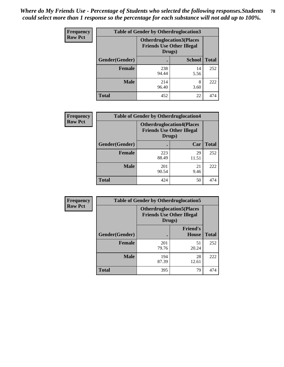| <b>Frequency</b> | <b>Table of Gender by Otherdruglocation3</b> |                                                                                |               |              |
|------------------|----------------------------------------------|--------------------------------------------------------------------------------|---------------|--------------|
| <b>Row Pct</b>   |                                              | <b>Otherdruglocation3(Places</b><br><b>Friends Use Other Illegal</b><br>Drugs) |               |              |
|                  | Gender(Gender)                               |                                                                                | <b>School</b> | <b>Total</b> |
|                  | <b>Female</b>                                | 238<br>94.44                                                                   | 14<br>5.56    | 252          |
|                  | <b>Male</b>                                  | 214<br>96.40                                                                   | 8<br>3.60     | 222          |
|                  | <b>Total</b>                                 | 452                                                                            | 22            | 474          |

| Frequency      | <b>Table of Gender by Otherdruglocation4</b> |                                                                                |             |              |
|----------------|----------------------------------------------|--------------------------------------------------------------------------------|-------------|--------------|
| <b>Row Pct</b> |                                              | <b>Otherdruglocation4(Places</b><br><b>Friends Use Other Illegal</b><br>Drugs) |             |              |
|                | Gender(Gender)                               |                                                                                | Car         | <b>Total</b> |
|                | <b>Female</b>                                | 223<br>88.49                                                                   | 29<br>11.51 | 252          |
|                | <b>Male</b>                                  | 201<br>90.54                                                                   | 21<br>9.46  | 222          |
|                | <b>Total</b>                                 | 424                                                                            | 50          | 474          |

| Frequency      | <b>Table of Gender by Otherdruglocation5</b>                                   |              |                                 |              |
|----------------|--------------------------------------------------------------------------------|--------------|---------------------------------|--------------|
| <b>Row Pct</b> | <b>Otherdruglocation5(Places</b><br><b>Friends Use Other Illegal</b><br>Drugs) |              |                                 |              |
|                | Gender(Gender)                                                                 |              | <b>Friend's</b><br><b>House</b> | <b>Total</b> |
|                | <b>Female</b>                                                                  | 201<br>79.76 | 51<br>20.24                     | 252          |
|                | <b>Male</b>                                                                    | 194<br>87.39 | 28<br>12.61                     | 222          |
|                | <b>Total</b>                                                                   | 395          | 79                              | 474          |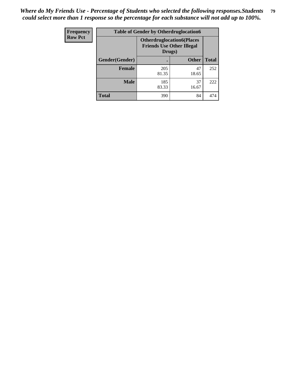| Frequency      | <b>Table of Gender by Otherdruglocation6</b> |                                                                                |              |              |
|----------------|----------------------------------------------|--------------------------------------------------------------------------------|--------------|--------------|
| <b>Row Pct</b> |                                              | <b>Otherdruglocation6(Places</b><br><b>Friends Use Other Illegal</b><br>Drugs) |              |              |
|                | Gender(Gender)                               |                                                                                | <b>Other</b> | <b>Total</b> |
|                | Female                                       | 205<br>81.35                                                                   | 47<br>18.65  | 252          |
|                | <b>Male</b>                                  | 185<br>83.33                                                                   | 37<br>16.67  | 222          |
|                | <b>Total</b>                                 | 390                                                                            | 84           | 474          |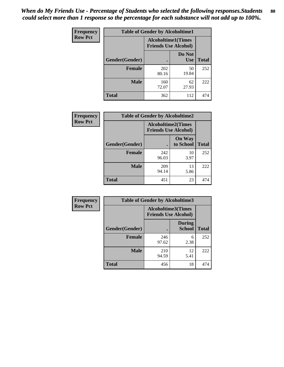| <b>Frequency</b> | <b>Table of Gender by Alcoholtime1</b> |                                                   |                      |              |
|------------------|----------------------------------------|---------------------------------------------------|----------------------|--------------|
| <b>Row Pct</b>   |                                        | Alcoholtime1(Times<br><b>Friends Use Alcohol)</b> |                      |              |
|                  | Gender(Gender)                         |                                                   | Do Not<br><b>Use</b> | <b>Total</b> |
|                  | <b>Female</b>                          | 202<br>80.16                                      | 50<br>19.84          | 252          |
|                  | <b>Male</b>                            | 160<br>72.07                                      | 62<br>27.93          | 222          |
|                  | <b>Total</b>                           | 362                                               | 112                  | 474          |

| <b>Frequency</b> | <b>Table of Gender by Alcoholtime2</b> |                                                          |                            |              |
|------------------|----------------------------------------|----------------------------------------------------------|----------------------------|--------------|
| <b>Row Pct</b>   |                                        | <b>Alcoholtime2(Times</b><br><b>Friends Use Alcohol)</b> |                            |              |
|                  | Gender(Gender)                         |                                                          | <b>On Way</b><br>to School | <b>Total</b> |
|                  | <b>Female</b>                          | 242<br>96.03                                             | 10<br>3.97                 | 252          |
|                  | <b>Male</b>                            | 209<br>94.14                                             | 13<br>5.86                 | 222          |
|                  | <b>Total</b>                           | 451                                                      | 23                         | 474          |

| Frequency      | <b>Table of Gender by Alcoholtime3</b> |                                                          |                                |              |
|----------------|----------------------------------------|----------------------------------------------------------|--------------------------------|--------------|
| <b>Row Pct</b> |                                        | <b>Alcoholtime3(Times</b><br><b>Friends Use Alcohol)</b> |                                |              |
|                | Gender(Gender)                         |                                                          | <b>During</b><br><b>School</b> | <b>Total</b> |
|                | <b>Female</b>                          | 246<br>97.62                                             | 6<br>2.38                      | 252          |
|                | <b>Male</b>                            | 210<br>94.59                                             | 12<br>5.41                     | 222          |
|                | <b>Total</b>                           | 456                                                      | 18                             | 474          |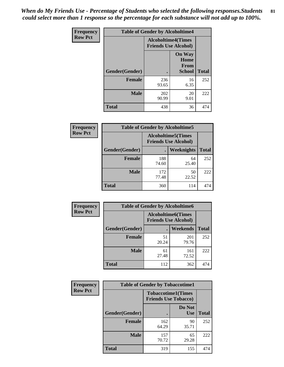*When do My Friends Use - Percentage of Students who selected the following responses.Students could select more than 1 response so the percentage for each substance will not add up to 100%.* **81**

| <b>Frequency</b> | <b>Table of Gender by Alcoholtime4</b> |                                                          |                                                |              |
|------------------|----------------------------------------|----------------------------------------------------------|------------------------------------------------|--------------|
| <b>Row Pct</b>   |                                        | <b>Alcoholtime4(Times</b><br><b>Friends Use Alcohol)</b> |                                                |              |
|                  | Gender(Gender)                         |                                                          | <b>On Way</b><br>Home<br>From<br><b>School</b> | <b>Total</b> |
|                  | <b>Female</b>                          | 236<br>93.65                                             | 16<br>6.35                                     | 252          |
|                  | <b>Male</b>                            | 202<br>90.99                                             | 20<br>9.01                                     | 222          |
|                  | <b>Total</b>                           | 438                                                      | 36                                             | 474          |

| <b>Frequency</b> | <b>Table of Gender by Alcoholtime5</b> |                                                           |             |              |
|------------------|----------------------------------------|-----------------------------------------------------------|-------------|--------------|
| <b>Row Pct</b>   |                                        | <b>Alcoholtime5</b> (Times<br><b>Friends Use Alcohol)</b> |             |              |
|                  | Gender(Gender)                         |                                                           | Weeknights  | <b>Total</b> |
|                  | <b>Female</b>                          | 188<br>74.60                                              | 64<br>25.40 | 252          |
|                  | <b>Male</b>                            | 172<br>77.48                                              | 50<br>22.52 | 222          |
|                  | <b>Total</b>                           | 360                                                       | 114         | 474          |

| <b>Frequency</b> |                | <b>Table of Gender by Alcoholtime6</b> |                                                          |              |
|------------------|----------------|----------------------------------------|----------------------------------------------------------|--------------|
| <b>Row Pct</b>   |                |                                        | <b>Alcoholtime6(Times</b><br><b>Friends Use Alcohol)</b> |              |
|                  | Gender(Gender) |                                        | Weekends                                                 | <b>Total</b> |
|                  | Female         | 51<br>20.24                            | 201<br>79.76                                             | 252          |
|                  | <b>Male</b>    | 61<br>27.48                            | 161<br>72.52                                             | 222          |
|                  | <b>Total</b>   | 112                                    | 362                                                      | 474          |

| <b>Frequency</b> | <b>Table of Gender by Tobaccotime1</b> |                                                          |                      |              |
|------------------|----------------------------------------|----------------------------------------------------------|----------------------|--------------|
| <b>Row Pct</b>   |                                        | <b>Tobaccotime1(Times</b><br><b>Friends Use Tobacco)</b> |                      |              |
|                  | Gender(Gender)                         |                                                          | Do Not<br><b>Use</b> | <b>Total</b> |
|                  | <b>Female</b>                          | 162<br>64.29                                             | 90<br>35.71          | 252          |
|                  | <b>Male</b>                            | 157<br>70.72                                             | 65<br>29.28          | 222          |
|                  | <b>Total</b>                           | 319                                                      | 155                  | 474          |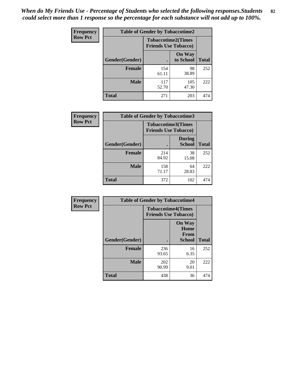*When do My Friends Use - Percentage of Students who selected the following responses.Students could select more than 1 response so the percentage for each substance will not add up to 100%.* **82**

| Frequency      | <b>Table of Gender by Tobaccotime2</b> |                                                          |                            |              |
|----------------|----------------------------------------|----------------------------------------------------------|----------------------------|--------------|
| <b>Row Pct</b> |                                        | <b>Tobaccotime2(Times</b><br><b>Friends Use Tobacco)</b> |                            |              |
|                | Gender(Gender)                         |                                                          | <b>On Way</b><br>to School | <b>Total</b> |
|                | <b>Female</b>                          | 154<br>61.11                                             | 98<br>38.89                | 252          |
|                | <b>Male</b>                            | 117<br>52.70                                             | 105<br>47.30               | 222          |
|                | <b>Total</b>                           | 271                                                      | 203                        | 474          |

| Frequency      | <b>Table of Gender by Tobaccotime3</b> |                                                          |                                |              |
|----------------|----------------------------------------|----------------------------------------------------------|--------------------------------|--------------|
| <b>Row Pct</b> |                                        | <b>Tobaccotime3(Times</b><br><b>Friends Use Tobacco)</b> |                                |              |
|                | Gender(Gender)                         |                                                          | <b>During</b><br><b>School</b> | <b>Total</b> |
|                | Female                                 | 214<br>84.92                                             | 38<br>15.08                    | 252          |
|                | <b>Male</b>                            | 158<br>71.17                                             | 64<br>28.83                    | 222          |
|                | <b>Total</b>                           | 372                                                      | 102                            | 474          |

| Frequency      | <b>Table of Gender by Tobaccotime4</b> |                                                          |                                                       |              |
|----------------|----------------------------------------|----------------------------------------------------------|-------------------------------------------------------|--------------|
| <b>Row Pct</b> |                                        | <b>Tobaccotime4(Times</b><br><b>Friends Use Tobacco)</b> |                                                       |              |
|                | Gender(Gender)                         |                                                          | <b>On Way</b><br>Home<br><b>From</b><br><b>School</b> | <b>Total</b> |
|                | <b>Female</b>                          | 236<br>93.65                                             | 16<br>6.35                                            | 252          |
|                | <b>Male</b>                            | 202<br>90.99                                             | 20<br>9.01                                            | 222          |
|                | <b>Total</b>                           | 438                                                      | 36                                                    | 474          |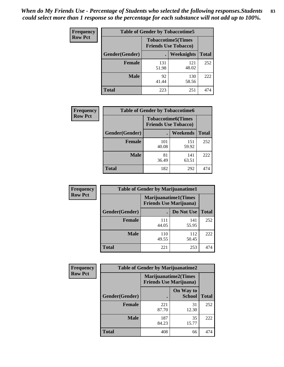| <b>Frequency</b> | <b>Table of Gender by Tobaccotime5</b> |              |                                                          |              |  |
|------------------|----------------------------------------|--------------|----------------------------------------------------------|--------------|--|
| <b>Row Pct</b>   |                                        |              | <b>Tobaccotime5(Times</b><br><b>Friends Use Tobacco)</b> |              |  |
|                  | Gender(Gender)                         |              | Weeknights                                               | <b>Total</b> |  |
|                  | <b>Female</b>                          | 131<br>51.98 | 121<br>48.02                                             | 252          |  |
|                  | <b>Male</b>                            | 92<br>41.44  | 130<br>58.56                                             | 222          |  |
|                  | <b>Total</b>                           | 223          | 251                                                      | 474          |  |

| <b>Frequency</b> |                | <b>Table of Gender by Tobaccotime6</b>                   |                 |              |
|------------------|----------------|----------------------------------------------------------|-----------------|--------------|
| <b>Row Pct</b>   |                | <b>Tobaccotime6(Times</b><br><b>Friends Use Tobacco)</b> |                 |              |
|                  | Gender(Gender) |                                                          | <b>Weekends</b> | <b>Total</b> |
|                  | Female         | 101<br>40.08                                             | 151<br>59.92    | 252          |
|                  | <b>Male</b>    | 81<br>36.49                                              | 141<br>63.51    | 222          |
|                  | <b>Total</b>   | 182                                                      | 292             | 474          |

| <b>Frequency</b> | <b>Table of Gender by Marijuanatime1</b> |                                                               |              |              |
|------------------|------------------------------------------|---------------------------------------------------------------|--------------|--------------|
| <b>Row Pct</b>   |                                          | <b>Marijuanatime1(Times</b><br><b>Friends Use Marijuana</b> ) |              |              |
|                  | Gender(Gender)                           |                                                               | Do Not Use   | <b>Total</b> |
|                  | <b>Female</b>                            | 111<br>44.05                                                  | 141<br>55.95 | 252          |
|                  | <b>Male</b>                              | 110<br>49.55                                                  | 112<br>50.45 | 222          |
|                  | <b>Total</b>                             | 221                                                           | 253          | 474          |

| <b>Frequency</b> | <b>Table of Gender by Marijuanatime2</b> |                                                               |                            |              |
|------------------|------------------------------------------|---------------------------------------------------------------|----------------------------|--------------|
| <b>Row Pct</b>   |                                          | <b>Marijuanatime2(Times</b><br><b>Friends Use Marijuana</b> ) |                            |              |
|                  | Gender(Gender)                           |                                                               | On Way to<br><b>School</b> | <b>Total</b> |
|                  | Female                                   | 221<br>87.70                                                  | 31<br>12.30                | 252          |
|                  | <b>Male</b>                              | 187<br>84.23                                                  | 35<br>15.77                | 222          |
|                  | <b>Total</b>                             | 408                                                           | 66                         | 474          |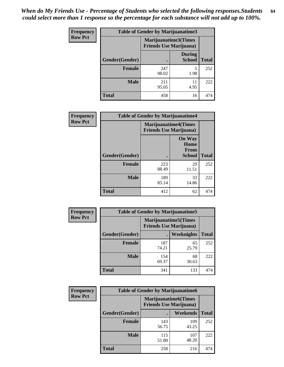*When do My Friends Use - Percentage of Students who selected the following responses.Students could select more than 1 response so the percentage for each substance will not add up to 100%.* **84**

| <b>Frequency</b> | Table of Gender by Marijuanatime3 |                                                        |                                |              |
|------------------|-----------------------------------|--------------------------------------------------------|--------------------------------|--------------|
| <b>Row Pct</b>   |                                   | Marijuanatime3(Times<br><b>Friends Use Marijuana</b> ) |                                |              |
|                  | Gender(Gender)                    |                                                        | <b>During</b><br><b>School</b> | <b>Total</b> |
|                  | <b>Female</b>                     | 247<br>98.02                                           | 5<br>1.98                      | 252          |
|                  | <b>Male</b>                       | 211<br>95.05                                           | 11<br>4.95                     | 222          |
|                  | <b>Total</b>                      | 458                                                    | 16                             | 474          |

| Frequency      | <b>Table of Gender by Marijuanatime4</b> |                                |                                                       |              |
|----------------|------------------------------------------|--------------------------------|-------------------------------------------------------|--------------|
| <b>Row Pct</b> |                                          | <b>Friends Use Marijuana</b> ) | <b>Marijuanatime4</b> (Times                          |              |
|                | Gender(Gender)                           |                                | <b>On Way</b><br>Home<br><b>From</b><br><b>School</b> | <b>Total</b> |
|                | <b>Female</b>                            | 223<br>88.49                   | 29<br>11.51                                           | 252          |
|                | <b>Male</b>                              | 189<br>85.14                   | 33<br>14.86                                           | 222          |
|                | <b>Total</b>                             | 412                            | 62                                                    | 474          |

| Frequency      | <b>Table of Gender by Marijuanatime5</b> |                                                                |             |              |  |
|----------------|------------------------------------------|----------------------------------------------------------------|-------------|--------------|--|
| <b>Row Pct</b> |                                          | <b>Marijuanatime5</b> (Times<br><b>Friends Use Marijuana</b> ) |             |              |  |
|                | Gender(Gender)                           | ٠                                                              | Weeknights  | <b>Total</b> |  |
|                | <b>Female</b>                            | 187<br>74.21                                                   | 65<br>25.79 | 252          |  |
|                | <b>Male</b>                              | 154<br>69.37                                                   | 68<br>30.63 | 222          |  |
|                | <b>Total</b>                             | 341                                                            | 133         | 474          |  |

| Frequency      |                | <b>Table of Gender by Marijuanatime6</b>                      |                 |              |
|----------------|----------------|---------------------------------------------------------------|-----------------|--------------|
| <b>Row Pct</b> |                | <b>Marijuanatime6(Times</b><br><b>Friends Use Marijuana</b> ) |                 |              |
|                | Gender(Gender) |                                                               | <b>Weekends</b> | <b>Total</b> |
|                | <b>Female</b>  | 143<br>56.75                                                  | 109<br>43.25    | 252          |
|                | <b>Male</b>    | 115<br>51.80                                                  | 107<br>48.20    | 222          |
|                | <b>Total</b>   | 258                                                           | 216             | 474          |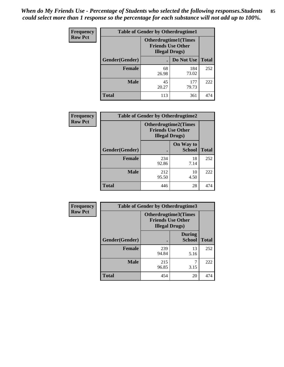*When do My Friends Use - Percentage of Students who selected the following responses.Students could select more than 1 response so the percentage for each substance will not add up to 100%.* **85**

| <b>Frequency</b> | <b>Table of Gender by Otherdrugtime1</b> |                                                                                    |              |              |
|------------------|------------------------------------------|------------------------------------------------------------------------------------|--------------|--------------|
| <b>Row Pct</b>   |                                          | <b>Otherdrugtime1</b> (Times<br><b>Friends Use Other</b><br><b>Illegal Drugs</b> ) |              |              |
|                  | Gender(Gender)                           |                                                                                    | Do Not Use   | <b>Total</b> |
|                  | <b>Female</b>                            | 68<br>26.98                                                                        | 184<br>73.02 | 252          |
|                  | <b>Male</b>                              | 45<br>20.27                                                                        | 177<br>79.73 | 222          |
|                  | <b>Total</b>                             | 113                                                                                | 361          | 474          |

| Frequency      | <b>Table of Gender by Otherdrugtime2</b> |                                                    |                             |              |
|----------------|------------------------------------------|----------------------------------------------------|-----------------------------|--------------|
| <b>Row Pct</b> |                                          | <b>Friends Use Other</b><br><b>Illegal Drugs</b> ) | <b>Otherdrugtime2(Times</b> |              |
|                | Gender(Gender)                           |                                                    | On Way to<br><b>School</b>  | <b>Total</b> |
|                | <b>Female</b>                            | 234<br>92.86                                       | 18<br>7.14                  | 252          |
|                | <b>Male</b>                              | 212<br>95.50                                       | 10<br>4.50                  | 222          |
|                | <b>Total</b>                             | 446                                                | 28                          | 474          |

| Frequency      | <b>Table of Gender by Otherdrugtime3</b> |                        |                                                  |              |
|----------------|------------------------------------------|------------------------|--------------------------------------------------|--------------|
| <b>Row Pct</b> |                                          | <b>Illegal Drugs</b> ) | Otherdrugtime3(Times<br><b>Friends Use Other</b> |              |
|                | Gender(Gender)                           |                        | <b>During</b><br><b>School</b>                   | <b>Total</b> |
|                | <b>Female</b>                            | 239<br>94.84           | 13<br>5.16                                       | 252          |
|                | <b>Male</b>                              | 215<br>96.85           | 7<br>3.15                                        | 222          |
|                | <b>Total</b>                             | 454                    | 20                                               | 474          |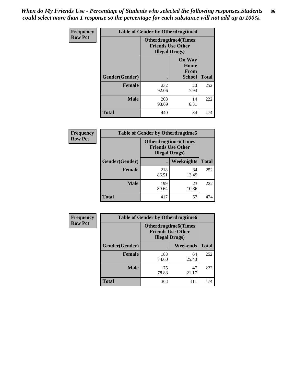*When do My Friends Use - Percentage of Students who selected the following responses.Students could select more than 1 response so the percentage for each substance will not add up to 100%.* **86**

| <b>Frequency</b> | <b>Table of Gender by Otherdrugtime4</b> |                                                    |                                         |              |
|------------------|------------------------------------------|----------------------------------------------------|-----------------------------------------|--------------|
| <b>Row Pct</b>   |                                          | <b>Friends Use Other</b><br><b>Illegal Drugs</b> ) | <b>Otherdrugtime4(Times</b>             |              |
|                  | Gender(Gender)                           |                                                    | <b>On Way</b><br>Home<br>From<br>School | <b>Total</b> |
|                  | <b>Female</b>                            | 232<br>92.06                                       | 20<br>7.94                              | 252          |
|                  | <b>Male</b>                              | 208<br>93.69                                       | 14<br>6.31                              | 222          |
|                  | <b>Total</b>                             | 440                                                | 34                                      | 474          |

| Frequency      | <b>Table of Gender by Otherdrugtime5</b> |                                                                                    |             |              |
|----------------|------------------------------------------|------------------------------------------------------------------------------------|-------------|--------------|
| <b>Row Pct</b> |                                          | <b>Otherdrugtime5</b> (Times<br><b>Friends Use Other</b><br><b>Illegal Drugs</b> ) |             |              |
|                | Gender(Gender)                           |                                                                                    | Weeknights  | <b>Total</b> |
|                | <b>Female</b>                            | 218<br>86.51                                                                       | 34<br>13.49 | 252          |
|                | <b>Male</b>                              | 199<br>89.64                                                                       | 23<br>10.36 | 222          |
|                | <b>Total</b>                             | 417                                                                                | 57          | 474          |

| <b>Frequency</b> | <b>Table of Gender by Otherdrugtime6</b> |                                                                                   |             |              |  |
|------------------|------------------------------------------|-----------------------------------------------------------------------------------|-------------|--------------|--|
| <b>Row Pct</b>   |                                          | <b>Otherdrugtime6(Times</b><br><b>Friends Use Other</b><br><b>Illegal Drugs</b> ) |             |              |  |
|                  | Gender(Gender)                           |                                                                                   | Weekends    | <b>Total</b> |  |
|                  | <b>Female</b>                            | 188<br>74.60                                                                      | 64<br>25.40 | 252          |  |
|                  | <b>Male</b>                              | 175<br>78.83                                                                      | 47<br>21.17 | 222          |  |
|                  | <b>Total</b>                             | 363                                                                               | 111         | 474          |  |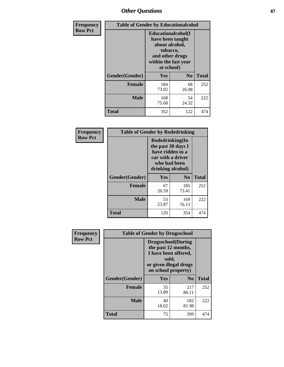# *Other Questions* **87**

| <b>Frequency</b> | <b>Table of Gender by Educationalcohol</b> |                                                                                                                                       |                |              |  |
|------------------|--------------------------------------------|---------------------------------------------------------------------------------------------------------------------------------------|----------------|--------------|--|
| <b>Row Pct</b>   |                                            | <b>Educationalcohol</b> (I<br>have been taught<br>about alcohol,<br>tobacco,<br>and other drugs<br>within the last year<br>at school) |                |              |  |
|                  | Gender(Gender)                             | <b>Yes</b>                                                                                                                            | N <sub>0</sub> | <b>Total</b> |  |
|                  | <b>Female</b>                              | 184<br>73.02                                                                                                                          | 68<br>26.98    | 252          |  |
|                  | <b>Male</b>                                | 168<br>75.68                                                                                                                          | 54<br>24.32    | 222          |  |
|                  | <b>Total</b>                               | 352                                                                                                                                   | 122            | 474          |  |

| Frequency      | <b>Table of Gender by Rodedrinking</b> |                                                                                                                     |                |              |  |
|----------------|----------------------------------------|---------------------------------------------------------------------------------------------------------------------|----------------|--------------|--|
| <b>Row Pct</b> |                                        | Rodedrinking(In<br>the past 30 days I<br>have ridden in a<br>car with a driver<br>who had been<br>drinking alcohol) |                |              |  |
|                | Gender(Gender)                         | Yes                                                                                                                 | N <sub>0</sub> | <b>Total</b> |  |
|                | <b>Female</b>                          | 67<br>26.59                                                                                                         | 185<br>73.41   | 252          |  |
|                | <b>Male</b>                            | 53<br>23.87                                                                                                         | 169<br>76.13   | 222          |  |
|                | <b>Total</b>                           | 120                                                                                                                 | 354            | 474          |  |

| Frequency      | <b>Table of Gender by Drugsschool</b> |                                                                                                                                     |                |              |  |
|----------------|---------------------------------------|-------------------------------------------------------------------------------------------------------------------------------------|----------------|--------------|--|
| <b>Row Pct</b> |                                       | <b>Drugsschool</b> (During<br>the past 12 months,<br>I have been offered,<br>sold,<br>or given illegal drugs<br>on school property) |                |              |  |
|                | Gender(Gender)                        | Yes                                                                                                                                 | N <sub>0</sub> | <b>Total</b> |  |
|                | <b>Female</b>                         | 35<br>13.89                                                                                                                         | 217<br>86.11   | 252          |  |
|                | <b>Male</b>                           | 40<br>18.02                                                                                                                         | 182<br>81.98   | 222          |  |
|                | <b>Total</b>                          | 75                                                                                                                                  | 399            | 474          |  |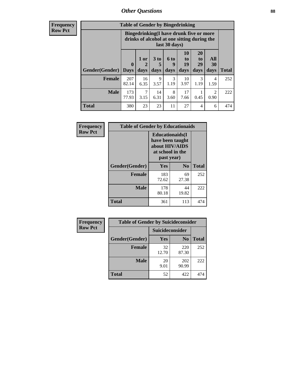## *Other Questions* **88**

**Frequency Row Pct**

| <b>Table of Gender by Bingedrinking</b> |                            |                                                                                                         |                   |                   |                        |                               |                        |              |
|-----------------------------------------|----------------------------|---------------------------------------------------------------------------------------------------------|-------------------|-------------------|------------------------|-------------------------------|------------------------|--------------|
|                                         |                            | Bingedrinking(I have drunk five or more<br>drinks of alcohol at one sitting during the<br>last 30 days) |                   |                   |                        |                               |                        |              |
| <b>Gender</b> (Gender)                  | $\mathbf 0$<br><b>Days</b> | 1 or<br>days                                                                                            | 3 to<br>5<br>days | 6 to<br>9<br>days | 10<br>to<br>19<br>days | <b>20</b><br>to<br>29<br>days | All<br>30<br>days      | <b>Total</b> |
| <b>Female</b>                           | 207<br>82.14               | 16<br>6.35                                                                                              | 9<br>3.57         | 3<br>1.19         | 10<br>3.97             | 3<br>1.19                     | 4<br>1.59              | 252          |
| <b>Male</b>                             | 173                        | 7                                                                                                       | 14                | 8                 | 17                     | 0.45                          | $\mathfrak{D}$<br>0.90 | 222          |
|                                         | 77.93                      | 3.15                                                                                                    | 6.31              | 3.60              | 7.66                   |                               |                        |              |

| Frequency      | <b>Table of Gender by Educationaids</b> |                                                                                                 |                |              |  |  |
|----------------|-----------------------------------------|-------------------------------------------------------------------------------------------------|----------------|--------------|--|--|
| <b>Row Pct</b> |                                         | <b>Educationaids</b> (I<br>have been taught<br>about HIV/AIDS<br>at school in the<br>past year) |                |              |  |  |
|                | Gender(Gender)                          | Yes                                                                                             | N <sub>0</sub> | <b>Total</b> |  |  |
|                | <b>Female</b>                           | 183<br>72.62                                                                                    | 69<br>27.38    | 252          |  |  |
|                | <b>Male</b>                             | 178<br>80.18                                                                                    | 44<br>19.82    | 222          |  |  |
|                | <b>Total</b>                            | 361                                                                                             | 113            | 474          |  |  |

| <b>Frequency</b> | <b>Table of Gender by Suicideconsider</b> |                        |                |              |  |
|------------------|-------------------------------------------|------------------------|----------------|--------------|--|
| <b>Row Pct</b>   |                                           | <b>Suicideconsider</b> |                |              |  |
|                  | Gender(Gender)                            | Yes                    | N <sub>0</sub> | <b>Total</b> |  |
|                  | <b>Female</b>                             | 32<br>12.70            | 220<br>87.30   | 252          |  |
|                  | <b>Male</b>                               | 20<br>9.01             | 202<br>90.99   | 222          |  |
|                  | <b>Total</b>                              | 52                     | 422            | 474          |  |